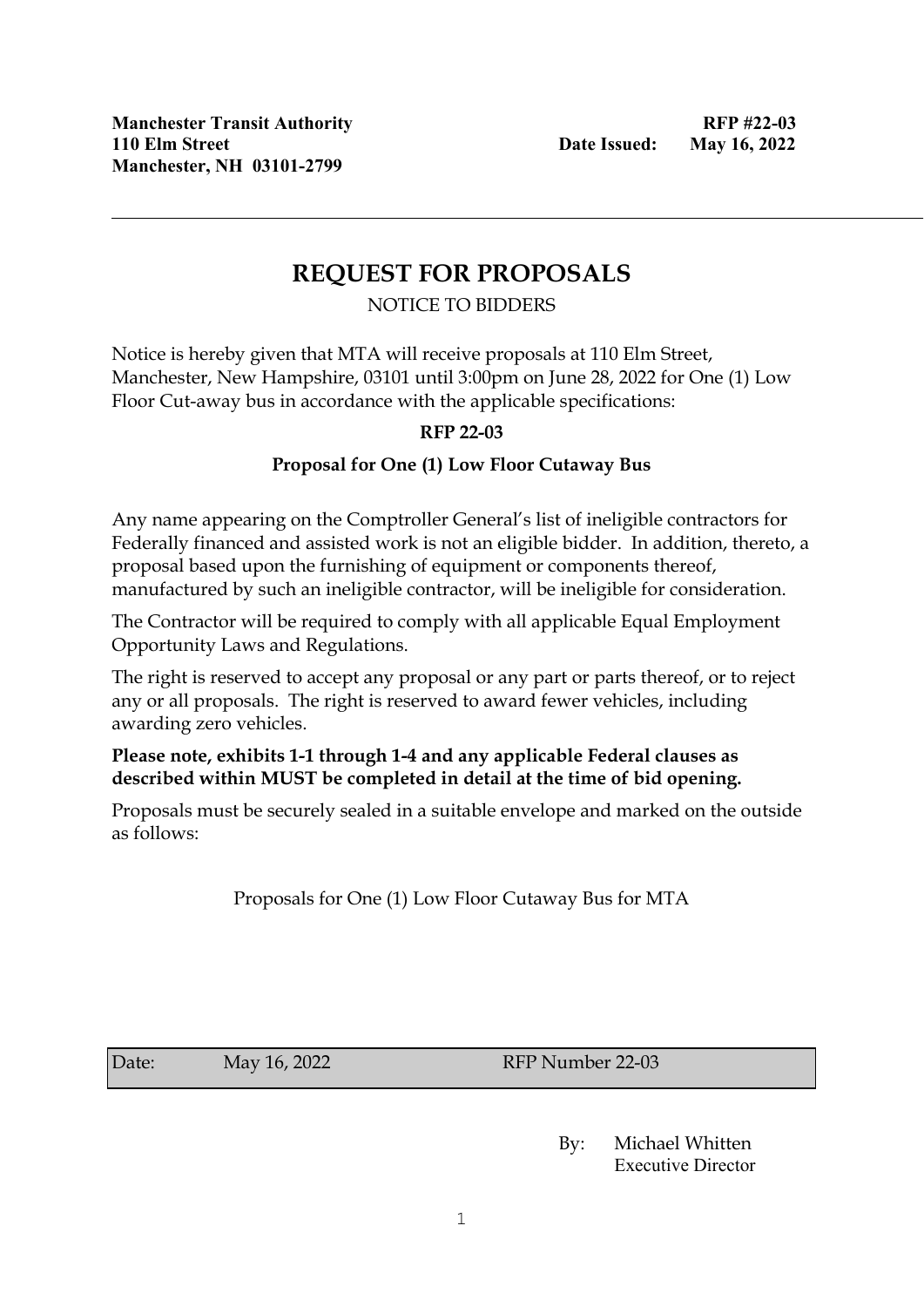# **REQUEST FOR PROPOSALS**

### NOTICE TO BIDDERS

Notice is hereby given that MTA will receive proposals at 110 Elm Street, Manchester, New Hampshire, 03101 until 3:00pm on June 28, 2022 for One (1) Low Floor Cut-away bus in accordance with the applicable specifications:

### **RFP 22-03**

### **Proposal for One (1) Low Floor Cutaway Bus**

Any name appearing on the Comptroller General's list of ineligible contractors for Federally financed and assisted work is not an eligible bidder. In addition, thereto, a proposal based upon the furnishing of equipment or components thereof, manufactured by such an ineligible contractor, will be ineligible for consideration.

The Contractor will be required to comply with all applicable Equal Employment Opportunity Laws and Regulations.

The right is reserved to accept any proposal or any part or parts thereof, or to reject any or all proposals. The right is reserved to award fewer vehicles, including awarding zero vehicles.

### **Please note, exhibits 1-1 through 1-4 and any applicable Federal clauses as described within MUST be completed in detail at the time of bid opening.**

Proposals must be securely sealed in a suitable envelope and marked on the outside as follows:

Proposals for One (1) Low Floor Cutaway Bus for MTA

Date: May 16, 2022 RFP Number 22-03

By: Michael Whitten Executive Director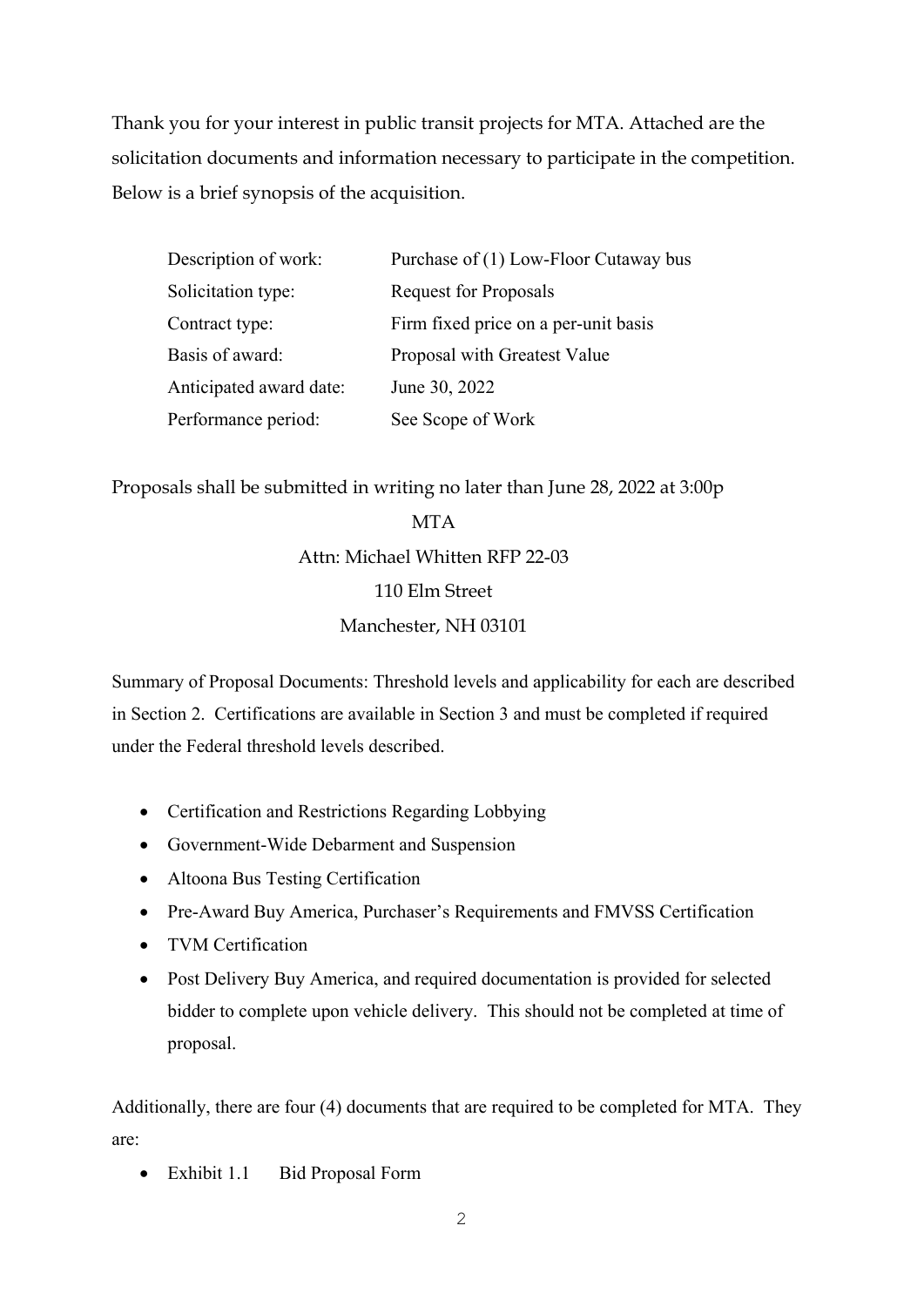Thank you for your interest in public transit projects for MTA. Attached are the solicitation documents and information necessary to participate in the competition. Below is a brief synopsis of the acquisition.

| Description of work:    | Purchase of (1) Low-Floor Cutaway bus |
|-------------------------|---------------------------------------|
| Solicitation type:      | Request for Proposals                 |
| Contract type:          | Firm fixed price on a per-unit basis  |
| Basis of award:         | Proposal with Greatest Value          |
| Anticipated award date: | June 30, 2022                         |
| Performance period:     | See Scope of Work                     |

Proposals shall be submitted in writing no later than June 28, 2022 at 3:00p

# **MTA** Attn: Michael Whitten RFP 22-03 110 Elm Street Manchester, NH 03101

Summary of Proposal Documents: Threshold levels and applicability for each are described in Section 2. Certifications are available in Section 3 and must be completed if required under the Federal threshold levels described.

- Certification and Restrictions Regarding Lobbying
- Government-Wide Debarment and Suspension
- Altoona Bus Testing Certification
- Pre-Award Buy America, Purchaser's Requirements and FMVSS Certification
- TVM Certification
- Post Delivery Buy America, and required documentation is provided for selected bidder to complete upon vehicle delivery. This should not be completed at time of proposal.

Additionally, there are four (4) documents that are required to be completed for MTA. They are:

• Exhibit 1.1 Bid Proposal Form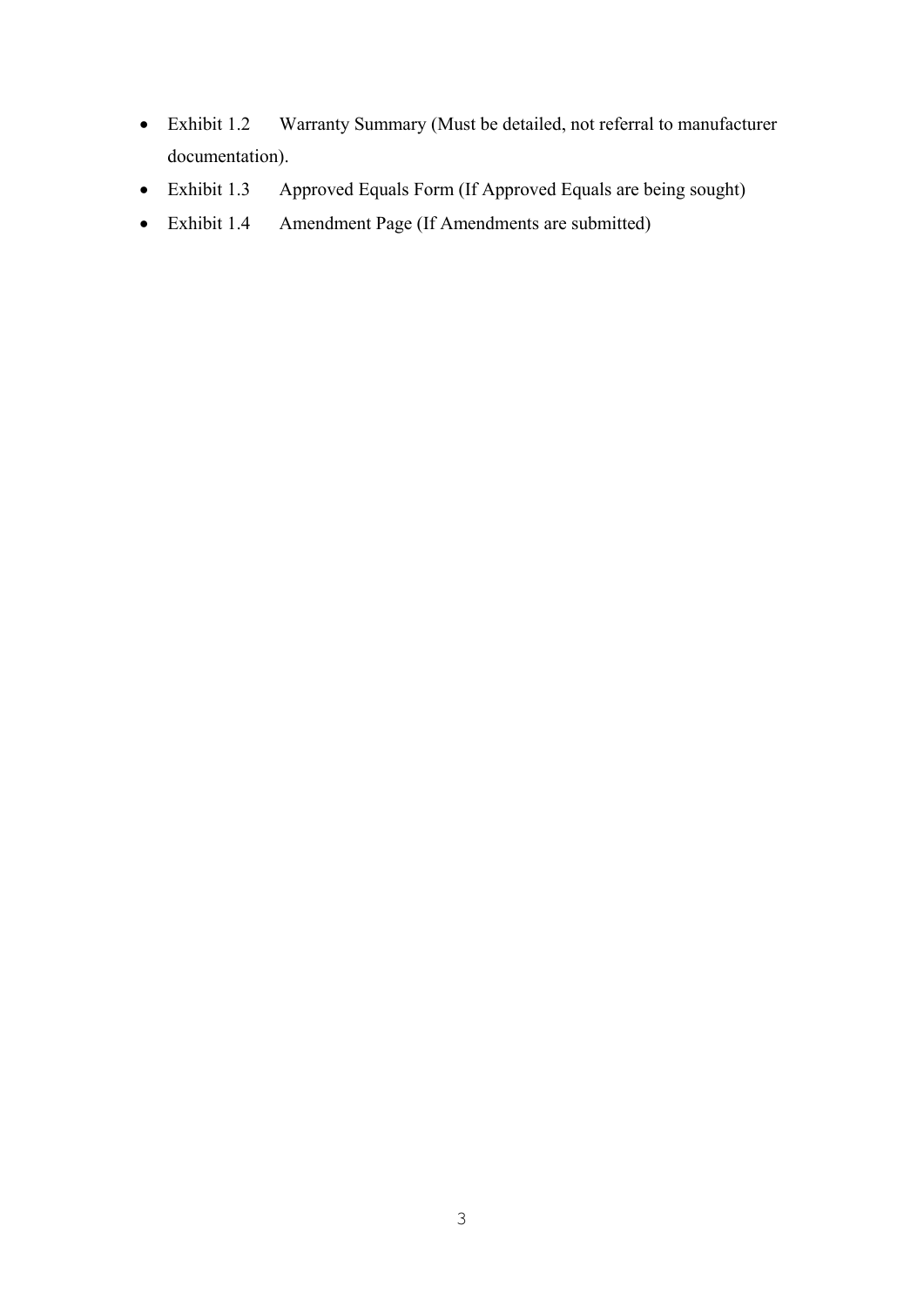- Exhibit 1.2 Warranty Summary (Must be detailed, not referral to manufacturer documentation).
- Exhibit 1.3 Approved Equals Form (If Approved Equals are being sought)
- Exhibit 1.4 Amendment Page (If Amendments are submitted)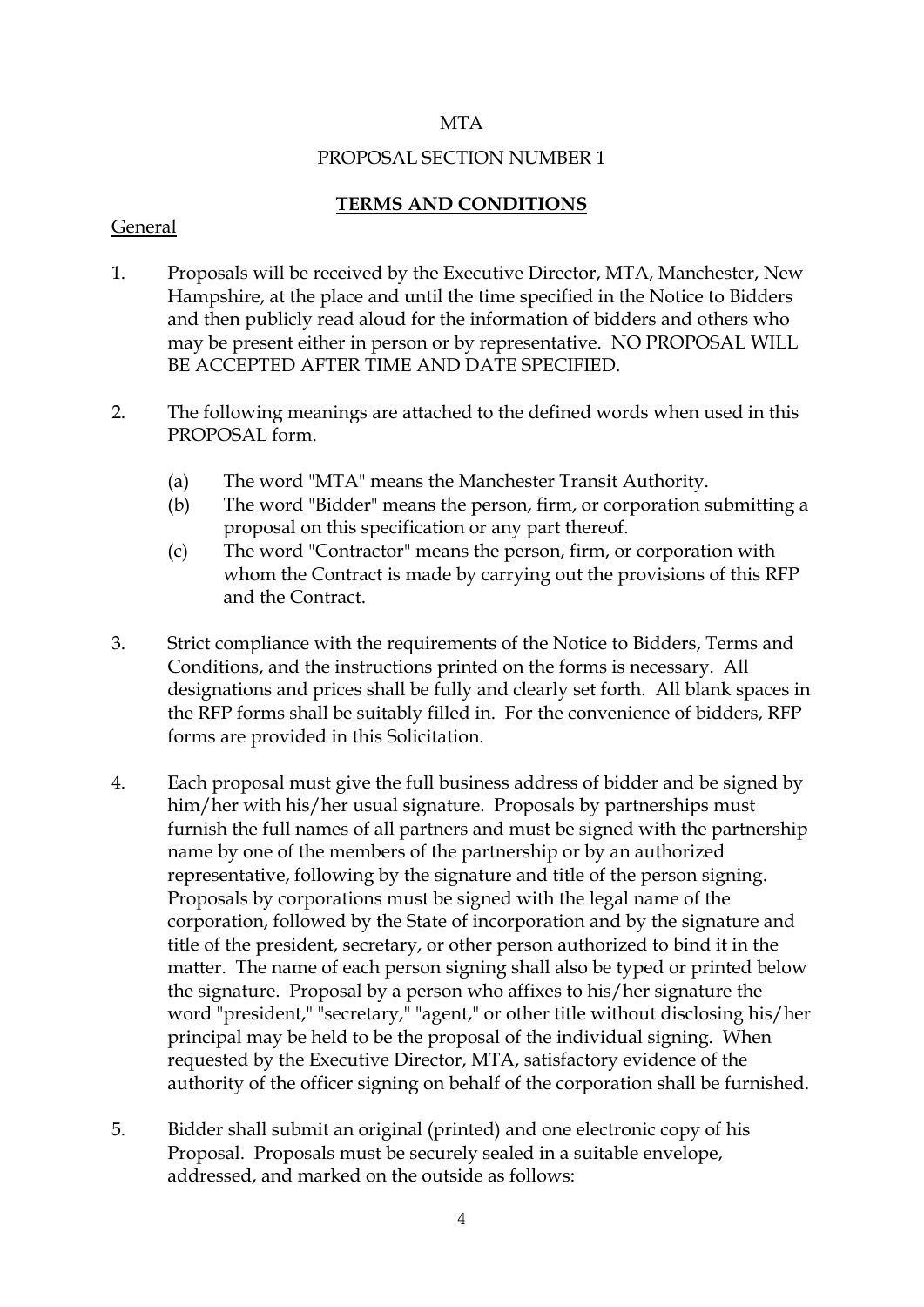### **MTA**

### PROPOSAL SECTION NUMBER 1

### **TERMS AND CONDITIONS**

### General

- 1. Proposals will be received by the Executive Director, MTA, Manchester, New Hampshire, at the place and until the time specified in the Notice to Bidders and then publicly read aloud for the information of bidders and others who may be present either in person or by representative. NO PROPOSAL WILL BE ACCEPTED AFTER TIME AND DATE SPECIFIED.
- 2. The following meanings are attached to the defined words when used in this PROPOSAL form.
	- (a) The word "MTA" means the Manchester Transit Authority.
	- (b) The word "Bidder" means the person, firm, or corporation submitting a proposal on this specification or any part thereof.
	- (c) The word "Contractor" means the person, firm, or corporation with whom the Contract is made by carrying out the provisions of this RFP and the Contract.
- 3. Strict compliance with the requirements of the Notice to Bidders, Terms and Conditions, and the instructions printed on the forms is necessary. All designations and prices shall be fully and clearly set forth. All blank spaces in the RFP forms shall be suitably filled in. For the convenience of bidders, RFP forms are provided in this Solicitation.
- 4. Each proposal must give the full business address of bidder and be signed by him/her with his/her usual signature. Proposals by partnerships must furnish the full names of all partners and must be signed with the partnership name by one of the members of the partnership or by an authorized representative, following by the signature and title of the person signing. Proposals by corporations must be signed with the legal name of the corporation, followed by the State of incorporation and by the signature and title of the president, secretary, or other person authorized to bind it in the matter. The name of each person signing shall also be typed or printed below the signature. Proposal by a person who affixes to his/her signature the word "president," "secretary," "agent," or other title without disclosing his/her principal may be held to be the proposal of the individual signing. When requested by the Executive Director, MTA, satisfactory evidence of the authority of the officer signing on behalf of the corporation shall be furnished.
- 5. Bidder shall submit an original (printed) and one electronic copy of his Proposal. Proposals must be securely sealed in a suitable envelope, addressed, and marked on the outside as follows: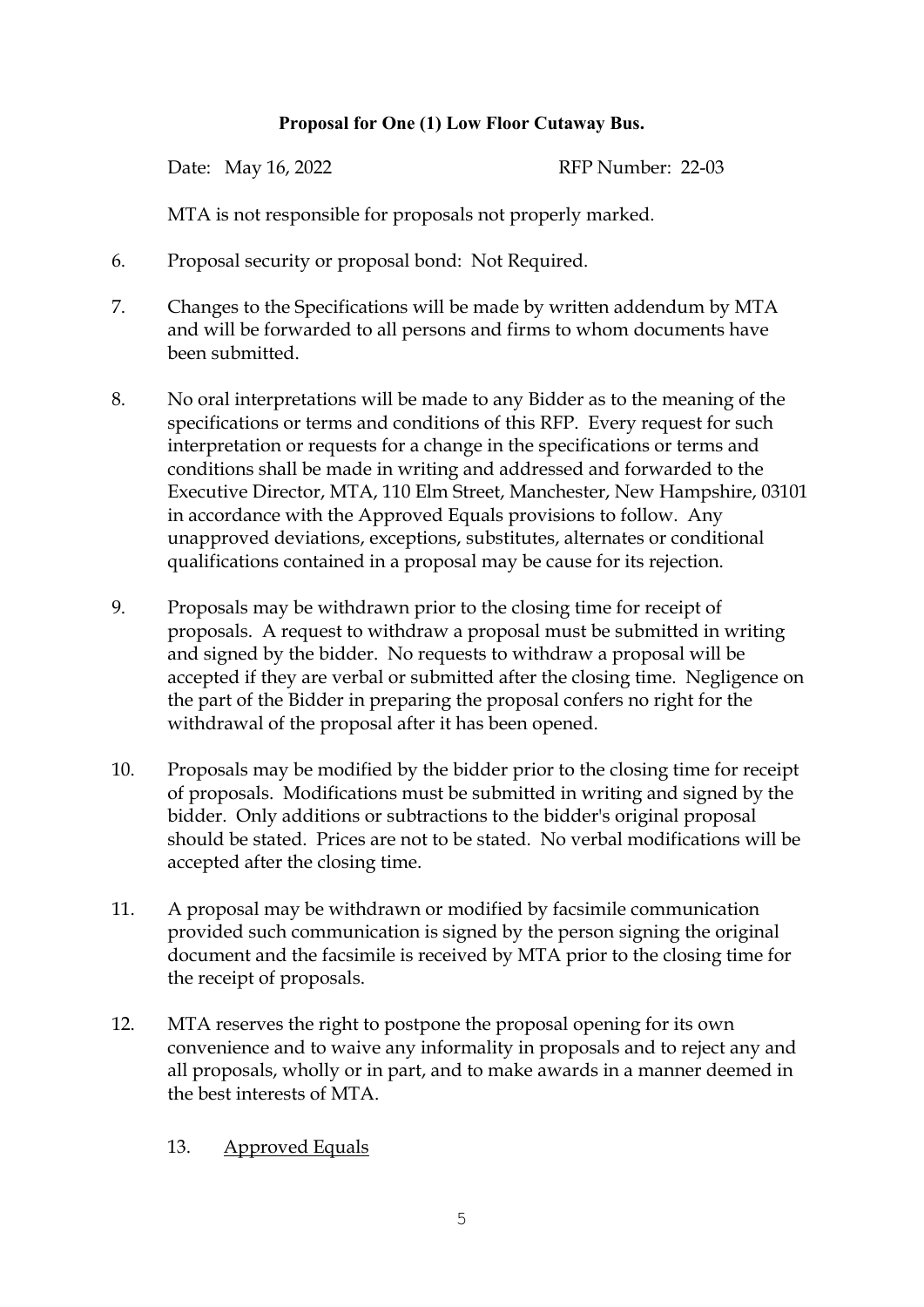### **Proposal for One (1) Low Floor Cutaway Bus.**

Date: May 16, 2022 RFP Number: 22-03

MTA is not responsible for proposals not properly marked.

- 6. Proposal security or proposal bond: Not Required.
- 7. Changes to the Specifications will be made by written addendum by MTA and will be forwarded to all persons and firms to whom documents have been submitted.
- 8. No oral interpretations will be made to any Bidder as to the meaning of the specifications or terms and conditions of this RFP. Every request for such interpretation or requests for a change in the specifications or terms and conditions shall be made in writing and addressed and forwarded to the Executive Director, MTA, 110 Elm Street, Manchester, New Hampshire, 03101 in accordance with the Approved Equals provisions to follow. Any unapproved deviations, exceptions, substitutes, alternates or conditional qualifications contained in a proposal may be cause for its rejection.
- 9. Proposals may be withdrawn prior to the closing time for receipt of proposals. A request to withdraw a proposal must be submitted in writing and signed by the bidder. No requests to withdraw a proposal will be accepted if they are verbal or submitted after the closing time. Negligence on the part of the Bidder in preparing the proposal confers no right for the withdrawal of the proposal after it has been opened.
- 10. Proposals may be modified by the bidder prior to the closing time for receipt of proposals. Modifications must be submitted in writing and signed by the bidder. Only additions or subtractions to the bidder's original proposal should be stated. Prices are not to be stated. No verbal modifications will be accepted after the closing time.
- 11. A proposal may be withdrawn or modified by facsimile communication provided such communication is signed by the person signing the original document and the facsimile is received by MTA prior to the closing time for the receipt of proposals.
- 12. MTA reserves the right to postpone the proposal opening for its own convenience and to waive any informality in proposals and to reject any and all proposals, wholly or in part, and to make awards in a manner deemed in the best interests of MTA.
	- 13. Approved Equals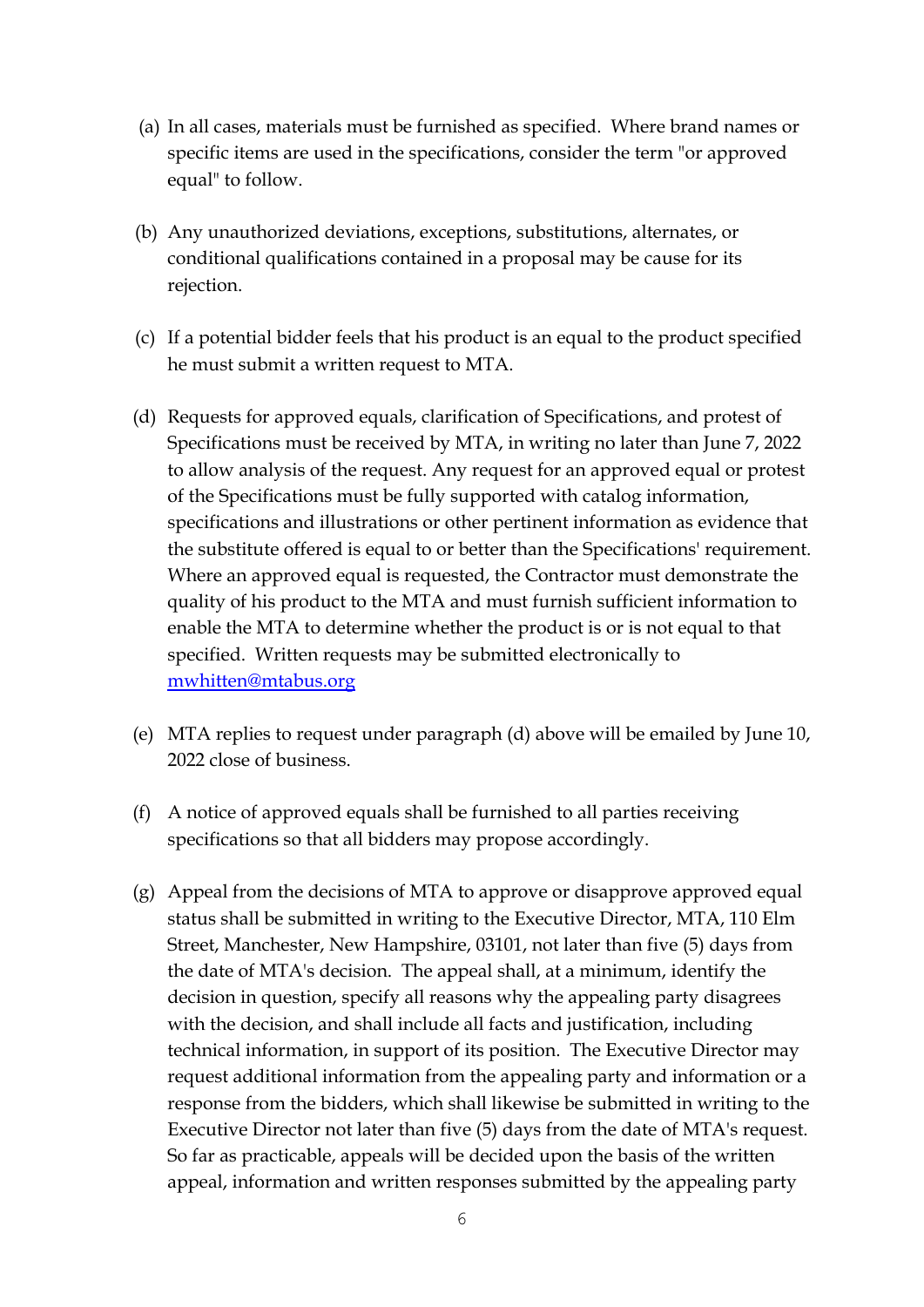- (a) In all cases, materials must be furnished as specified. Where brand names or specific items are used in the specifications, consider the term "or approved equal" to follow.
- (b) Any unauthorized deviations, exceptions, substitutions, alternates, or conditional qualifications contained in a proposal may be cause for its rejection.
- (c) If a potential bidder feels that his product is an equal to the product specified he must submit a written request to MTA.
- (d) Requests for approved equals, clarification of Specifications, and protest of Specifications must be received by MTA, in writing no later than June 7, 2022 to allow analysis of the request. Any request for an approved equal or protest of the Specifications must be fully supported with catalog information, specifications and illustrations or other pertinent information as evidence that the substitute offered is equal to or better than the Specifications' requirement. Where an approved equal is requested, the Contractor must demonstrate the quality of his product to the MTA and must furnish sufficient information to enable the MTA to determine whether the product is or is not equal to that specified. Written requests may be submitted electronically to [mwhitten@mtabus.org](mailto:mwhitten@mtabus.org)
- (e) MTA replies to request under paragraph (d) above will be emailed by June 10, 2022 close of business.
- (f) A notice of approved equals shall be furnished to all parties receiving specifications so that all bidders may propose accordingly.
- (g) Appeal from the decisions of MTA to approve or disapprove approved equal status shall be submitted in writing to the Executive Director, MTA, 110 Elm Street, Manchester, New Hampshire, 03101, not later than five (5) days from the date of MTA's decision. The appeal shall, at a minimum, identify the decision in question, specify all reasons why the appealing party disagrees with the decision, and shall include all facts and justification, including technical information, in support of its position. The Executive Director may request additional information from the appealing party and information or a response from the bidders, which shall likewise be submitted in writing to the Executive Director not later than five (5) days from the date of MTA's request. So far as practicable, appeals will be decided upon the basis of the written appeal, information and written responses submitted by the appealing party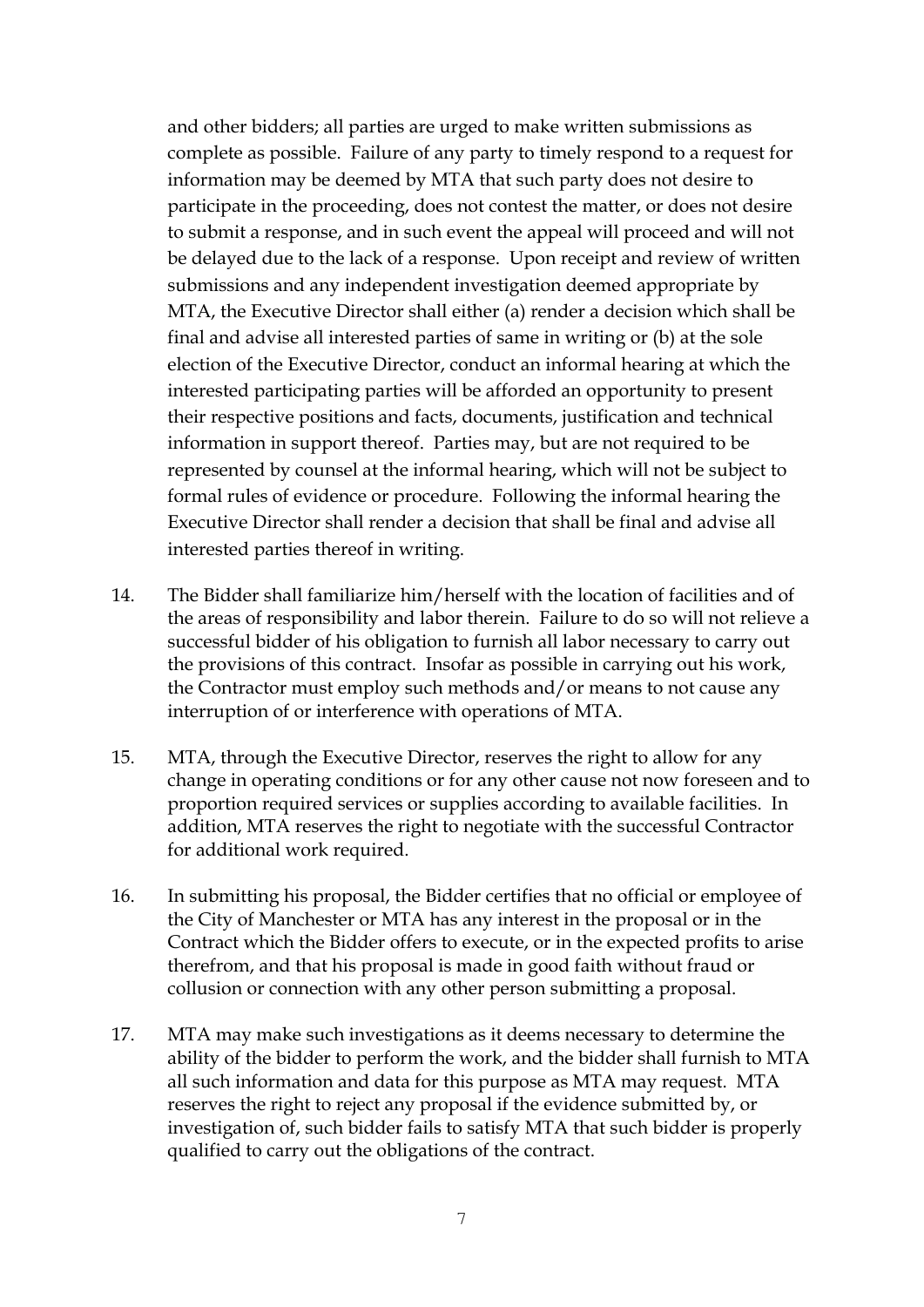and other bidders; all parties are urged to make written submissions as complete as possible. Failure of any party to timely respond to a request for information may be deemed by MTA that such party does not desire to participate in the proceeding, does not contest the matter, or does not desire to submit a response, and in such event the appeal will proceed and will not be delayed due to the lack of a response. Upon receipt and review of written submissions and any independent investigation deemed appropriate by MTA, the Executive Director shall either (a) render a decision which shall be final and advise all interested parties of same in writing or (b) at the sole election of the Executive Director, conduct an informal hearing at which the interested participating parties will be afforded an opportunity to present their respective positions and facts, documents, justification and technical information in support thereof. Parties may, but are not required to be represented by counsel at the informal hearing, which will not be subject to formal rules of evidence or procedure. Following the informal hearing the Executive Director shall render a decision that shall be final and advise all interested parties thereof in writing.

- 14. The Bidder shall familiarize him/herself with the location of facilities and of the areas of responsibility and labor therein. Failure to do so will not relieve a successful bidder of his obligation to furnish all labor necessary to carry out the provisions of this contract. Insofar as possible in carrying out his work, the Contractor must employ such methods and/or means to not cause any interruption of or interference with operations of MTA.
- 15. MTA, through the Executive Director, reserves the right to allow for any change in operating conditions or for any other cause not now foreseen and to proportion required services or supplies according to available facilities. In addition, MTA reserves the right to negotiate with the successful Contractor for additional work required.
- 16. In submitting his proposal, the Bidder certifies that no official or employee of the City of Manchester or MTA has any interest in the proposal or in the Contract which the Bidder offers to execute, or in the expected profits to arise therefrom, and that his proposal is made in good faith without fraud or collusion or connection with any other person submitting a proposal.
- 17. MTA may make such investigations as it deems necessary to determine the ability of the bidder to perform the work, and the bidder shall furnish to MTA all such information and data for this purpose as MTA may request. MTA reserves the right to reject any proposal if the evidence submitted by, or investigation of, such bidder fails to satisfy MTA that such bidder is properly qualified to carry out the obligations of the contract.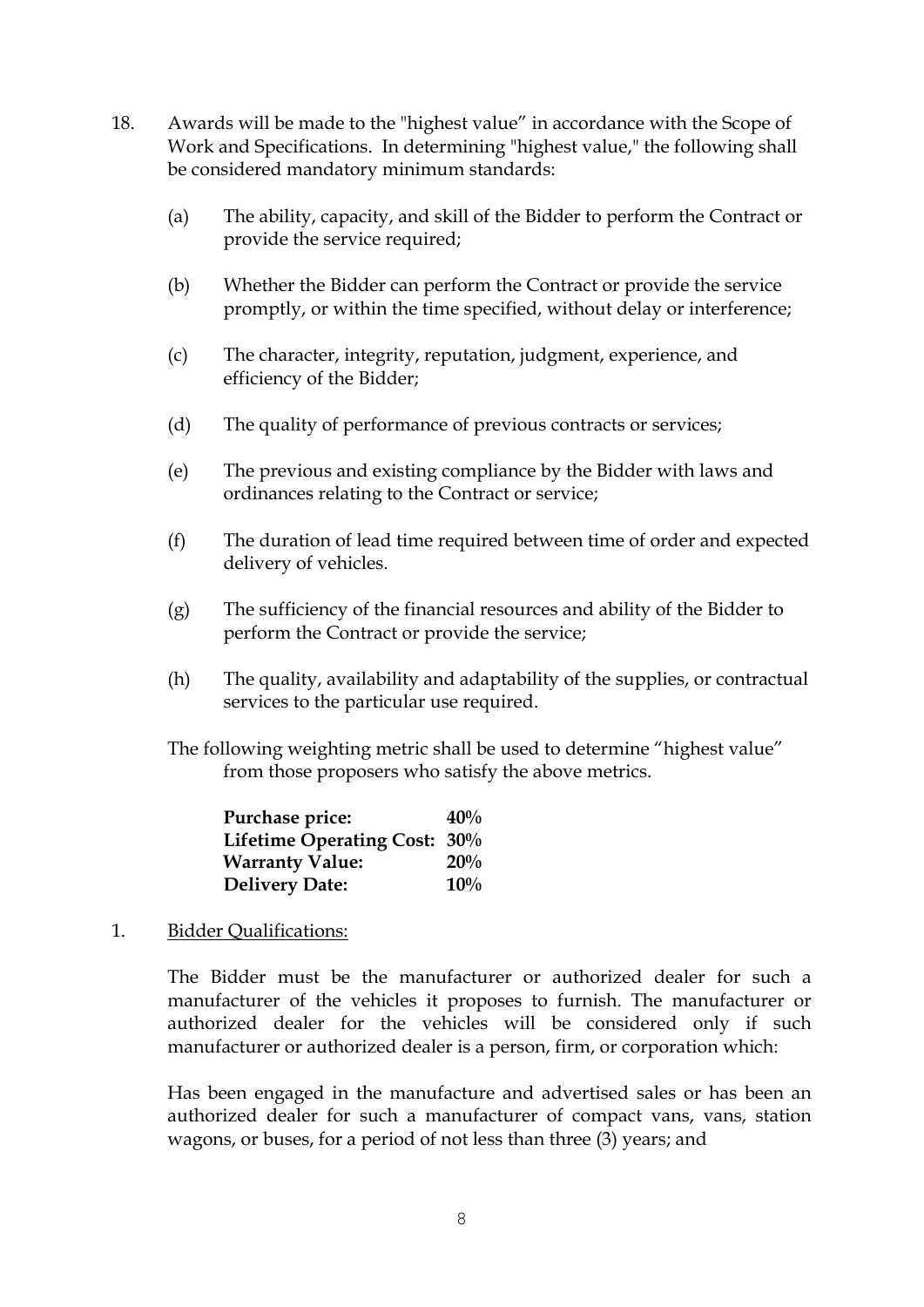- 18. Awards will be made to the "highest value" in accordance with the Scope of Work and Specifications. In determining "highest value," the following shall be considered mandatory minimum standards:
	- (a) The ability, capacity, and skill of the Bidder to perform the Contract or provide the service required;
	- (b) Whether the Bidder can perform the Contract or provide the service promptly, or within the time specified, without delay or interference;
	- (c) The character, integrity, reputation, judgment, experience, and efficiency of the Bidder;
	- (d) The quality of performance of previous contracts or services;
	- (e) The previous and existing compliance by the Bidder with laws and ordinances relating to the Contract or service;
	- (f) The duration of lead time required between time of order and expected delivery of vehicles.
	- (g) The sufficiency of the financial resources and ability of the Bidder to perform the Contract or provide the service;
	- (h) The quality, availability and adaptability of the supplies, or contractual services to the particular use required.
	- The following weighting metric shall be used to determine "highest value" from those proposers who satisfy the above metrics.

| Purchase price:              | 40% |
|------------------------------|-----|
| Lifetime Operating Cost: 30% |     |
| <b>Warranty Value:</b>       | 20% |
| <b>Delivery Date:</b>        | 10% |

1. Bidder Qualifications:

The Bidder must be the manufacturer or authorized dealer for such a manufacturer of the vehicles it proposes to furnish. The manufacturer or authorized dealer for the vehicles will be considered only if such manufacturer or authorized dealer is a person, firm, or corporation which:

Has been engaged in the manufacture and advertised sales or has been an authorized dealer for such a manufacturer of compact vans, vans, station wagons, or buses, for a period of not less than three (3) years; and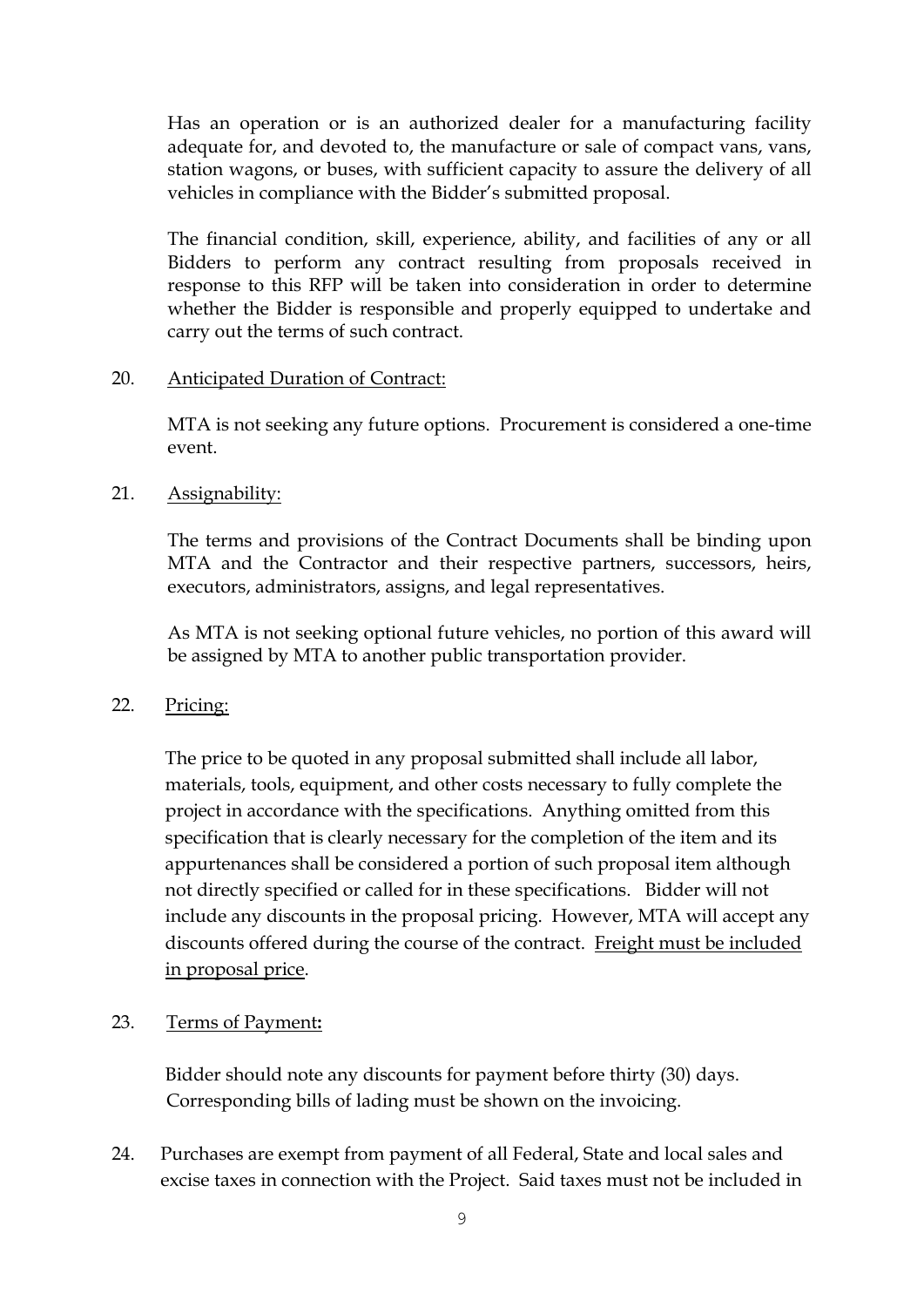Has an operation or is an authorized dealer for a manufacturing facility adequate for, and devoted to, the manufacture or sale of compact vans, vans, station wagons, or buses, with sufficient capacity to assure the delivery of all vehicles in compliance with the Bidder's submitted proposal.

The financial condition, skill, experience, ability, and facilities of any or all Bidders to perform any contract resulting from proposals received in response to this RFP will be taken into consideration in order to determine whether the Bidder is responsible and properly equipped to undertake and carry out the terms of such contract.

### 20. Anticipated Duration of Contract:

MTA is not seeking any future options. Procurement is considered a one-time event.

### 21. Assignability:

The terms and provisions of the Contract Documents shall be binding upon MTA and the Contractor and their respective partners, successors, heirs, executors, administrators, assigns, and legal representatives.

As MTA is not seeking optional future vehicles, no portion of this award will be assigned by MTA to another public transportation provider.

### 22. Pricing:

The price to be quoted in any proposal submitted shall include all labor, materials, tools, equipment, and other costs necessary to fully complete the project in accordance with the specifications. Anything omitted from this specification that is clearly necessary for the completion of the item and its appurtenances shall be considered a portion of such proposal item although not directly specified or called for in these specifications. Bidder will not include any discounts in the proposal pricing. However, MTA will accept any discounts offered during the course of the contract. Freight must be included in proposal price.

### 23. Terms of Payment**:**

Bidder should note any discounts for payment before thirty (30) days. Corresponding bills of lading must be shown on the invoicing.

24. Purchases are exempt from payment of all Federal, State and local sales and excise taxes in connection with the Project. Said taxes must not be included in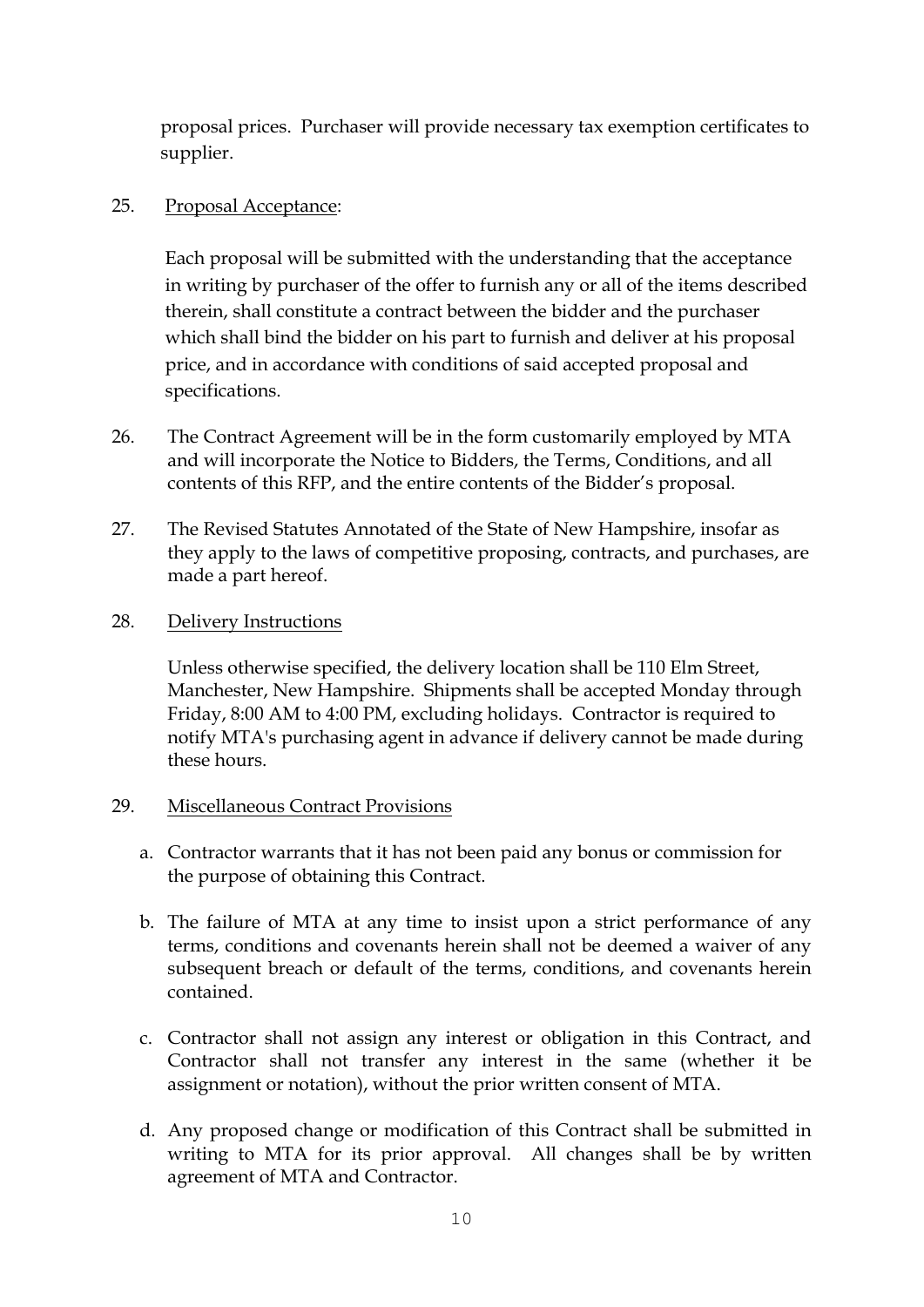proposal prices. Purchaser will provide necessary tax exemption certificates to supplier.

### 25. Proposal Acceptance:

Each proposal will be submitted with the understanding that the acceptance in writing by purchaser of the offer to furnish any or all of the items described therein, shall constitute a contract between the bidder and the purchaser which shall bind the bidder on his part to furnish and deliver at his proposal price, and in accordance with conditions of said accepted proposal and specifications.

- 26. The Contract Agreement will be in the form customarily employed by MTA and will incorporate the Notice to Bidders, the Terms, Conditions, and all contents of this RFP, and the entire contents of the Bidder's proposal.
- 27. The Revised Statutes Annotated of the State of New Hampshire, insofar as they apply to the laws of competitive proposing, contracts, and purchases, are made a part hereof.
- 28. Delivery Instructions

Unless otherwise specified, the delivery location shall be 110 Elm Street, Manchester, New Hampshire. Shipments shall be accepted Monday through Friday, 8:00 AM to 4:00 PM, excluding holidays. Contractor is required to notify MTA's purchasing agent in advance if delivery cannot be made during these hours.

### 29. Miscellaneous Contract Provisions

- a. Contractor warrants that it has not been paid any bonus or commission for the purpose of obtaining this Contract.
- b. The failure of MTA at any time to insist upon a strict performance of any terms, conditions and covenants herein shall not be deemed a waiver of any subsequent breach or default of the terms, conditions, and covenants herein contained.
- c. Contractor shall not assign any interest or obligation in this Contract, and Contractor shall not transfer any interest in the same (whether it be assignment or notation), without the prior written consent of MTA.
- d. Any proposed change or modification of this Contract shall be submitted in writing to MTA for its prior approval. All changes shall be by written agreement of MTA and Contractor.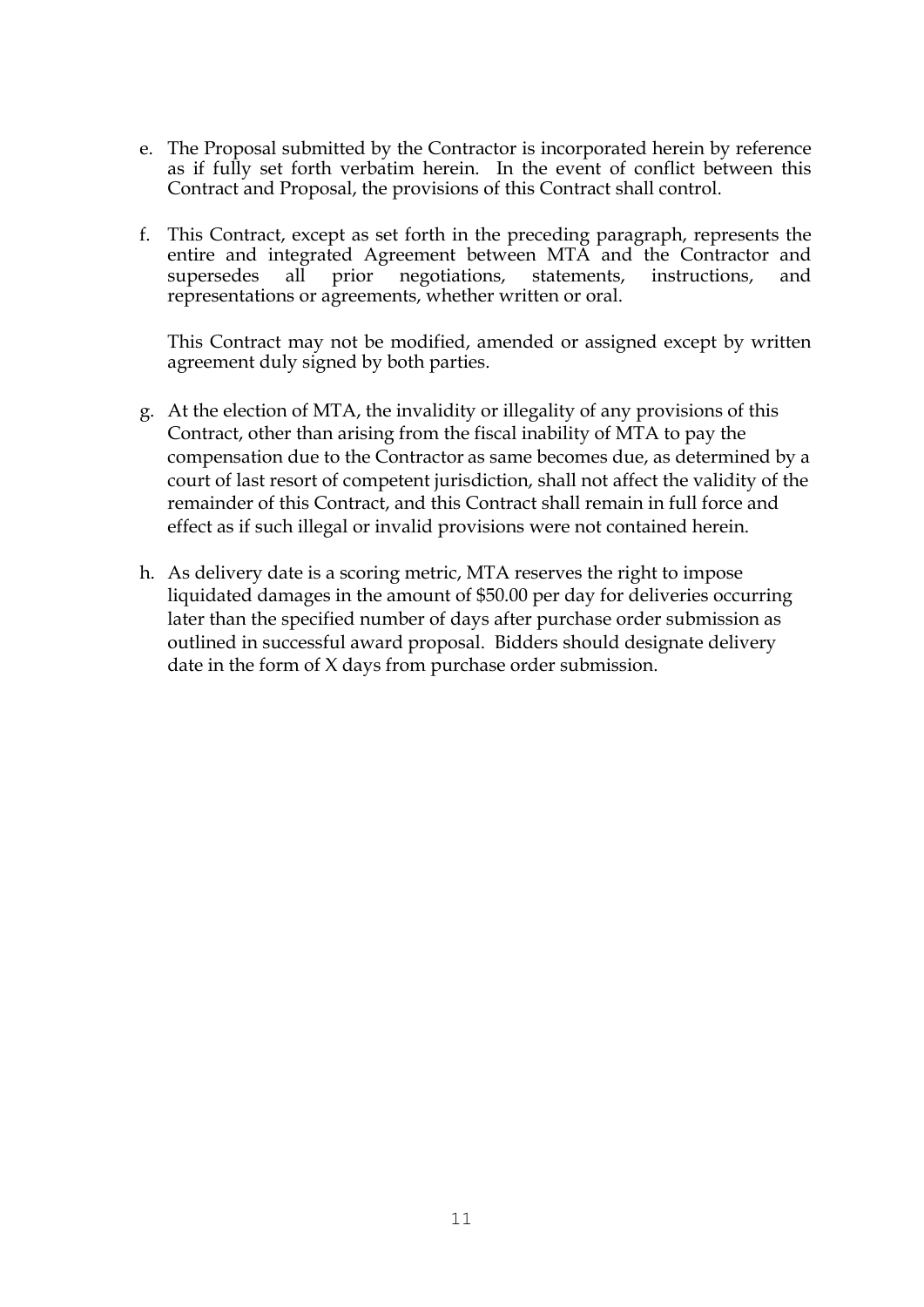- e. The Proposal submitted by the Contractor is incorporated herein by reference as if fully set forth verbatim herein. In the event of conflict between this Contract and Proposal, the provisions of this Contract shall control.
- f. This Contract, except as set forth in the preceding paragraph, represents the entire and integrated Agreement between MTA and the Contractor and supersedes all prior negotiations, statements, instructions, and representations or agreements, whether written or oral.

This Contract may not be modified, amended or assigned except by written agreement duly signed by both parties.

- g. At the election of MTA, the invalidity or illegality of any provisions of this Contract, other than arising from the fiscal inability of MTA to pay the compensation due to the Contractor as same becomes due, as determined by a court of last resort of competent jurisdiction, shall not affect the validity of the remainder of this Contract, and this Contract shall remain in full force and effect as if such illegal or invalid provisions were not contained herein.
- h. As delivery date is a scoring metric, MTA reserves the right to impose liquidated damages in the amount of \$50.00 per day for deliveries occurring later than the specified number of days after purchase order submission as outlined in successful award proposal. Bidders should designate delivery date in the form of X days from purchase order submission.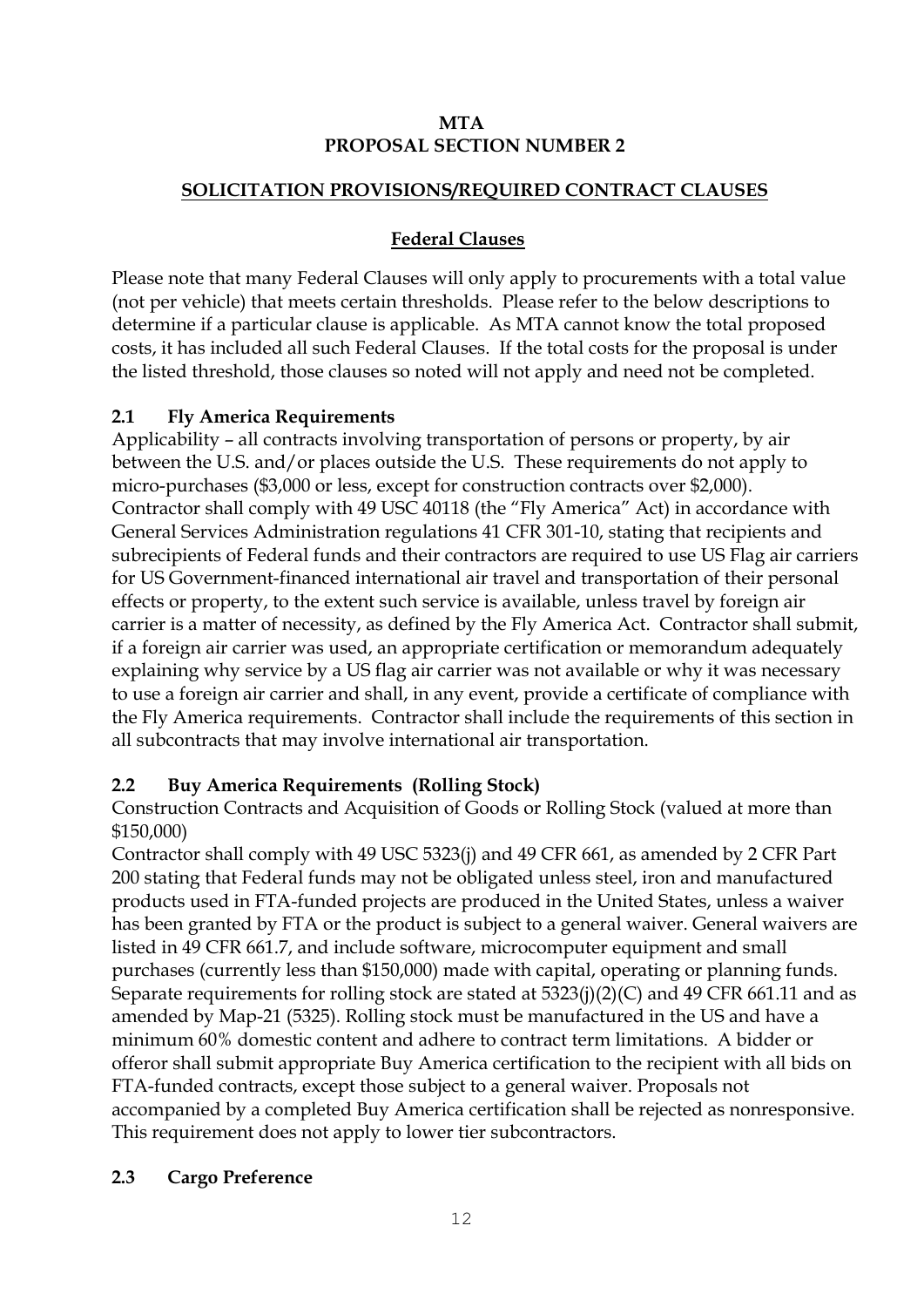### **MTA PROPOSAL SECTION NUMBER 2**

### **SOLICITATION PROVISIONS/REQUIRED CONTRACT CLAUSES**

## **Federal Clauses**

Please note that many Federal Clauses will only apply to procurements with a total value (not per vehicle) that meets certain thresholds. Please refer to the below descriptions to determine if a particular clause is applicable. As MTA cannot know the total proposed costs, it has included all such Federal Clauses. If the total costs for the proposal is under the listed threshold, those clauses so noted will not apply and need not be completed.

### **2.1 Fly America Requirements**

Applicability – all contracts involving transportation of persons or property, by air between the U.S. and/or places outside the U.S. These requirements do not apply to micro-purchases (\$3,000 or less, except for construction contracts over \$2,000). Contractor shall comply with 49 USC 40118 (the "Fly America" Act) in accordance with General Services Administration regulations 41 CFR 301-10, stating that recipients and subrecipients of Federal funds and their contractors are required to use US Flag air carriers for US Government-financed international air travel and transportation of their personal effects or property, to the extent such service is available, unless travel by foreign air carrier is a matter of necessity, as defined by the Fly America Act. Contractor shall submit, if a foreign air carrier was used, an appropriate certification or memorandum adequately explaining why service by a US flag air carrier was not available or why it was necessary to use a foreign air carrier and shall, in any event, provide a certificate of compliance with the Fly America requirements. Contractor shall include the requirements of this section in all subcontracts that may involve international air transportation.

# **2.2 Buy America Requirements (Rolling Stock)**

Construction Contracts and Acquisition of Goods or Rolling Stock (valued at more than \$150,000)

Contractor shall comply with 49 USC 5323(j) and 49 CFR 661, as amended by 2 CFR Part 200 stating that Federal funds may not be obligated unless steel, iron and manufactured products used in FTA-funded projects are produced in the United States, unless a waiver has been granted by FTA or the product is subject to a general waiver. General waivers are listed in 49 CFR 661.7, and include software, microcomputer equipment and small purchases (currently less than \$150,000) made with capital, operating or planning funds. Separate requirements for rolling stock are stated at 5323(j)(2)(C) and 49 CFR 661.11 and as amended by Map-21 (5325). Rolling stock must be manufactured in the US and have a minimum 60% domestic content and adhere to contract term limitations. A bidder or offeror shall submit appropriate Buy America certification to the recipient with all bids on FTA-funded contracts, except those subject to a general waiver. Proposals not accompanied by a completed Buy America certification shall be rejected as nonresponsive. This requirement does not apply to lower tier subcontractors.

### **2.3 Cargo Preference**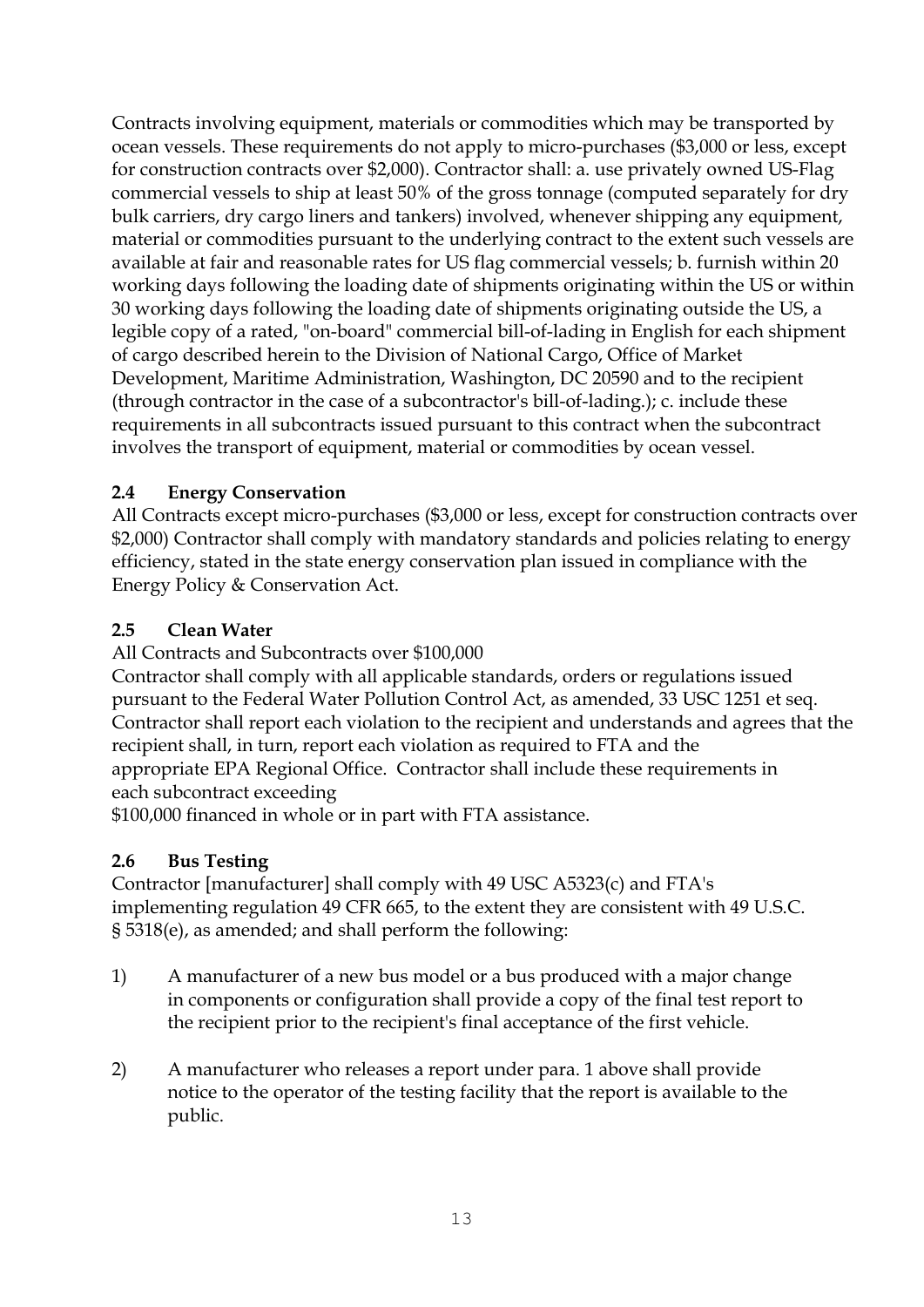Contracts involving equipment, materials or commodities which may be transported by ocean vessels. These requirements do not apply to micro-purchases (\$3,000 or less, except for construction contracts over \$2,000). Contractor shall: a. use privately owned US-Flag commercial vessels to ship at least 50% of the gross tonnage (computed separately for dry bulk carriers, dry cargo liners and tankers) involved, whenever shipping any equipment, material or commodities pursuant to the underlying contract to the extent such vessels are available at fair and reasonable rates for US flag commercial vessels; b. furnish within 20 working days following the loading date of shipments originating within the US or within 30 working days following the loading date of shipments originating outside the US, a legible copy of a rated, "on-board" commercial bill-of-lading in English for each shipment of cargo described herein to the Division of National Cargo, Office of Market Development, Maritime Administration, Washington, DC 20590 and to the recipient (through contractor in the case of a subcontractor's bill-of-lading.); c. include these requirements in all subcontracts issued pursuant to this contract when the subcontract involves the transport of equipment, material or commodities by ocean vessel.

### **2.4 Energy Conservation**

All Contracts except micro-purchases (\$3,000 or less, except for construction contracts over \$2,000) Contractor shall comply with mandatory standards and policies relating to energy efficiency, stated in the state energy conservation plan issued in compliance with the Energy Policy & Conservation Act.

### **2.5 Clean Water**

All Contracts and Subcontracts over \$100,000

Contractor shall comply with all applicable standards, orders or regulations issued pursuant to the Federal Water Pollution Control Act, as amended, 33 USC 1251 et seq. Contractor shall report each violation to the recipient and understands and agrees that the recipient shall, in turn, report each violation as required to FTA and the appropriate EPA Regional Office. Contractor shall include these requirements in each subcontract exceeding

\$100,000 financed in whole or in part with FTA assistance.

### **2.6 Bus Testing**

Contractor [manufacturer] shall comply with 49 USC A5323(c) and FTA's implementing regulation 49 CFR 665, to the extent they are consistent with 49 U.S.C. § 5318(e), as amended; and shall perform the following:

- 1) A manufacturer of a new bus model or a bus produced with a major change in components or configuration shall provide a copy of the final test report to the recipient prior to the recipient's final acceptance of the first vehicle.
- 2) A manufacturer who releases a report under para. 1 above shall provide notice to the operator of the testing facility that the report is available to the public.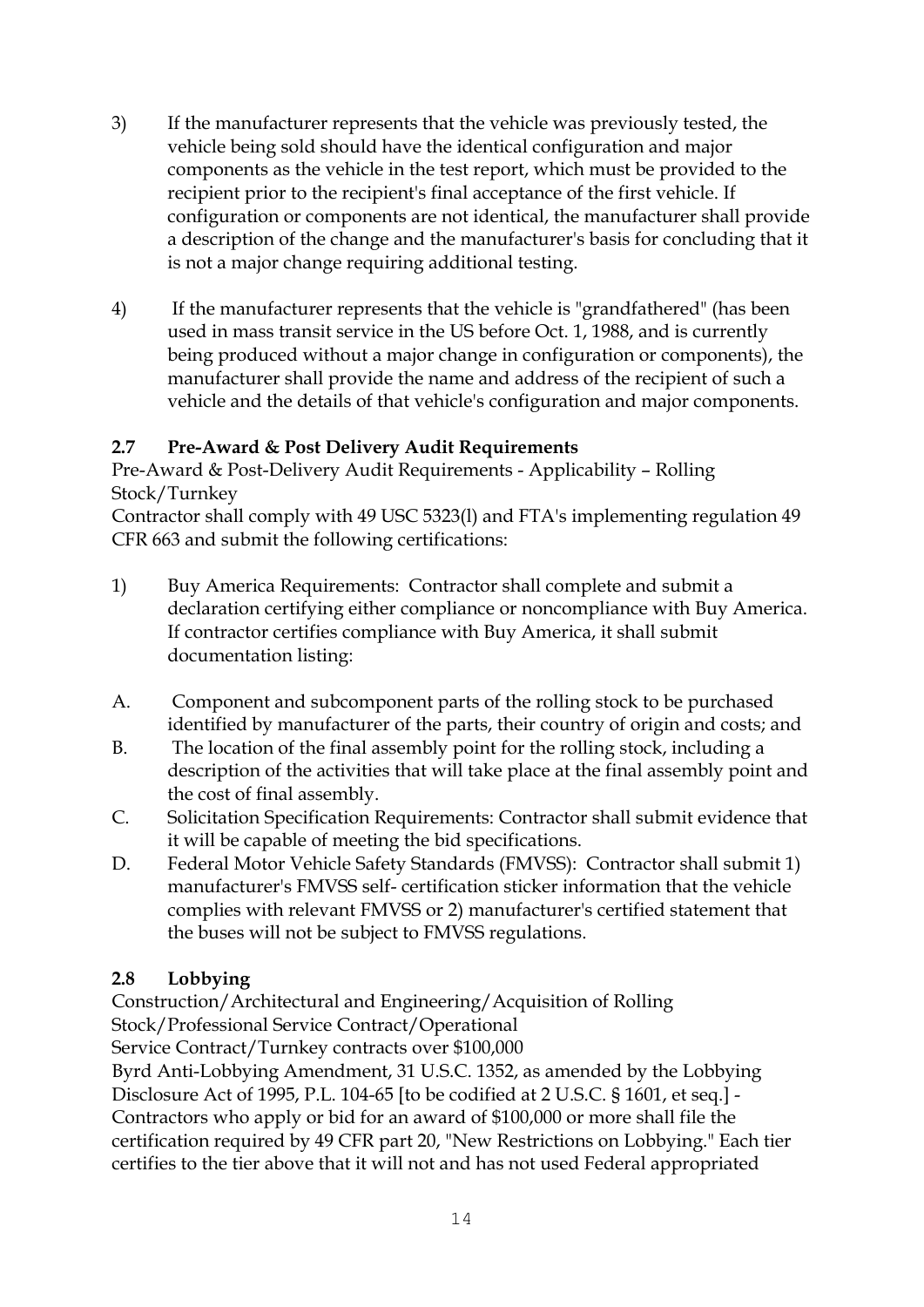- 3) If the manufacturer represents that the vehicle was previously tested, the vehicle being sold should have the identical configuration and major components as the vehicle in the test report, which must be provided to the recipient prior to the recipient's final acceptance of the first vehicle. If configuration or components are not identical, the manufacturer shall provide a description of the change and the manufacturer's basis for concluding that it is not a major change requiring additional testing.
- 4) If the manufacturer represents that the vehicle is "grandfathered" (has been used in mass transit service in the US before Oct. 1, 1988, and is currently being produced without a major change in configuration or components), the manufacturer shall provide the name and address of the recipient of such a vehicle and the details of that vehicle's configuration and major components.

### **2.7 Pre-Award & Post Delivery Audit Requirements**

Pre-Award & Post-Delivery Audit Requirements - Applicability – Rolling Stock/Turnkey

Contractor shall comply with 49 USC 5323(l) and FTA's implementing regulation 49 CFR 663 and submit the following certifications:

- 1) Buy America Requirements: Contractor shall complete and submit a declaration certifying either compliance or noncompliance with Buy America. If contractor certifies compliance with Buy America, it shall submit documentation listing:
- A. Component and subcomponent parts of the rolling stock to be purchased identified by manufacturer of the parts, their country of origin and costs; and
- B. The location of the final assembly point for the rolling stock, including a description of the activities that will take place at the final assembly point and the cost of final assembly.
- C. Solicitation Specification Requirements: Contractor shall submit evidence that it will be capable of meeting the bid specifications.
- D. Federal Motor Vehicle Safety Standards (FMVSS): Contractor shall submit 1) manufacturer's FMVSS self- certification sticker information that the vehicle complies with relevant FMVSS or 2) manufacturer's certified statement that the buses will not be subject to FMVSS regulations.

# **2.8 Lobbying**

Construction/Architectural and Engineering/Acquisition of Rolling Stock/Professional Service Contract/Operational

Service Contract/Turnkey contracts over \$100,000

Byrd Anti-Lobbying Amendment, 31 U.S.C. 1352, as amended by the Lobbying Disclosure Act of 1995, P.L. 104-65 [to be codified at 2 U.S.C. § 1601, et seq.] - Contractors who apply or bid for an award of \$100,000 or more shall file the certification required by 49 CFR part 20, "New Restrictions on Lobbying." Each tier certifies to the tier above that it will not and has not used Federal appropriated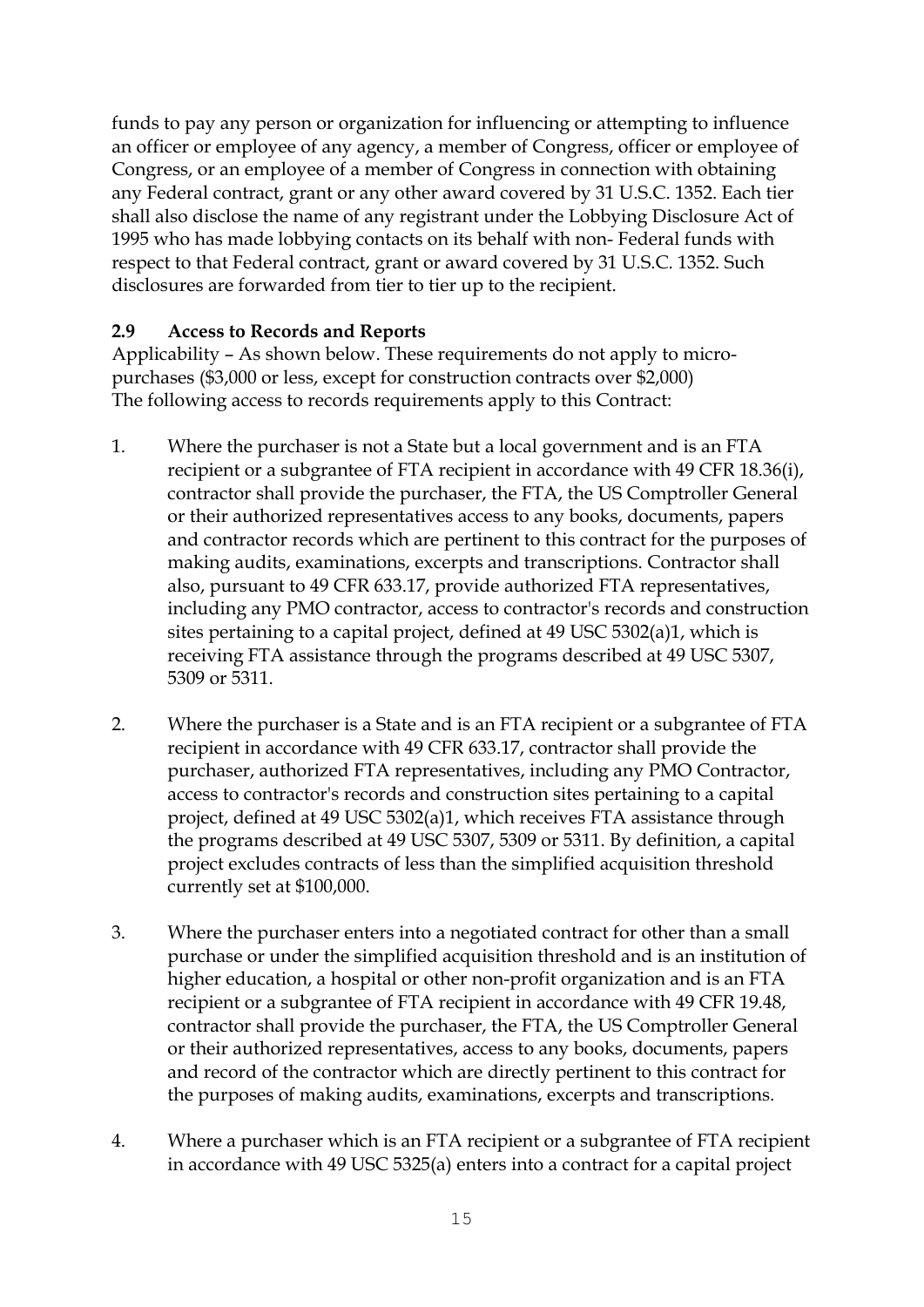funds to pay any person or organization for influencing or attempting to influence an officer or employee of any agency, a member of Congress, officer or employee of Congress, or an employee of a member of Congress in connection with obtaining any Federal contract, grant or any other award covered by 31 U.S.C. 1352. Each tier shall also disclose the name of any registrant under the Lobbying Disclosure Act of 1995 who has made lobbying contacts on its behalf with non- Federal funds with respect to that Federal contract, grant or award covered by 31 U.S.C. 1352. Such disclosures are forwarded from tier to tier up to the recipient.

### **2.9 Access to Records and Reports**

Applicability – As shown below. These requirements do not apply to micropurchases (\$3,000 or less, except for construction contracts over \$2,000) The following access to records requirements apply to this Contract:

- 1. Where the purchaser is not a State but a local government and is an FTA recipient or a subgrantee of FTA recipient in accordance with 49 CFR 18.36(i), contractor shall provide the purchaser, the FTA, the US Comptroller General or their authorized representatives access to any books, documents, papers and contractor records which are pertinent to this contract for the purposes of making audits, examinations, excerpts and transcriptions. Contractor shall also, pursuant to 49 CFR 633.17, provide authorized FTA representatives, including any PMO contractor, access to contractor's records and construction sites pertaining to a capital project, defined at 49 USC 5302(a)1, which is receiving FTA assistance through the programs described at 49 USC 5307, 5309 or 5311.
- 2. Where the purchaser is a State and is an FTA recipient or a subgrantee of FTA recipient in accordance with 49 CFR 633.17, contractor shall provide the purchaser, authorized FTA representatives, including any PMO Contractor, access to contractor's records and construction sites pertaining to a capital project, defined at 49 USC 5302(a)1, which receives FTA assistance through the programs described at 49 USC 5307, 5309 or 5311. By definition, a capital project excludes contracts of less than the simplified acquisition threshold currently set at \$100,000.
- 3. Where the purchaser enters into a negotiated contract for other than a small purchase or under the simplified acquisition threshold and is an institution of higher education, a hospital or other non-profit organization and is an FTA recipient or a subgrantee of FTA recipient in accordance with 49 CFR 19.48, contractor shall provide the purchaser, the FTA, the US Comptroller General or their authorized representatives, access to any books, documents, papers and record of the contractor which are directly pertinent to this contract for the purposes of making audits, examinations, excerpts and transcriptions.
- 4. Where a purchaser which is an FTA recipient or a subgrantee of FTA recipient in accordance with 49 USC 5325(a) enters into a contract for a capital project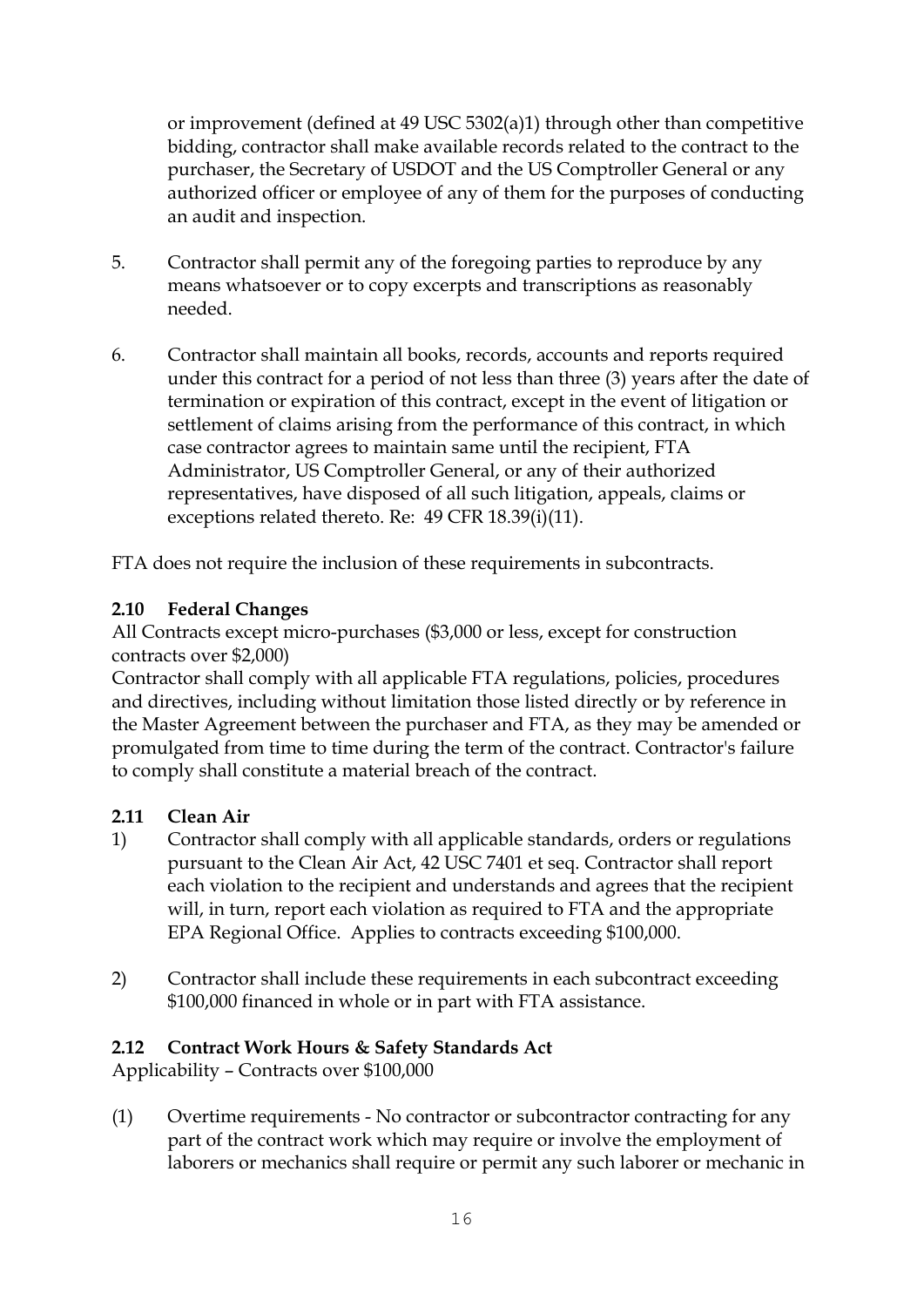or improvement (defined at 49 USC 5302(a)1) through other than competitive bidding, contractor shall make available records related to the contract to the purchaser, the Secretary of USDOT and the US Comptroller General or any authorized officer or employee of any of them for the purposes of conducting an audit and inspection.

- 5. Contractor shall permit any of the foregoing parties to reproduce by any means whatsoever or to copy excerpts and transcriptions as reasonably needed.
- 6. Contractor shall maintain all books, records, accounts and reports required under this contract for a period of not less than three (3) years after the date of termination or expiration of this contract, except in the event of litigation or settlement of claims arising from the performance of this contract, in which case contractor agrees to maintain same until the recipient, FTA Administrator, US Comptroller General, or any of their authorized representatives, have disposed of all such litigation, appeals, claims or exceptions related thereto. Re: 49 CFR 18.39(i)(11).

FTA does not require the inclusion of these requirements in subcontracts.

# **2.10 Federal Changes**

All Contracts except micro-purchases (\$3,000 or less, except for construction contracts over \$2,000)

Contractor shall comply with all applicable FTA regulations, policies, procedures and directives, including without limitation those listed directly or by reference in the Master Agreement between the purchaser and FTA, as they may be amended or promulgated from time to time during the term of the contract. Contractor's failure to comply shall constitute a material breach of the contract.

### **2.11 Clean Air**

- 1) Contractor shall comply with all applicable standards, orders or regulations pursuant to the Clean Air Act, 42 USC 7401 et seq. Contractor shall report each violation to the recipient and understands and agrees that the recipient will, in turn, report each violation as required to FTA and the appropriate EPA Regional Office. Applies to contracts exceeding \$100,000.
- 2) Contractor shall include these requirements in each subcontract exceeding \$100,000 financed in whole or in part with FTA assistance.

### **2.12 Contract Work Hours & Safety Standards Act**

Applicability – Contracts over \$100,000

(1) Overtime requirements - No contractor or subcontractor contracting for any part of the contract work which may require or involve the employment of laborers or mechanics shall require or permit any such laborer or mechanic in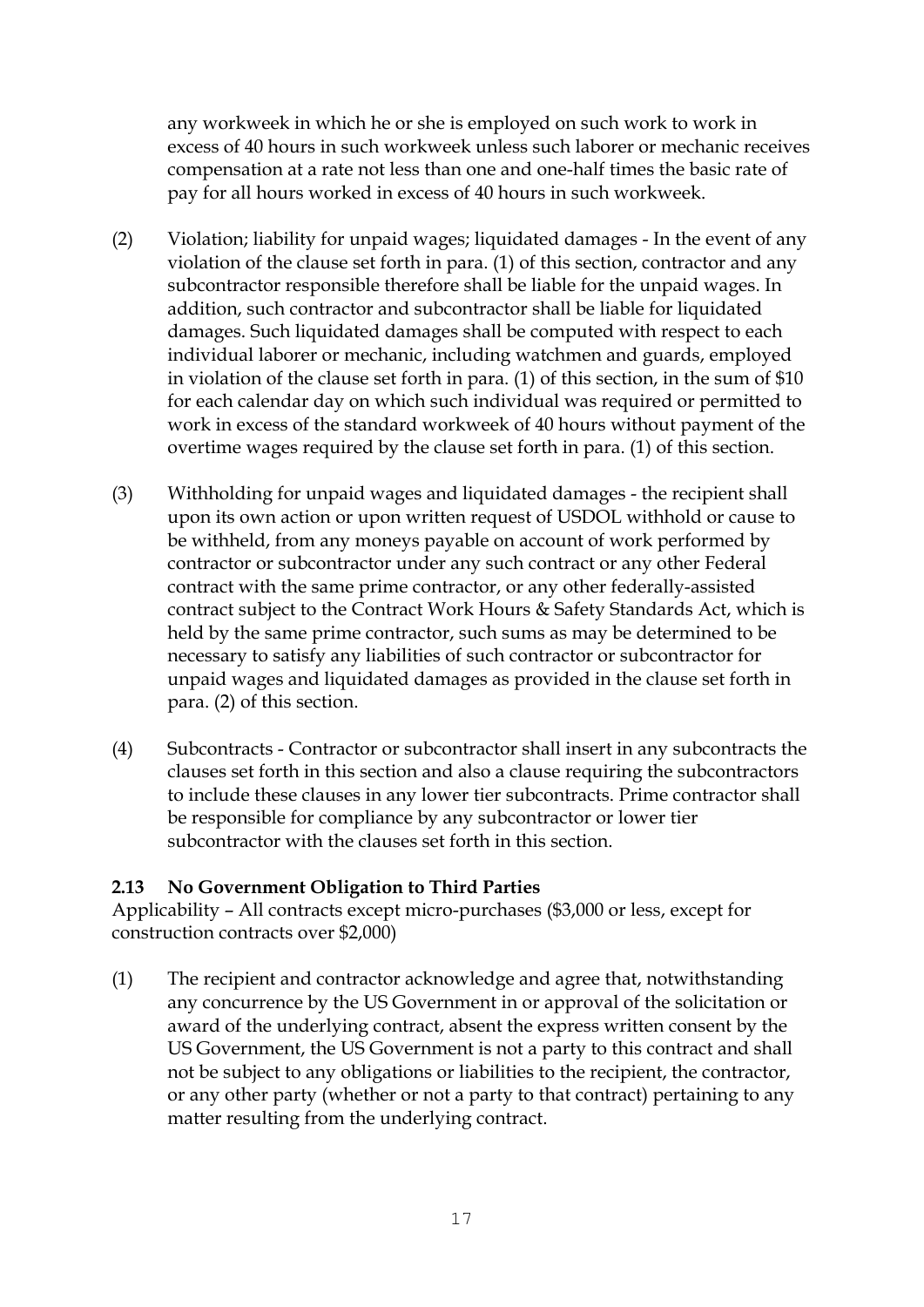any workweek in which he or she is employed on such work to work in excess of 40 hours in such workweek unless such laborer or mechanic receives compensation at a rate not less than one and one-half times the basic rate of pay for all hours worked in excess of 40 hours in such workweek.

- (2) Violation; liability for unpaid wages; liquidated damages In the event of any violation of the clause set forth in para. (1) of this section, contractor and any subcontractor responsible therefore shall be liable for the unpaid wages. In addition, such contractor and subcontractor shall be liable for liquidated damages. Such liquidated damages shall be computed with respect to each individual laborer or mechanic, including watchmen and guards, employed in violation of the clause set forth in para. (1) of this section, in the sum of \$10 for each calendar day on which such individual was required or permitted to work in excess of the standard workweek of 40 hours without payment of the overtime wages required by the clause set forth in para. (1) of this section.
- (3) Withholding for unpaid wages and liquidated damages the recipient shall upon its own action or upon written request of USDOL withhold or cause to be withheld, from any moneys payable on account of work performed by contractor or subcontractor under any such contract or any other Federal contract with the same prime contractor, or any other federally-assisted contract subject to the Contract Work Hours & Safety Standards Act, which is held by the same prime contractor, such sums as may be determined to be necessary to satisfy any liabilities of such contractor or subcontractor for unpaid wages and liquidated damages as provided in the clause set forth in para. (2) of this section.
- (4) Subcontracts Contractor or subcontractor shall insert in any subcontracts the clauses set forth in this section and also a clause requiring the subcontractors to include these clauses in any lower tier subcontracts. Prime contractor shall be responsible for compliance by any subcontractor or lower tier subcontractor with the clauses set forth in this section.

### **2.13 No Government Obligation to Third Parties**

Applicability – All contracts except micro-purchases (\$3,000 or less, except for construction contracts over \$2,000)

(1) The recipient and contractor acknowledge and agree that, notwithstanding any concurrence by the US Government in or approval of the solicitation or award of the underlying contract, absent the express written consent by the US Government, the US Government is not a party to this contract and shall not be subject to any obligations or liabilities to the recipient, the contractor, or any other party (whether or not a party to that contract) pertaining to any matter resulting from the underlying contract.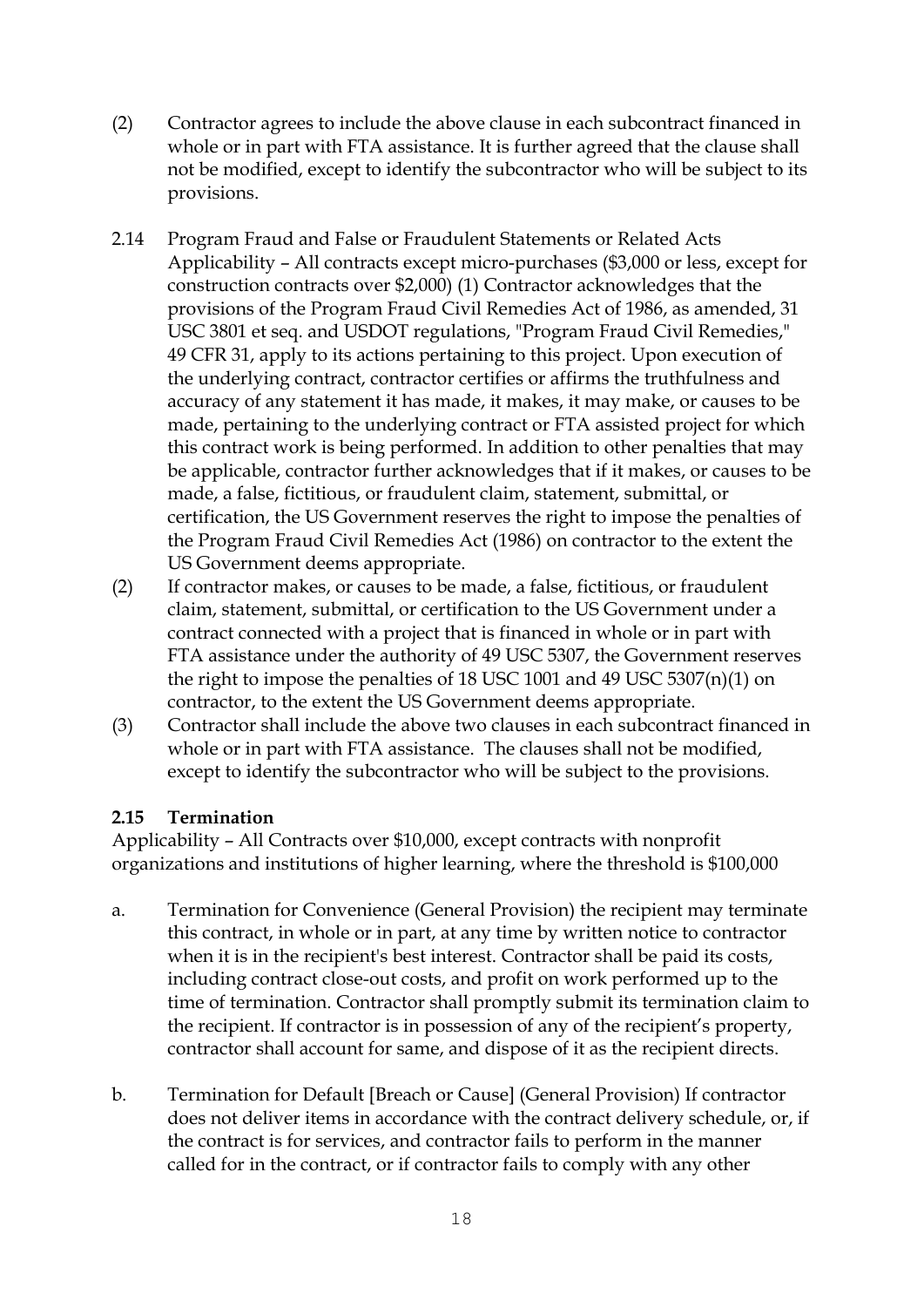- (2) Contractor agrees to include the above clause in each subcontract financed in whole or in part with FTA assistance. It is further agreed that the clause shall not be modified, except to identify the subcontractor who will be subject to its provisions.
- 2.14 Program Fraud and False or Fraudulent Statements or Related Acts Applicability – All contracts except micro-purchases (\$3,000 or less, except for construction contracts over \$2,000) (1) Contractor acknowledges that the provisions of the Program Fraud Civil Remedies Act of 1986, as amended, 31 USC 3801 et seq. and USDOT regulations, "Program Fraud Civil Remedies," 49 CFR 31, apply to its actions pertaining to this project. Upon execution of the underlying contract, contractor certifies or affirms the truthfulness and accuracy of any statement it has made, it makes, it may make, or causes to be made, pertaining to the underlying contract or FTA assisted project for which this contract work is being performed. In addition to other penalties that may be applicable, contractor further acknowledges that if it makes, or causes to be made, a false, fictitious, or fraudulent claim, statement, submittal, or certification, the US Government reserves the right to impose the penalties of the Program Fraud Civil Remedies Act (1986) on contractor to the extent the US Government deems appropriate.
- (2) If contractor makes, or causes to be made, a false, fictitious, or fraudulent claim, statement, submittal, or certification to the US Government under a contract connected with a project that is financed in whole or in part with FTA assistance under the authority of 49 USC 5307, the Government reserves the right to impose the penalties of 18 USC 1001 and 49 USC 5307(n)(1) on contractor, to the extent the US Government deems appropriate.
- (3) Contractor shall include the above two clauses in each subcontract financed in whole or in part with FTA assistance. The clauses shall not be modified, except to identify the subcontractor who will be subject to the provisions.

### **2.15 Termination**

Applicability – All Contracts over \$10,000, except contracts with nonprofit organizations and institutions of higher learning, where the threshold is \$100,000

- a. Termination for Convenience (General Provision) the recipient may terminate this contract, in whole or in part, at any time by written notice to contractor when it is in the recipient's best interest. Contractor shall be paid its costs, including contract close-out costs, and profit on work performed up to the time of termination. Contractor shall promptly submit its termination claim to the recipient. If contractor is in possession of any of the recipient's property, contractor shall account for same, and dispose of it as the recipient directs.
- b. Termination for Default [Breach or Cause] (General Provision) If contractor does not deliver items in accordance with the contract delivery schedule, or, if the contract is for services, and contractor fails to perform in the manner called for in the contract, or if contractor fails to comply with any other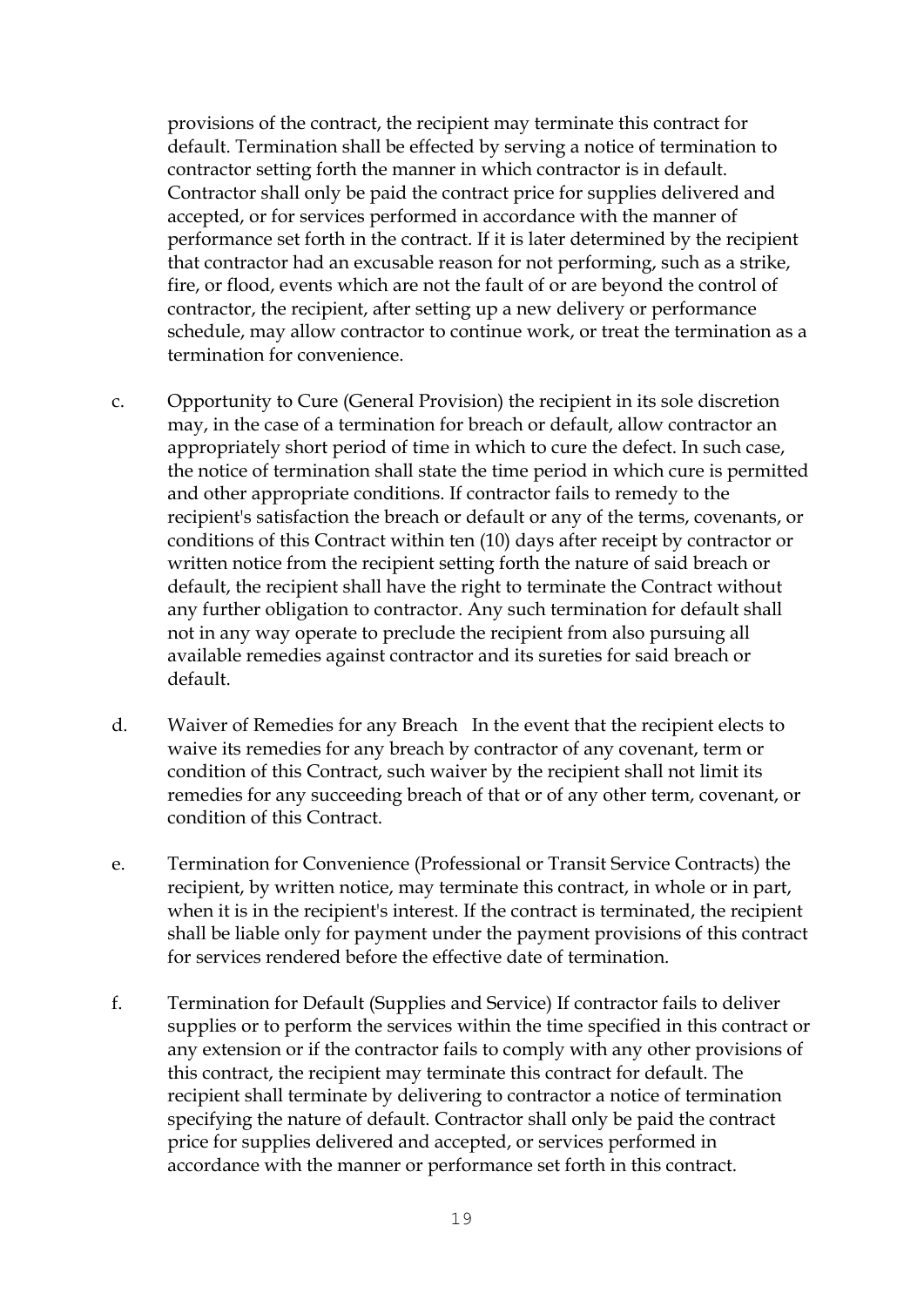provisions of the contract, the recipient may terminate this contract for default. Termination shall be effected by serving a notice of termination to contractor setting forth the manner in which contractor is in default. Contractor shall only be paid the contract price for supplies delivered and accepted, or for services performed in accordance with the manner of performance set forth in the contract. If it is later determined by the recipient that contractor had an excusable reason for not performing, such as a strike, fire, or flood, events which are not the fault of or are beyond the control of contractor, the recipient, after setting up a new delivery or performance schedule, may allow contractor to continue work, or treat the termination as a termination for convenience.

- c. Opportunity to Cure (General Provision) the recipient in its sole discretion may, in the case of a termination for breach or default, allow contractor an appropriately short period of time in which to cure the defect. In such case, the notice of termination shall state the time period in which cure is permitted and other appropriate conditions. If contractor fails to remedy to the recipient's satisfaction the breach or default or any of the terms, covenants, or conditions of this Contract within ten (10) days after receipt by contractor or written notice from the recipient setting forth the nature of said breach or default, the recipient shall have the right to terminate the Contract without any further obligation to contractor. Any such termination for default shall not in any way operate to preclude the recipient from also pursuing all available remedies against contractor and its sureties for said breach or default.
- d. Waiver of Remedies for any Breach In the event that the recipient elects to waive its remedies for any breach by contractor of any covenant, term or condition of this Contract, such waiver by the recipient shall not limit its remedies for any succeeding breach of that or of any other term, covenant, or condition of this Contract.
- e. Termination for Convenience (Professional or Transit Service Contracts) the recipient, by written notice, may terminate this contract, in whole or in part, when it is in the recipient's interest. If the contract is terminated, the recipient shall be liable only for payment under the payment provisions of this contract for services rendered before the effective date of termination.
- f. Termination for Default (Supplies and Service) If contractor fails to deliver supplies or to perform the services within the time specified in this contract or any extension or if the contractor fails to comply with any other provisions of this contract, the recipient may terminate this contract for default. The recipient shall terminate by delivering to contractor a notice of termination specifying the nature of default. Contractor shall only be paid the contract price for supplies delivered and accepted, or services performed in accordance with the manner or performance set forth in this contract.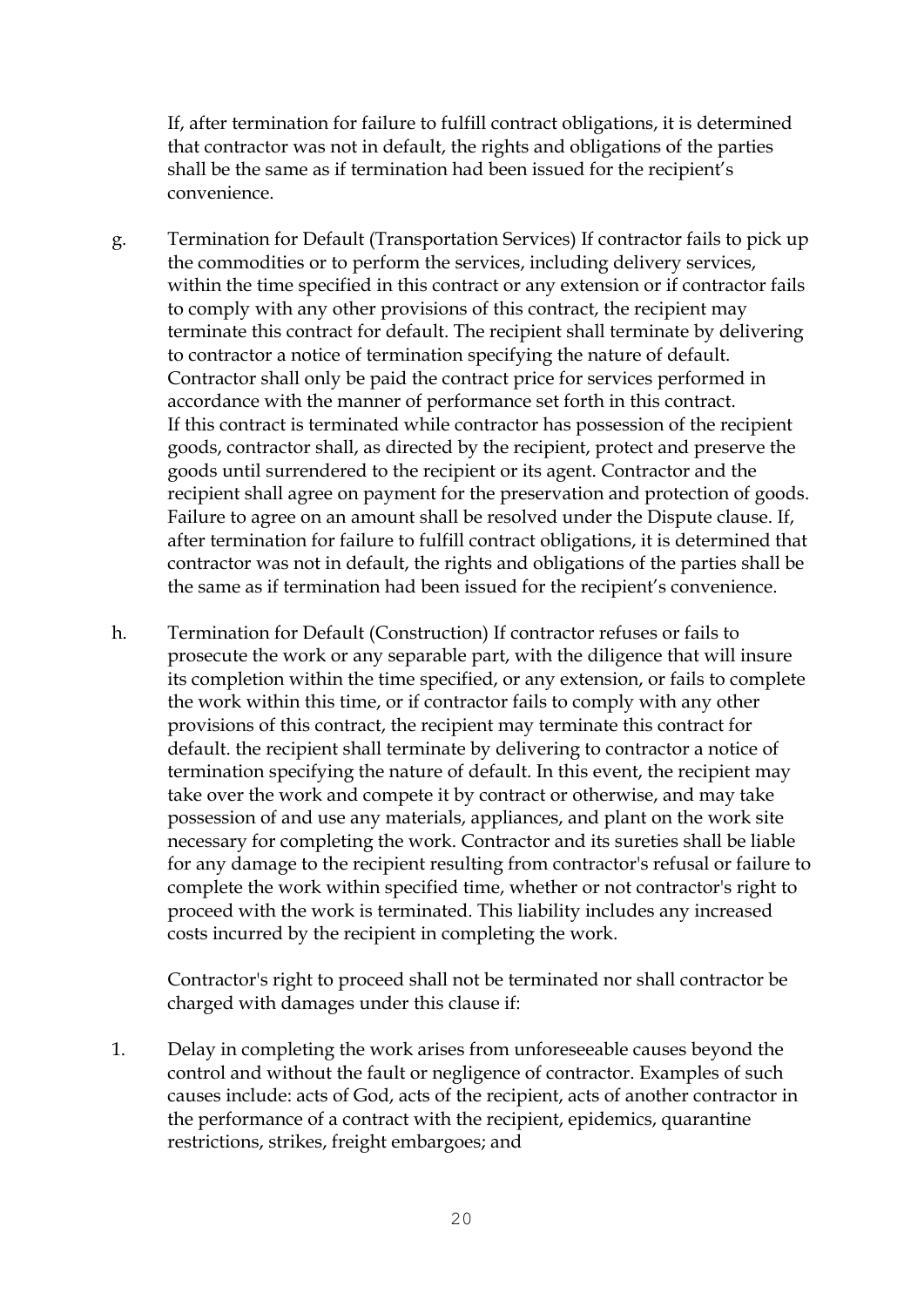If, after termination for failure to fulfill contract obligations, it is determined that contractor was not in default, the rights and obligations of the parties shall be the same as if termination had been issued for the recipient's convenience.

- g. Termination for Default (Transportation Services) If contractor fails to pick up the commodities or to perform the services, including delivery services, within the time specified in this contract or any extension or if contractor fails to comply with any other provisions of this contract, the recipient may terminate this contract for default. The recipient shall terminate by delivering to contractor a notice of termination specifying the nature of default. Contractor shall only be paid the contract price for services performed in accordance with the manner of performance set forth in this contract. If this contract is terminated while contractor has possession of the recipient goods, contractor shall, as directed by the recipient, protect and preserve the goods until surrendered to the recipient or its agent. Contractor and the recipient shall agree on payment for the preservation and protection of goods. Failure to agree on an amount shall be resolved under the Dispute clause. If, after termination for failure to fulfill contract obligations, it is determined that contractor was not in default, the rights and obligations of the parties shall be the same as if termination had been issued for the recipient's convenience.
- h. Termination for Default (Construction) If contractor refuses or fails to prosecute the work or any separable part, with the diligence that will insure its completion within the time specified, or any extension, or fails to complete the work within this time, or if contractor fails to comply with any other provisions of this contract, the recipient may terminate this contract for default. the recipient shall terminate by delivering to contractor a notice of termination specifying the nature of default. In this event, the recipient may take over the work and compete it by contract or otherwise, and may take possession of and use any materials, appliances, and plant on the work site necessary for completing the work. Contractor and its sureties shall be liable for any damage to the recipient resulting from contractor's refusal or failure to complete the work within specified time, whether or not contractor's right to proceed with the work is terminated. This liability includes any increased costs incurred by the recipient in completing the work.

Contractor's right to proceed shall not be terminated nor shall contractor be charged with damages under this clause if:

1. Delay in completing the work arises from unforeseeable causes beyond the control and without the fault or negligence of contractor. Examples of such causes include: acts of God, acts of the recipient, acts of another contractor in the performance of a contract with the recipient, epidemics, quarantine restrictions, strikes, freight embargoes; and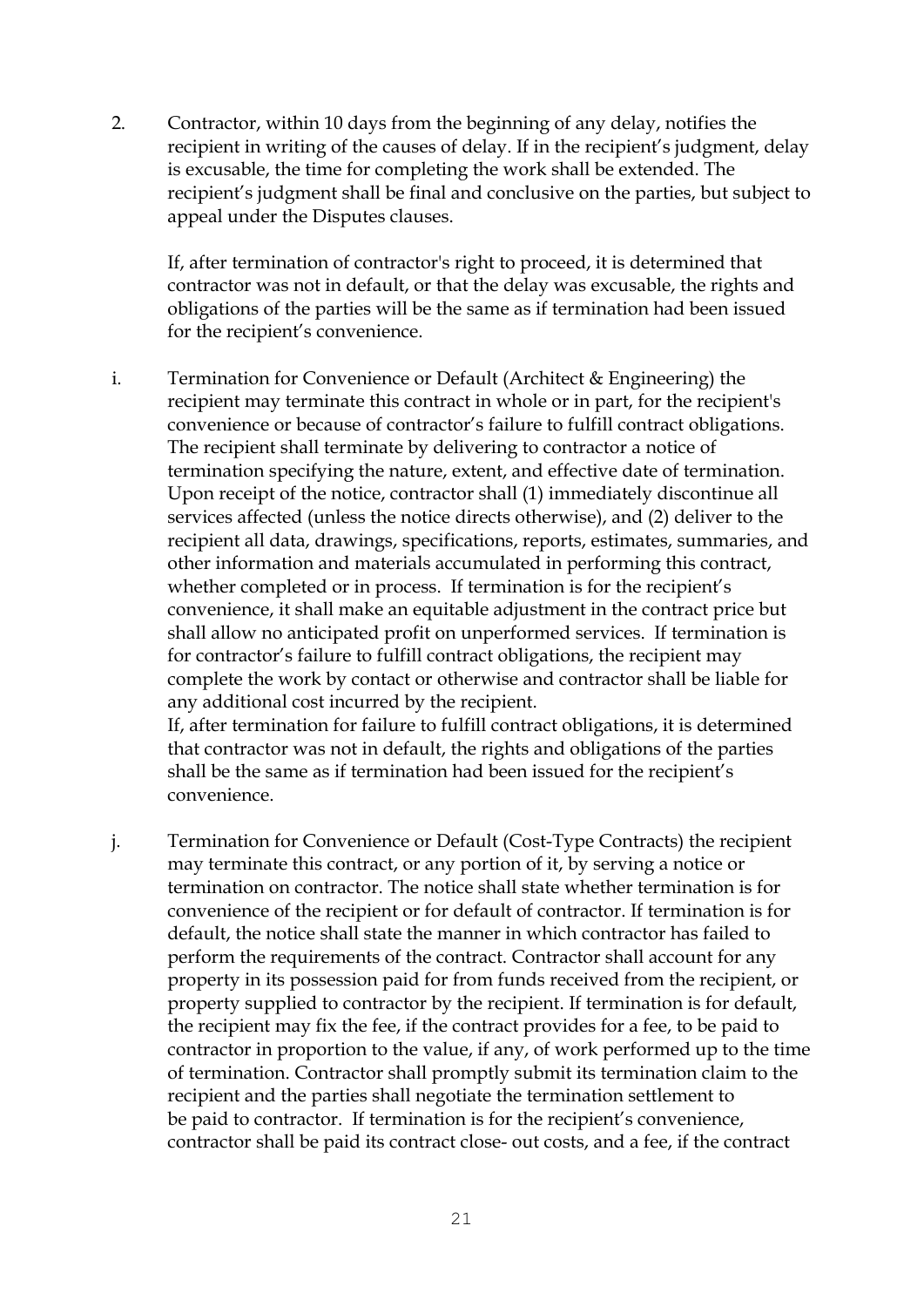2. Contractor, within 10 days from the beginning of any delay, notifies the recipient in writing of the causes of delay. If in the recipient's judgment, delay is excusable, the time for completing the work shall be extended. The recipient's judgment shall be final and conclusive on the parties, but subject to appeal under the Disputes clauses.

If, after termination of contractor's right to proceed, it is determined that contractor was not in default, or that the delay was excusable, the rights and obligations of the parties will be the same as if termination had been issued for the recipient's convenience.

i. Termination for Convenience or Default (Architect & Engineering) the recipient may terminate this contract in whole or in part, for the recipient's convenience or because of contractor's failure to fulfill contract obligations. The recipient shall terminate by delivering to contractor a notice of termination specifying the nature, extent, and effective date of termination. Upon receipt of the notice, contractor shall (1) immediately discontinue all services affected (unless the notice directs otherwise), and (2) deliver to the recipient all data, drawings, specifications, reports, estimates, summaries, and other information and materials accumulated in performing this contract, whether completed or in process. If termination is for the recipient's convenience, it shall make an equitable adjustment in the contract price but shall allow no anticipated profit on unperformed services. If termination is for contractor's failure to fulfill contract obligations, the recipient may complete the work by contact or otherwise and contractor shall be liable for any additional cost incurred by the recipient. If, after termination for failure to fulfill contract obligations, it is determined

that contractor was not in default, the rights and obligations of the parties shall be the same as if termination had been issued for the recipient's convenience.

j. Termination for Convenience or Default (Cost-Type Contracts) the recipient may terminate this contract, or any portion of it, by serving a notice or termination on contractor. The notice shall state whether termination is for convenience of the recipient or for default of contractor. If termination is for default, the notice shall state the manner in which contractor has failed to perform the requirements of the contract. Contractor shall account for any property in its possession paid for from funds received from the recipient, or property supplied to contractor by the recipient. If termination is for default, the recipient may fix the fee, if the contract provides for a fee, to be paid to contractor in proportion to the value, if any, of work performed up to the time of termination. Contractor shall promptly submit its termination claim to the recipient and the parties shall negotiate the termination settlement to be paid to contractor. If termination is for the recipient's convenience, contractor shall be paid its contract close- out costs, and a fee, if the contract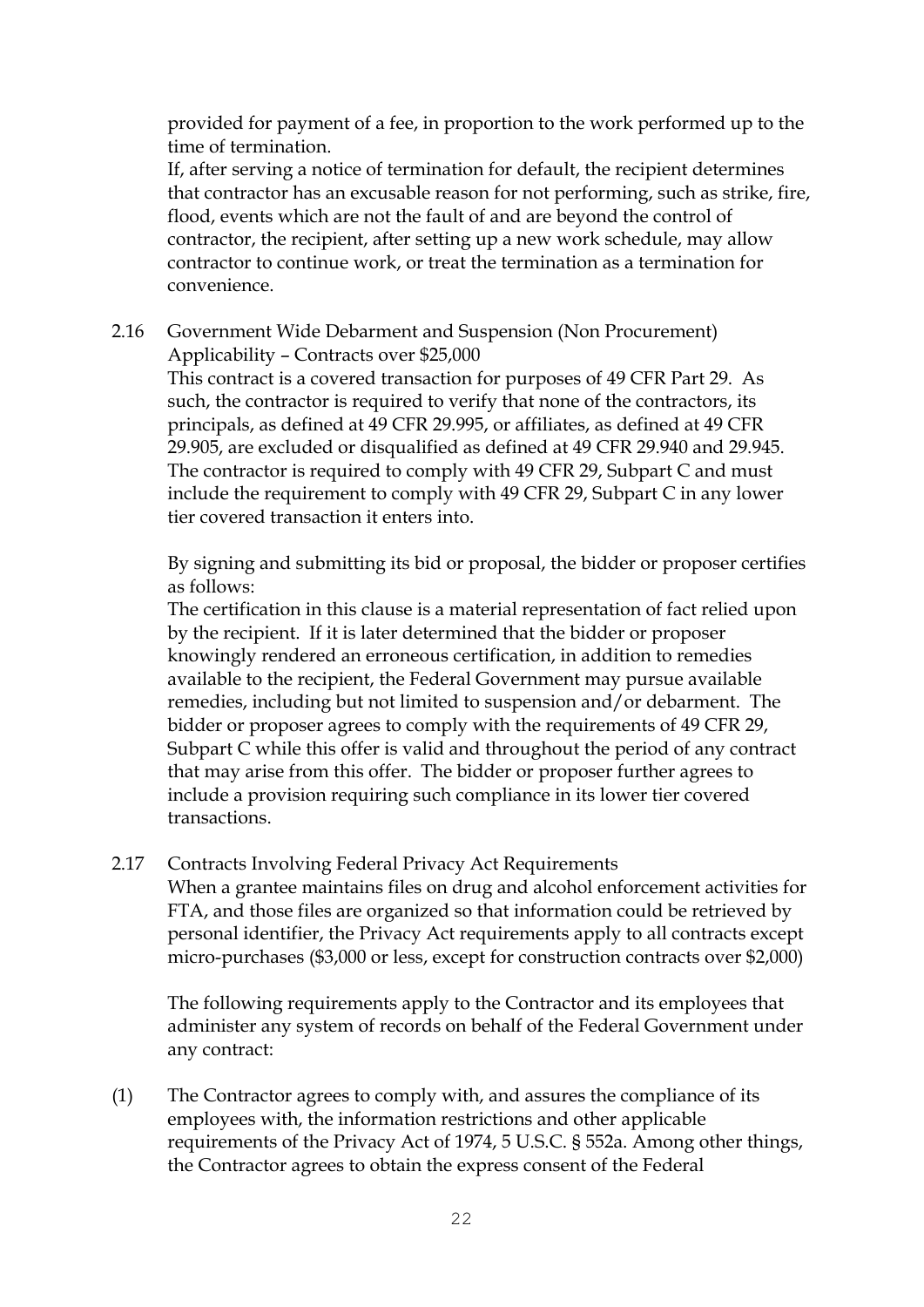provided for payment of a fee, in proportion to the work performed up to the time of termination.

If, after serving a notice of termination for default, the recipient determines that contractor has an excusable reason for not performing, such as strike, fire, flood, events which are not the fault of and are beyond the control of contractor, the recipient, after setting up a new work schedule, may allow contractor to continue work, or treat the termination as a termination for convenience.

2.16 Government Wide Debarment and Suspension (Non Procurement) Applicability – Contracts over \$25,000

This contract is a covered transaction for purposes of 49 CFR Part 29. As such, the contractor is required to verify that none of the contractors, its principals, as defined at 49 CFR 29.995, or affiliates, as defined at 49 CFR 29.905, are excluded or disqualified as defined at 49 CFR 29.940 and 29.945. The contractor is required to comply with 49 CFR 29, Subpart C and must include the requirement to comply with 49 CFR 29, Subpart C in any lower tier covered transaction it enters into.

By signing and submitting its bid or proposal, the bidder or proposer certifies as follows:

The certification in this clause is a material representation of fact relied upon by the recipient. If it is later determined that the bidder or proposer knowingly rendered an erroneous certification, in addition to remedies available to the recipient, the Federal Government may pursue available remedies, including but not limited to suspension and/or debarment. The bidder or proposer agrees to comply with the requirements of 49 CFR 29, Subpart C while this offer is valid and throughout the period of any contract that may arise from this offer. The bidder or proposer further agrees to include a provision requiring such compliance in its lower tier covered transactions.

### 2.17 Contracts Involving Federal Privacy Act Requirements

When a grantee maintains files on drug and alcohol enforcement activities for FTA, and those files are organized so that information could be retrieved by personal identifier, the Privacy Act requirements apply to all contracts except micro-purchases (\$3,000 or less, except for construction contracts over \$2,000)

The following requirements apply to the Contractor and its employees that administer any system of records on behalf of the Federal Government under any contract:

(1) The Contractor agrees to comply with, and assures the compliance of its employees with, the information restrictions and other applicable requirements of the Privacy Act of 1974, 5 U.S.C. § 552a. Among other things, the Contractor agrees to obtain the express consent of the Federal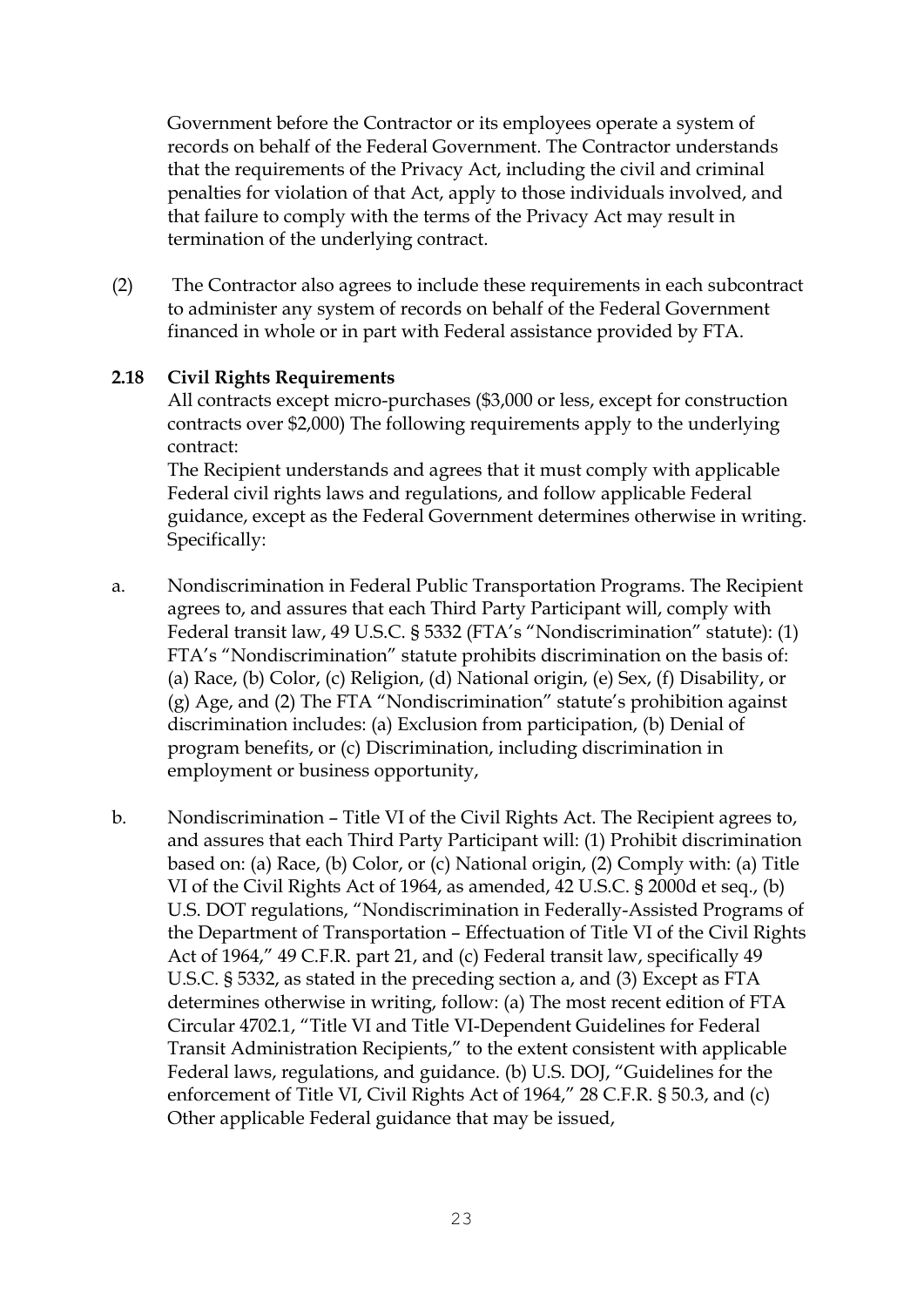Government before the Contractor or its employees operate a system of records on behalf of the Federal Government. The Contractor understands that the requirements of the Privacy Act, including the civil and criminal penalties for violation of that Act, apply to those individuals involved, and that failure to comply with the terms of the Privacy Act may result in termination of the underlying contract.

(2) The Contractor also agrees to include these requirements in each subcontract to administer any system of records on behalf of the Federal Government financed in whole or in part with Federal assistance provided by FTA.

### **2.18 Civil Rights Requirements**

All contracts except micro-purchases (\$3,000 or less, except for construction contracts over \$2,000) The following requirements apply to the underlying contract:

The Recipient understands and agrees that it must comply with applicable Federal civil rights laws and regulations, and follow applicable Federal guidance, except as the Federal Government determines otherwise in writing. Specifically:

- a. Nondiscrimination in Federal Public Transportation Programs. The Recipient agrees to, and assures that each Third Party Participant will, comply with Federal transit law, 49 U.S.C. § 5332 (FTA's "Nondiscrimination" statute): (1) FTA's "Nondiscrimination" statute prohibits discrimination on the basis of: (a) Race, (b) Color, (c) Religion, (d) National origin, (e) Sex, (f) Disability, or (g) Age, and (2) The FTA "Nondiscrimination" statute's prohibition against discrimination includes: (a) Exclusion from participation, (b) Denial of program benefits, or (c) Discrimination, including discrimination in employment or business opportunity,
- b. Nondiscrimination Title VI of the Civil Rights Act. The Recipient agrees to, and assures that each Third Party Participant will: (1) Prohibit discrimination based on: (a) Race, (b) Color, or (c) National origin, (2) Comply with: (a) Title VI of the Civil Rights Act of 1964, as amended, 42 U.S.C. § 2000d et seq., (b) U.S. DOT regulations, "Nondiscrimination in Federally-Assisted Programs of the Department of Transportation – Effectuation of Title VI of the Civil Rights Act of 1964," 49 C.F.R. part 21, and (c) Federal transit law, specifically 49 U.S.C. § 5332, as stated in the preceding section a, and (3) Except as FTA determines otherwise in writing, follow: (a) The most recent edition of FTA Circular 4702.1, "Title VI and Title VI-Dependent Guidelines for Federal Transit Administration Recipients," to the extent consistent with applicable Federal laws, regulations, and guidance. (b) U.S. DOJ, "Guidelines for the enforcement of Title VI, Civil Rights Act of 1964," 28 C.F.R. § 50.3, and (c) Other applicable Federal guidance that may be issued,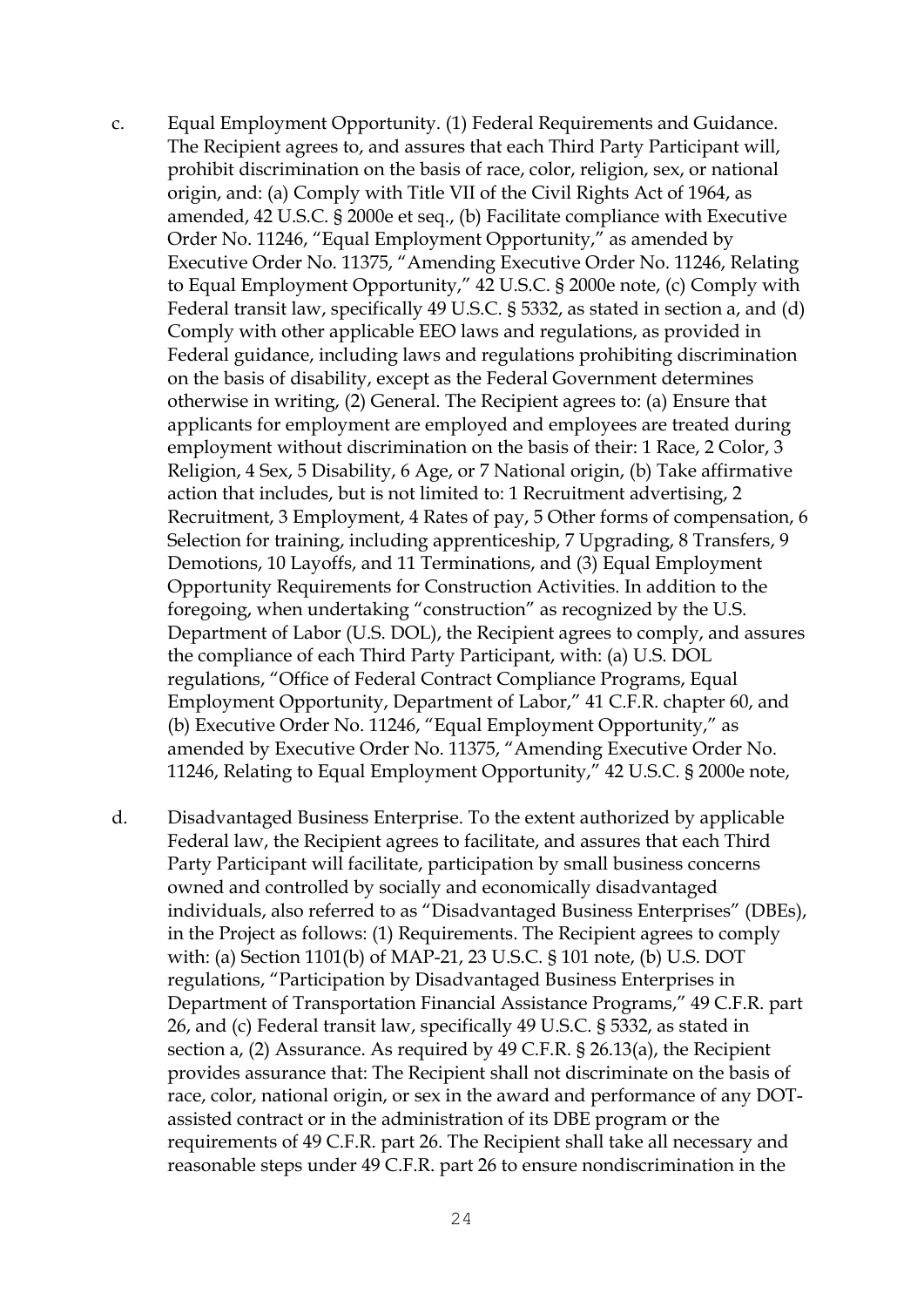- c. Equal Employment Opportunity. (1) Federal Requirements and Guidance. The Recipient agrees to, and assures that each Third Party Participant will, prohibit discrimination on the basis of race, color, religion, sex, or national origin, and: (a) Comply with Title VII of the Civil Rights Act of 1964, as amended, 42 U.S.C. § 2000e et seq., (b) Facilitate compliance with Executive Order No. 11246, "Equal Employment Opportunity," as amended by Executive Order No. 11375, "Amending Executive Order No. 11246, Relating to Equal Employment Opportunity," 42 U.S.C. § 2000e note, (c) Comply with Federal transit law, specifically 49 U.S.C. § 5332, as stated in section a, and (d) Comply with other applicable EEO laws and regulations, as provided in Federal guidance, including laws and regulations prohibiting discrimination on the basis of disability, except as the Federal Government determines otherwise in writing, (2) General. The Recipient agrees to: (a) Ensure that applicants for employment are employed and employees are treated during employment without discrimination on the basis of their: 1 Race, 2 Color, 3 Religion, 4 Sex, 5 Disability, 6 Age, or 7 National origin, (b) Take affirmative action that includes, but is not limited to: 1 Recruitment advertising, 2 Recruitment, 3 Employment, 4 Rates of pay, 5 Other forms of compensation, 6 Selection for training, including apprenticeship, 7 Upgrading, 8 Transfers, 9 Demotions, 10 Layoffs, and 11 Terminations, and (3) Equal Employment Opportunity Requirements for Construction Activities. In addition to the foregoing, when undertaking "construction" as recognized by the U.S. Department of Labor (U.S. DOL), the Recipient agrees to comply, and assures the compliance of each Third Party Participant, with: (a) U.S. DOL regulations, "Office of Federal Contract Compliance Programs, Equal Employment Opportunity, Department of Labor," 41 C.F.R. chapter 60, and (b) Executive Order No. 11246, "Equal Employment Opportunity," as amended by Executive Order No. 11375, "Amending Executive Order No. 11246, Relating to Equal Employment Opportunity," 42 U.S.C. § 2000e note,
- d. Disadvantaged Business Enterprise. To the extent authorized by applicable Federal law, the Recipient agrees to facilitate, and assures that each Third Party Participant will facilitate, participation by small business concerns owned and controlled by socially and economically disadvantaged individuals, also referred to as "Disadvantaged Business Enterprises" (DBEs), in the Project as follows: (1) Requirements. The Recipient agrees to comply with: (a) Section 1101(b) of MAP-21, 23 U.S.C. § 101 note, (b) U.S. DOT regulations, "Participation by Disadvantaged Business Enterprises in Department of Transportation Financial Assistance Programs," 49 C.F.R. part 26, and (c) Federal transit law, specifically 49 U.S.C. § 5332, as stated in section a, (2) Assurance. As required by 49 C.F.R. § 26.13(a), the Recipient provides assurance that: The Recipient shall not discriminate on the basis of race, color, national origin, or sex in the award and performance of any DOTassisted contract or in the administration of its DBE program or the requirements of 49 C.F.R. part 26. The Recipient shall take all necessary and reasonable steps under 49 C.F.R. part 26 to ensure nondiscrimination in the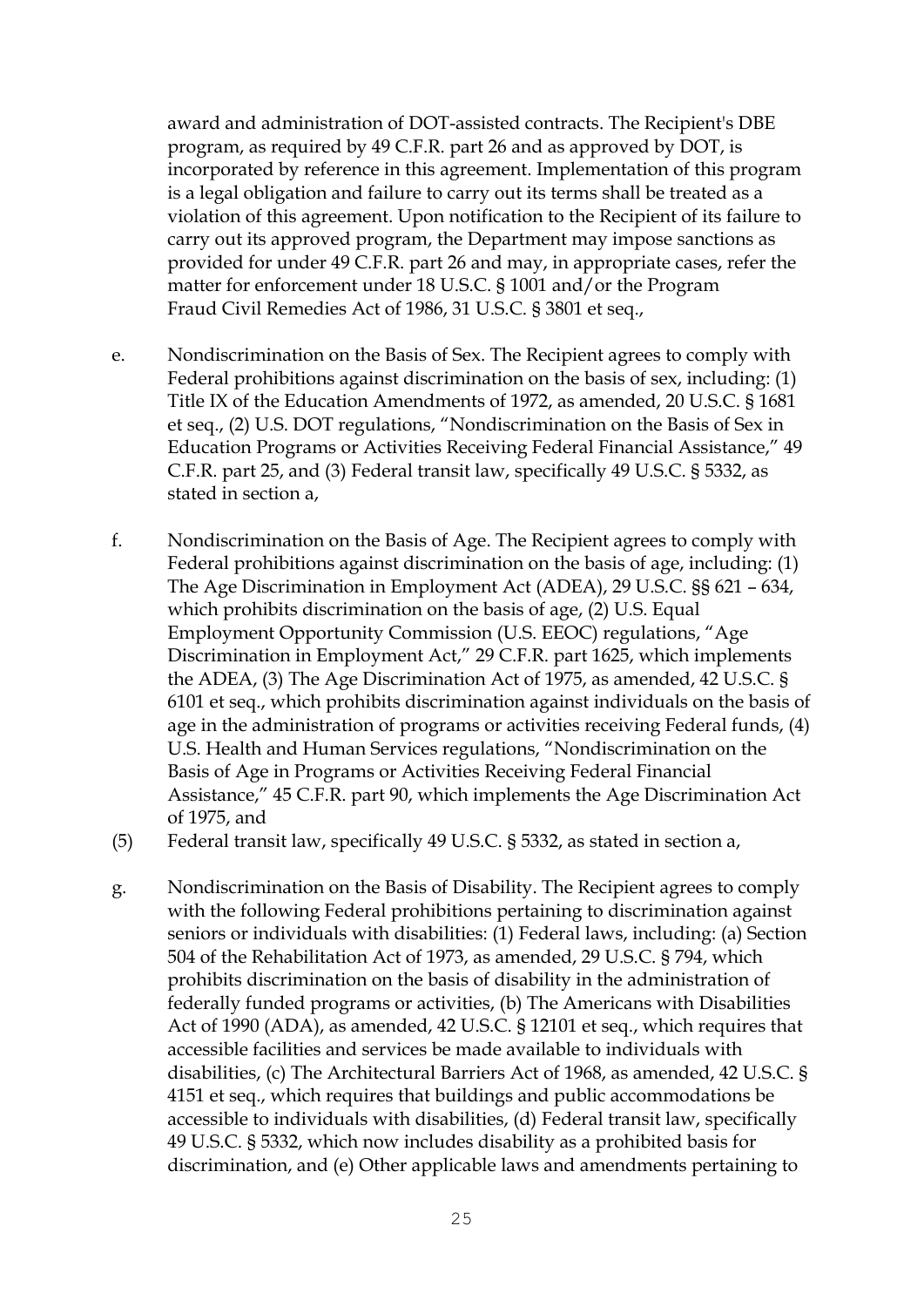award and administration of DOT-assisted contracts. The Recipient's DBE program, as required by 49 C.F.R. part 26 and as approved by DOT, is incorporated by reference in this agreement. Implementation of this program is a legal obligation and failure to carry out its terms shall be treated as a violation of this agreement. Upon notification to the Recipient of its failure to carry out its approved program, the Department may impose sanctions as provided for under 49 C.F.R. part 26 and may, in appropriate cases, refer the matter for enforcement under 18 U.S.C. § 1001 and/or the Program Fraud Civil Remedies Act of 1986, 31 U.S.C. § 3801 et seq.,

- e. Nondiscrimination on the Basis of Sex. The Recipient agrees to comply with Federal prohibitions against discrimination on the basis of sex, including: (1) Title IX of the Education Amendments of 1972, as amended, 20 U.S.C. § 1681 et seq., (2) U.S. DOT regulations, "Nondiscrimination on the Basis of Sex in Education Programs or Activities Receiving Federal Financial Assistance," 49 C.F.R. part 25, and (3) Federal transit law, specifically 49 U.S.C. § 5332, as stated in section a,
- f. Nondiscrimination on the Basis of Age. The Recipient agrees to comply with Federal prohibitions against discrimination on the basis of age, including: (1) The Age Discrimination in Employment Act (ADEA), 29 U.S.C. §§ 621 – 634, which prohibits discrimination on the basis of age, (2) U.S. Equal Employment Opportunity Commission (U.S. EEOC) regulations, "Age Discrimination in Employment Act," 29 C.F.R. part 1625, which implements the ADEA, (3) The Age Discrimination Act of 1975, as amended, 42 U.S.C. § 6101 et seq., which prohibits discrimination against individuals on the basis of age in the administration of programs or activities receiving Federal funds, (4) U.S. Health and Human Services regulations, "Nondiscrimination on the Basis of Age in Programs or Activities Receiving Federal Financial Assistance," 45 C.F.R. part 90, which implements the Age Discrimination Act of 1975, and
- (5) Federal transit law, specifically 49 U.S.C. § 5332, as stated in section a,
- g. Nondiscrimination on the Basis of Disability. The Recipient agrees to comply with the following Federal prohibitions pertaining to discrimination against seniors or individuals with disabilities: (1) Federal laws, including: (a) Section 504 of the Rehabilitation Act of 1973, as amended, 29 U.S.C. § 794, which prohibits discrimination on the basis of disability in the administration of federally funded programs or activities, (b) The Americans with Disabilities Act of 1990 (ADA), as amended, 42 U.S.C. § 12101 et seq., which requires that accessible facilities and services be made available to individuals with disabilities, (c) The Architectural Barriers Act of 1968, as amended, 42 U.S.C. § 4151 et seq., which requires that buildings and public accommodations be accessible to individuals with disabilities, (d) Federal transit law, specifically 49 U.S.C. § 5332, which now includes disability as a prohibited basis for discrimination, and (e) Other applicable laws and amendments pertaining to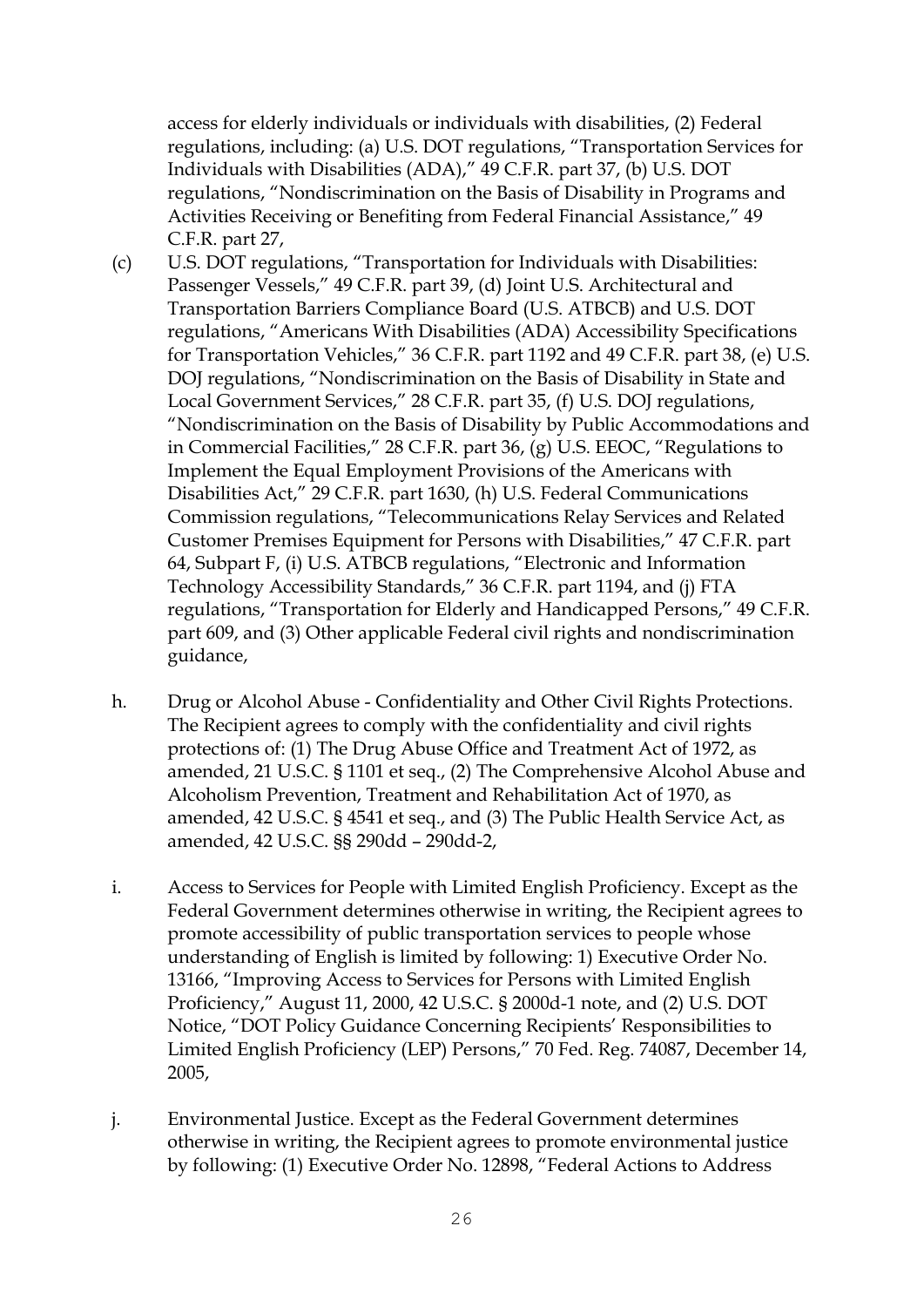access for elderly individuals or individuals with disabilities, (2) Federal regulations, including: (a) U.S. DOT regulations, "Transportation Services for Individuals with Disabilities (ADA)," 49 C.F.R. part 37, (b) U.S. DOT regulations, "Nondiscrimination on the Basis of Disability in Programs and Activities Receiving or Benefiting from Federal Financial Assistance," 49 C.F.R. part 27,

- (c) U.S. DOT regulations, "Transportation for Individuals with Disabilities: Passenger Vessels," 49 C.F.R. part 39, (d) Joint U.S. Architectural and Transportation Barriers Compliance Board (U.S. ATBCB) and U.S. DOT regulations, "Americans With Disabilities (ADA) Accessibility Specifications for Transportation Vehicles," 36 C.F.R. part 1192 and 49 C.F.R. part 38, (e) U.S. DOJ regulations, "Nondiscrimination on the Basis of Disability in State and Local Government Services," 28 C.F.R. part 35, (f) U.S. DOJ regulations, "Nondiscrimination on the Basis of Disability by Public Accommodations and in Commercial Facilities," 28 C.F.R. part 36, (g) U.S. EEOC, "Regulations to Implement the Equal Employment Provisions of the Americans with Disabilities Act," 29 C.F.R. part 1630, (h) U.S. Federal Communications Commission regulations, "Telecommunications Relay Services and Related Customer Premises Equipment for Persons with Disabilities," 47 C.F.R. part 64, Subpart F, (i) U.S. ATBCB regulations, "Electronic and Information Technology Accessibility Standards," 36 C.F.R. part 1194, and (j) FTA regulations, "Transportation for Elderly and Handicapped Persons," 49 C.F.R. part 609, and (3) Other applicable Federal civil rights and nondiscrimination guidance,
- h. Drug or Alcohol Abuse Confidentiality and Other Civil Rights Protections. The Recipient agrees to comply with the confidentiality and civil rights protections of: (1) The Drug Abuse Office and Treatment Act of 1972, as amended, 21 U.S.C. § 1101 et seq., (2) The Comprehensive Alcohol Abuse and Alcoholism Prevention, Treatment and Rehabilitation Act of 1970, as amended, 42 U.S.C. § 4541 et seq., and (3) The Public Health Service Act, as amended, 42 U.S.C. §§ 290dd – 290dd-2,
- i. Access to Services for People with Limited English Proficiency. Except as the Federal Government determines otherwise in writing, the Recipient agrees to promote accessibility of public transportation services to people whose understanding of English is limited by following: 1) Executive Order No. 13166, "Improving Access to Services for Persons with Limited English Proficiency," August 11, 2000, 42 U.S.C. § 2000d-1 note, and (2) U.S. DOT Notice, "DOT Policy Guidance Concerning Recipients' Responsibilities to Limited English Proficiency (LEP) Persons," 70 Fed. Reg. 74087, December 14, 2005,
- j. Environmental Justice. Except as the Federal Government determines otherwise in writing, the Recipient agrees to promote environmental justice by following: (1) Executive Order No. 12898, "Federal Actions to Address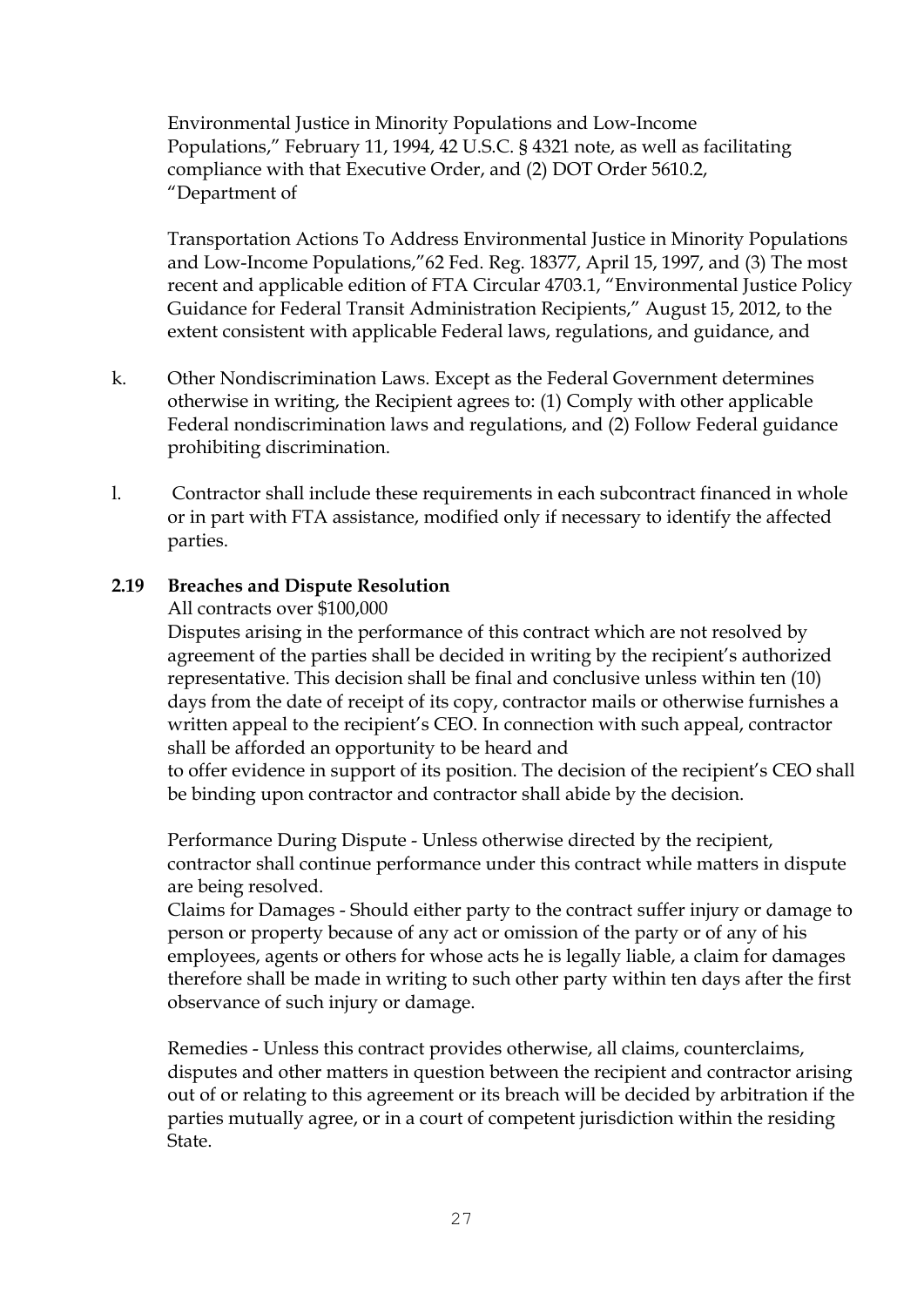Environmental Justice in Minority Populations and Low-Income Populations," February 11, 1994, 42 U.S.C. § 4321 note, as well as facilitating compliance with that Executive Order, and (2) DOT Order 5610.2, "Department of

Transportation Actions To Address Environmental Justice in Minority Populations and Low-Income Populations,"62 Fed. Reg. 18377, April 15, 1997, and (3) The most recent and applicable edition of FTA Circular 4703.1, "Environmental Justice Policy Guidance for Federal Transit Administration Recipients," August 15, 2012, to the extent consistent with applicable Federal laws, regulations, and guidance, and

- k. Other Nondiscrimination Laws. Except as the Federal Government determines otherwise in writing, the Recipient agrees to: (1) Comply with other applicable Federal nondiscrimination laws and regulations, and (2) Follow Federal guidance prohibiting discrimination.
- l. Contractor shall include these requirements in each subcontract financed in whole or in part with FTA assistance, modified only if necessary to identify the affected parties.

### **2.19 Breaches and Dispute Resolution**

### All contracts over \$100,000

Disputes arising in the performance of this contract which are not resolved by agreement of the parties shall be decided in writing by the recipient's authorized representative. This decision shall be final and conclusive unless within ten (10) days from the date of receipt of its copy, contractor mails or otherwise furnishes a written appeal to the recipient's CEO. In connection with such appeal, contractor shall be afforded an opportunity to be heard and

to offer evidence in support of its position. The decision of the recipient's CEO shall be binding upon contractor and contractor shall abide by the decision.

Performance During Dispute - Unless otherwise directed by the recipient, contractor shall continue performance under this contract while matters in dispute are being resolved.

Claims for Damages - Should either party to the contract suffer injury or damage to person or property because of any act or omission of the party or of any of his employees, agents or others for whose acts he is legally liable, a claim for damages therefore shall be made in writing to such other party within ten days after the first observance of such injury or damage.

Remedies - Unless this contract provides otherwise, all claims, counterclaims, disputes and other matters in question between the recipient and contractor arising out of or relating to this agreement or its breach will be decided by arbitration if the parties mutually agree, or in a court of competent jurisdiction within the residing State.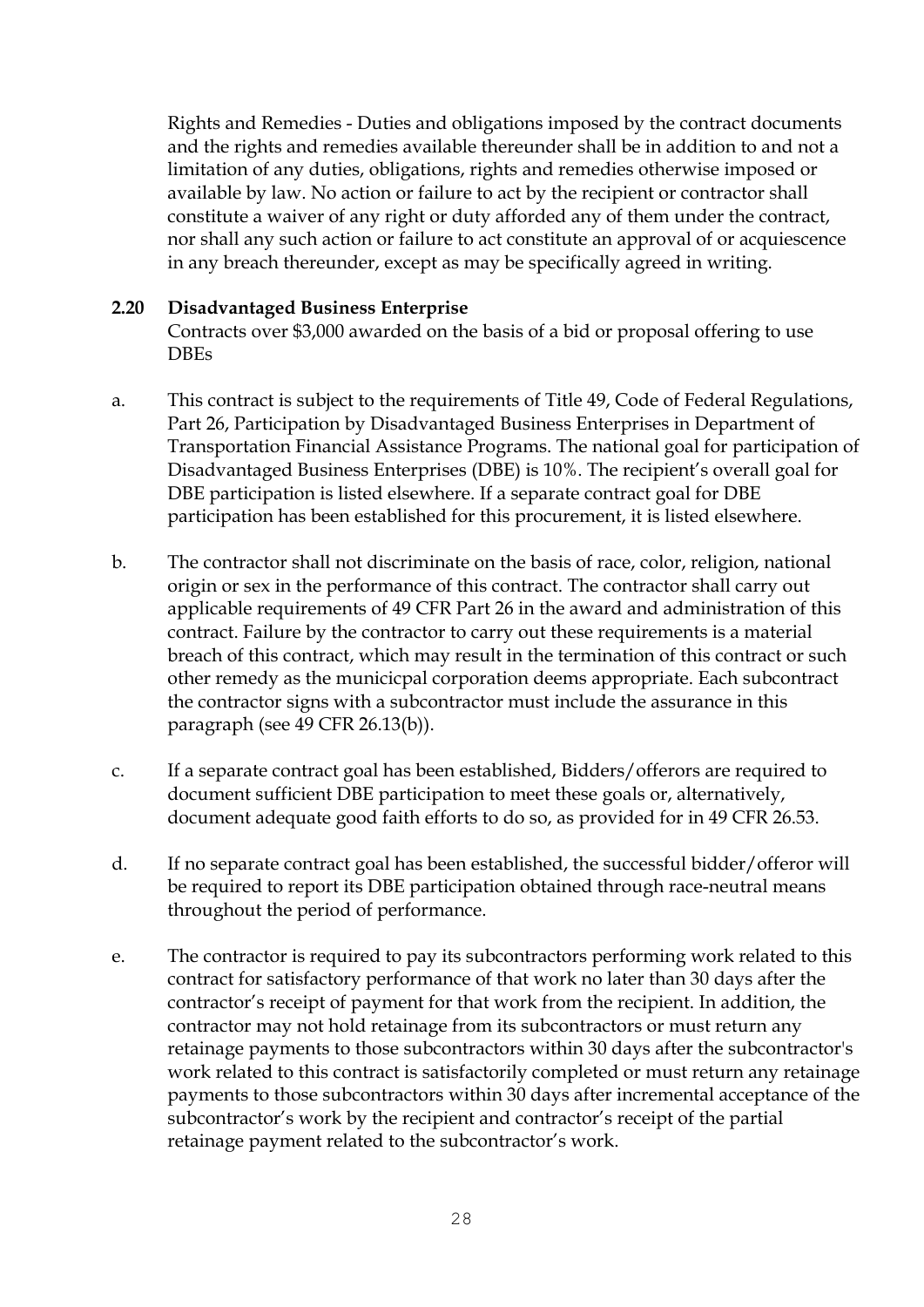Rights and Remedies - Duties and obligations imposed by the contract documents and the rights and remedies available thereunder shall be in addition to and not a limitation of any duties, obligations, rights and remedies otherwise imposed or available by law. No action or failure to act by the recipient or contractor shall constitute a waiver of any right or duty afforded any of them under the contract, nor shall any such action or failure to act constitute an approval of or acquiescence in any breach thereunder, except as may be specifically agreed in writing.

### **2.20 Disadvantaged Business Enterprise**

Contracts over \$3,000 awarded on the basis of a bid or proposal offering to use DBEs

- a. This contract is subject to the requirements of Title 49, Code of Federal Regulations, Part 26, Participation by Disadvantaged Business Enterprises in Department of Transportation Financial Assistance Programs. The national goal for participation of Disadvantaged Business Enterprises (DBE) is 10%. The recipient's overall goal for DBE participation is listed elsewhere. If a separate contract goal for DBE participation has been established for this procurement, it is listed elsewhere.
- b. The contractor shall not discriminate on the basis of race, color, religion, national origin or sex in the performance of this contract. The contractor shall carry out applicable requirements of 49 CFR Part 26 in the award and administration of this contract. Failure by the contractor to carry out these requirements is a material breach of this contract, which may result in the termination of this contract or such other remedy as the municicpal corporation deems appropriate. Each subcontract the contractor signs with a subcontractor must include the assurance in this paragraph (see 49 CFR 26.13(b)).
- c. If a separate contract goal has been established, Bidders/offerors are required to document sufficient DBE participation to meet these goals or, alternatively, document adequate good faith efforts to do so, as provided for in 49 CFR 26.53.
- d. If no separate contract goal has been established, the successful bidder/offeror will be required to report its DBE participation obtained through race-neutral means throughout the period of performance.
- e. The contractor is required to pay its subcontractors performing work related to this contract for satisfactory performance of that work no later than 30 days after the contractor's receipt of payment for that work from the recipient. In addition, the contractor may not hold retainage from its subcontractors or must return any retainage payments to those subcontractors within 30 days after the subcontractor's work related to this contract is satisfactorily completed or must return any retainage payments to those subcontractors within 30 days after incremental acceptance of the subcontractor's work by the recipient and contractor's receipt of the partial retainage payment related to the subcontractor's work.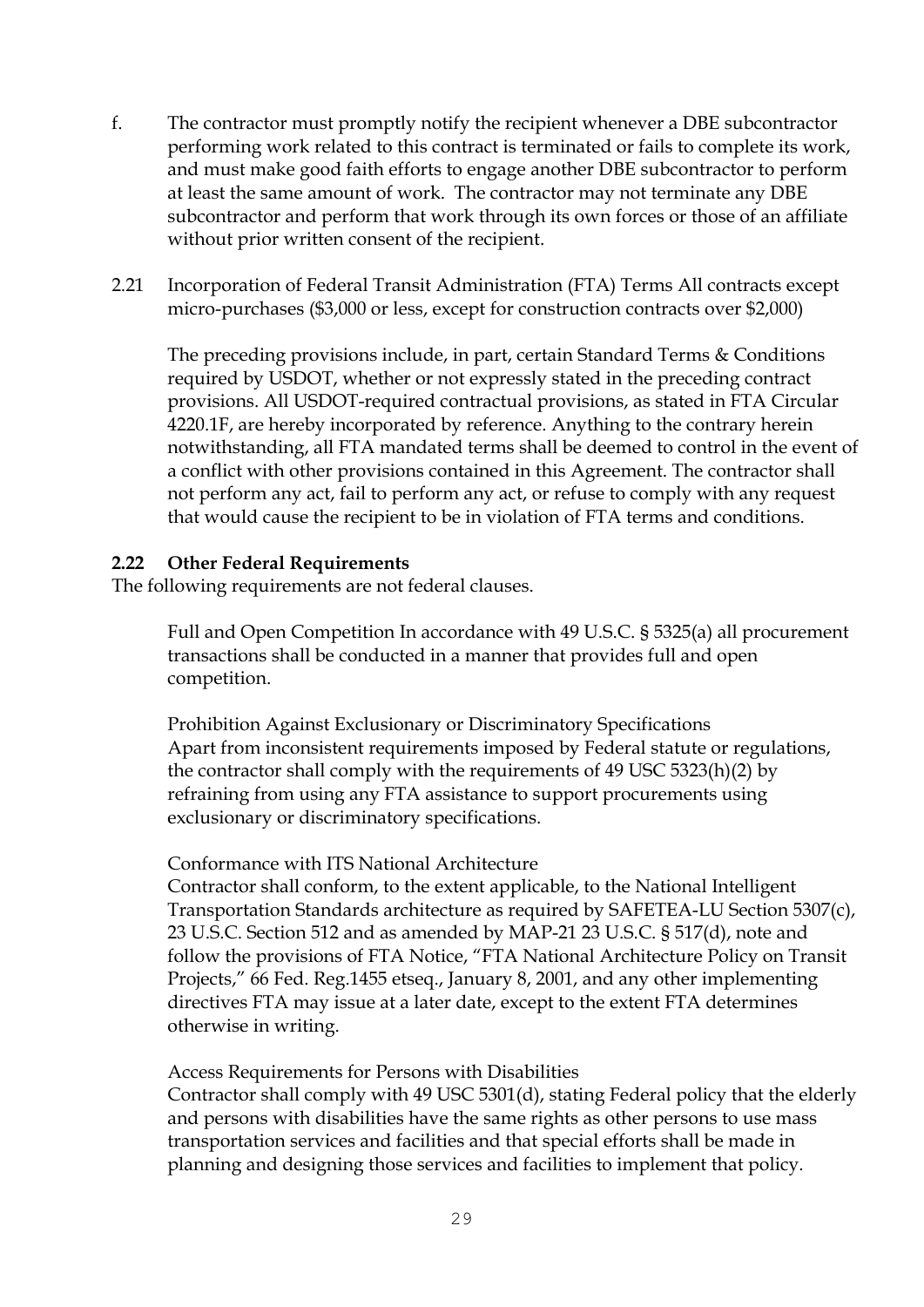- f. The contractor must promptly notify the recipient whenever a DBE subcontractor performing work related to this contract is terminated or fails to complete its work, and must make good faith efforts to engage another DBE subcontractor to perform at least the same amount of work. The contractor may not terminate any DBE subcontractor and perform that work through its own forces or those of an affiliate without prior written consent of the recipient.
- 2.21 Incorporation of Federal Transit Administration (FTA) Terms All contracts except micro-purchases (\$3,000 or less, except for construction contracts over \$2,000)

The preceding provisions include, in part, certain Standard Terms & Conditions required by USDOT, whether or not expressly stated in the preceding contract provisions. All USDOT-required contractual provisions, as stated in FTA Circular 4220.1F, are hereby incorporated by reference. Anything to the contrary herein notwithstanding, all FTA mandated terms shall be deemed to control in the event of a conflict with other provisions contained in this Agreement. The contractor shall not perform any act, fail to perform any act, or refuse to comply with any request that would cause the recipient to be in violation of FTA terms and conditions.

### **2.22 Other Federal Requirements**

The following requirements are not federal clauses.

Full and Open Competition In accordance with 49 U.S.C. § 5325(a) all procurement transactions shall be conducted in a manner that provides full and open competition.

Prohibition Against Exclusionary or Discriminatory Specifications Apart from inconsistent requirements imposed by Federal statute or regulations, the contractor shall comply with the requirements of 49 USC 5323(h)(2) by refraining from using any FTA assistance to support procurements using exclusionary or discriminatory specifications.

### Conformance with ITS National Architecture

Contractor shall conform, to the extent applicable, to the National Intelligent Transportation Standards architecture as required by SAFETEA-LU Section 5307(c), 23 U.S.C. Section 512 and as amended by MAP-21 23 U.S.C. § 517(d), note and follow the provisions of FTA Notice, "FTA National Architecture Policy on Transit Projects," 66 Fed. Reg.1455 etseq., January 8, 2001, and any other implementing directives FTA may issue at a later date, except to the extent FTA determines otherwise in writing.

Access Requirements for Persons with Disabilities

Contractor shall comply with 49 USC 5301(d), stating Federal policy that the elderly and persons with disabilities have the same rights as other persons to use mass transportation services and facilities and that special efforts shall be made in planning and designing those services and facilities to implement that policy.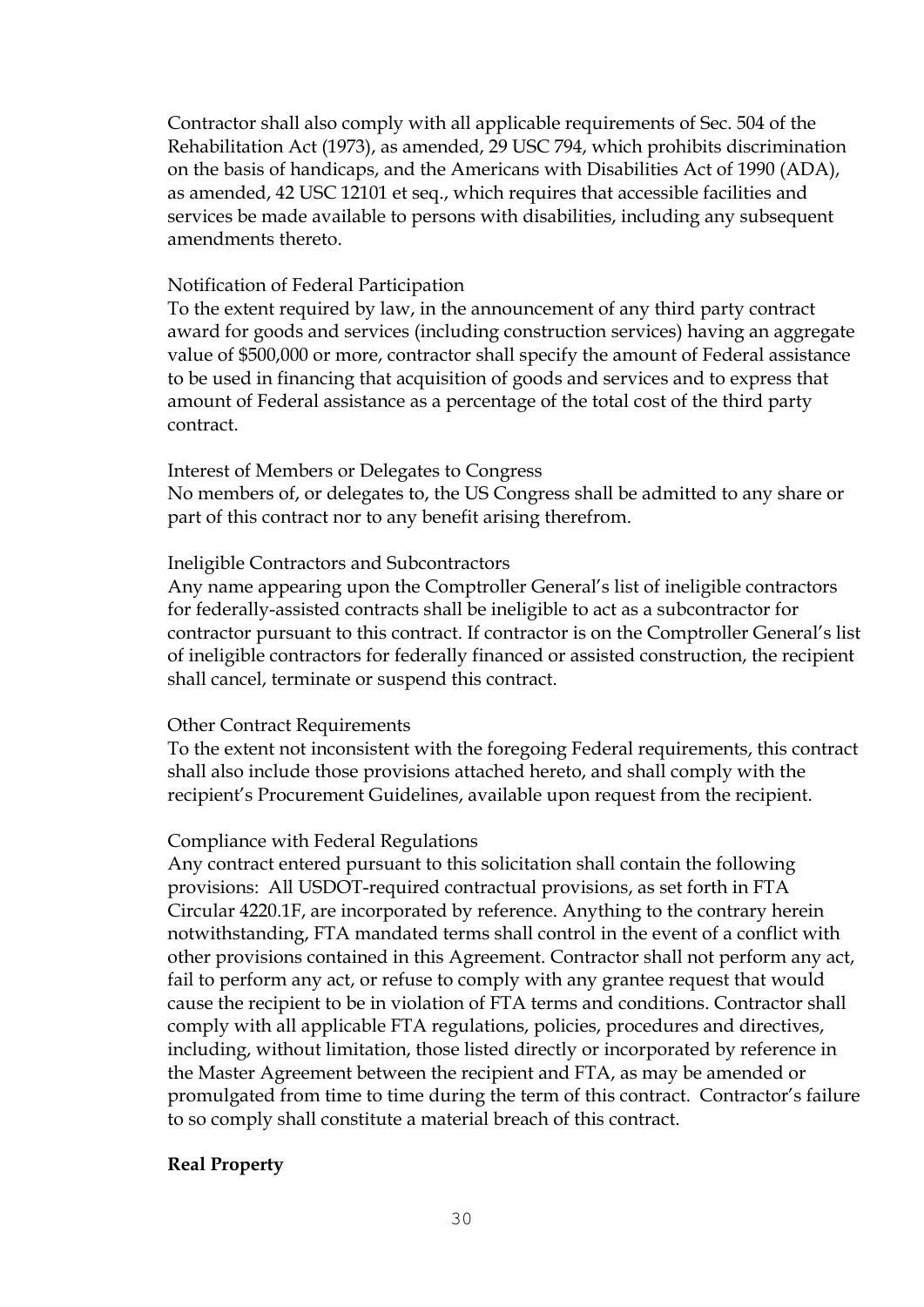Contractor shall also comply with all applicable requirements of Sec. 504 of the Rehabilitation Act (1973), as amended, 29 USC 794, which prohibits discrimination on the basis of handicaps, and the Americans with Disabilities Act of 1990 (ADA), as amended, 42 USC 12101 et seq., which requires that accessible facilities and services be made available to persons with disabilities, including any subsequent amendments thereto.

#### Notification of Federal Participation

To the extent required by law, in the announcement of any third party contract award for goods and services (including construction services) having an aggregate value of \$500,000 or more, contractor shall specify the amount of Federal assistance to be used in financing that acquisition of goods and services and to express that amount of Federal assistance as a percentage of the total cost of the third party contract.

#### Interest of Members or Delegates to Congress

No members of, or delegates to, the US Congress shall be admitted to any share or part of this contract nor to any benefit arising therefrom.

#### Ineligible Contractors and Subcontractors

Any name appearing upon the Comptroller General's list of ineligible contractors for federally-assisted contracts shall be ineligible to act as a subcontractor for contractor pursuant to this contract. If contractor is on the Comptroller General's list of ineligible contractors for federally financed or assisted construction, the recipient shall cancel, terminate or suspend this contract.

#### Other Contract Requirements

To the extent not inconsistent with the foregoing Federal requirements, this contract shall also include those provisions attached hereto, and shall comply with the recipient's Procurement Guidelines, available upon request from the recipient.

### Compliance with Federal Regulations

Any contract entered pursuant to this solicitation shall contain the following provisions: All USDOT-required contractual provisions, as set forth in FTA Circular 4220.1F, are incorporated by reference. Anything to the contrary herein notwithstanding, FTA mandated terms shall control in the event of a conflict with other provisions contained in this Agreement. Contractor shall not perform any act, fail to perform any act, or refuse to comply with any grantee request that would cause the recipient to be in violation of FTA terms and conditions. Contractor shall comply with all applicable FTA regulations, policies, procedures and directives, including, without limitation, those listed directly or incorporated by reference in the Master Agreement between the recipient and FTA, as may be amended or promulgated from time to time during the term of this contract. Contractor's failure to so comply shall constitute a material breach of this contract.

### **Real Property**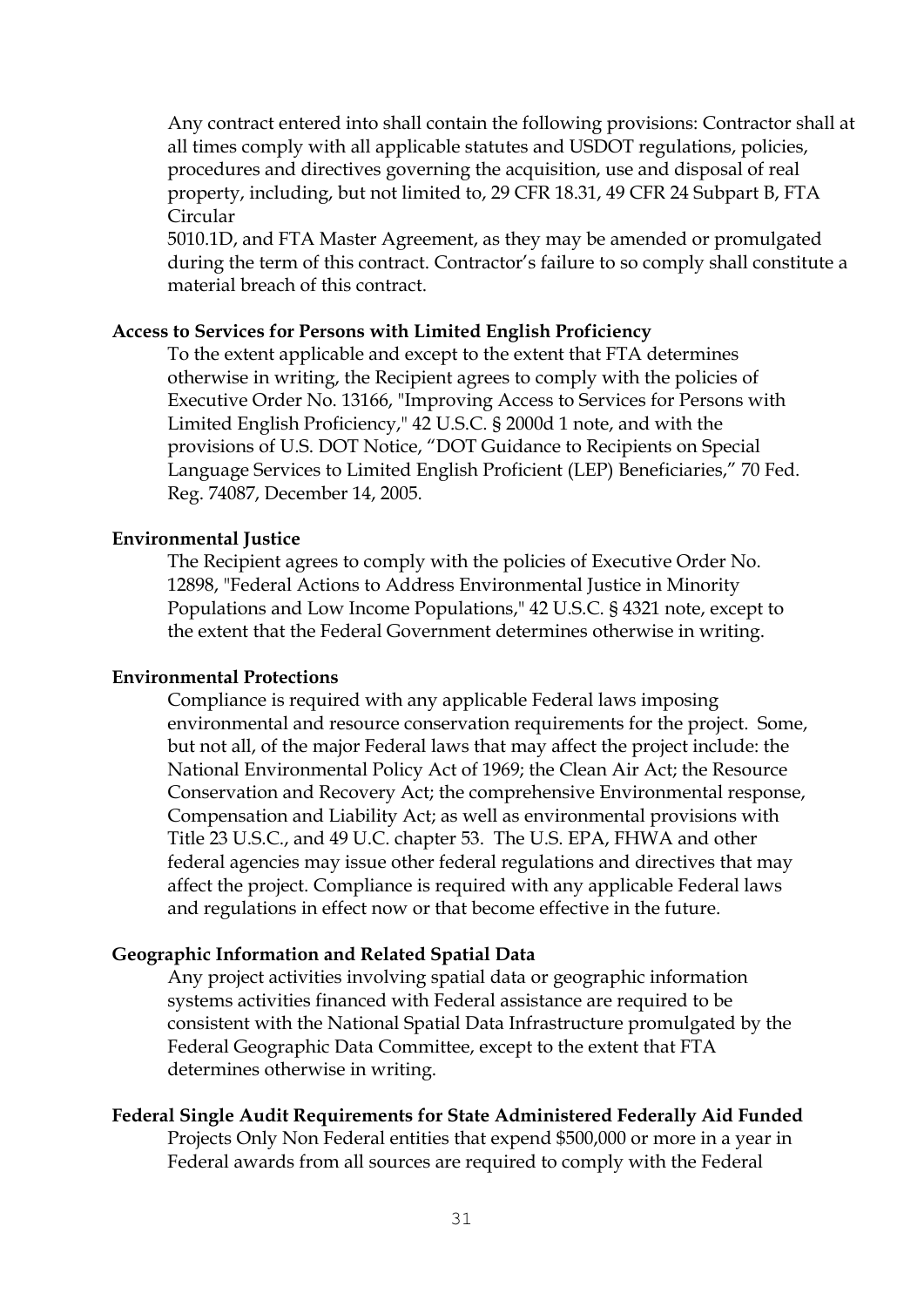Any contract entered into shall contain the following provisions: Contractor shall at all times comply with all applicable statutes and USDOT regulations, policies, procedures and directives governing the acquisition, use and disposal of real property, including, but not limited to, 29 CFR 18.31, 49 CFR 24 Subpart B, FTA Circular

5010.1D, and FTA Master Agreement, as they may be amended or promulgated during the term of this contract. Contractor's failure to so comply shall constitute a material breach of this contract.

### **Access to Services for Persons with Limited English Proficiency**

To the extent applicable and except to the extent that FTA determines otherwise in writing, the Recipient agrees to comply with the policies of Executive Order No. 13166, "Improving Access to Services for Persons with Limited English Proficiency," 42 U.S.C. § 2000d 1 note, and with the provisions of U.S. DOT Notice, "DOT Guidance to Recipients on Special Language Services to Limited English Proficient (LEP) Beneficiaries," 70 Fed. Reg. 74087, December 14, 2005.

### **Environmental Justice**

The Recipient agrees to comply with the policies of Executive Order No. 12898, "Federal Actions to Address Environmental Justice in Minority Populations and Low Income Populations," 42 U.S.C. § 4321 note, except to the extent that the Federal Government determines otherwise in writing.

### **Environmental Protections**

Compliance is required with any applicable Federal laws imposing environmental and resource conservation requirements for the project. Some, but not all, of the major Federal laws that may affect the project include: the National Environmental Policy Act of 1969; the Clean Air Act; the Resource Conservation and Recovery Act; the comprehensive Environmental response, Compensation and Liability Act; as well as environmental provisions with Title 23 U.S.C., and 49 U.C. chapter 53. The U.S. EPA, FHWA and other federal agencies may issue other federal regulations and directives that may affect the project. Compliance is required with any applicable Federal laws and regulations in effect now or that become effective in the future.

#### **Geographic Information and Related Spatial Data**

Any project activities involving spatial data or geographic information systems activities financed with Federal assistance are required to be consistent with the National Spatial Data Infrastructure promulgated by the Federal Geographic Data Committee, except to the extent that FTA determines otherwise in writing.

#### **Federal Single Audit Requirements for State Administered Federally Aid Funded**

Projects Only Non Federal entities that expend \$500,000 or more in a year in Federal awards from all sources are required to comply with the Federal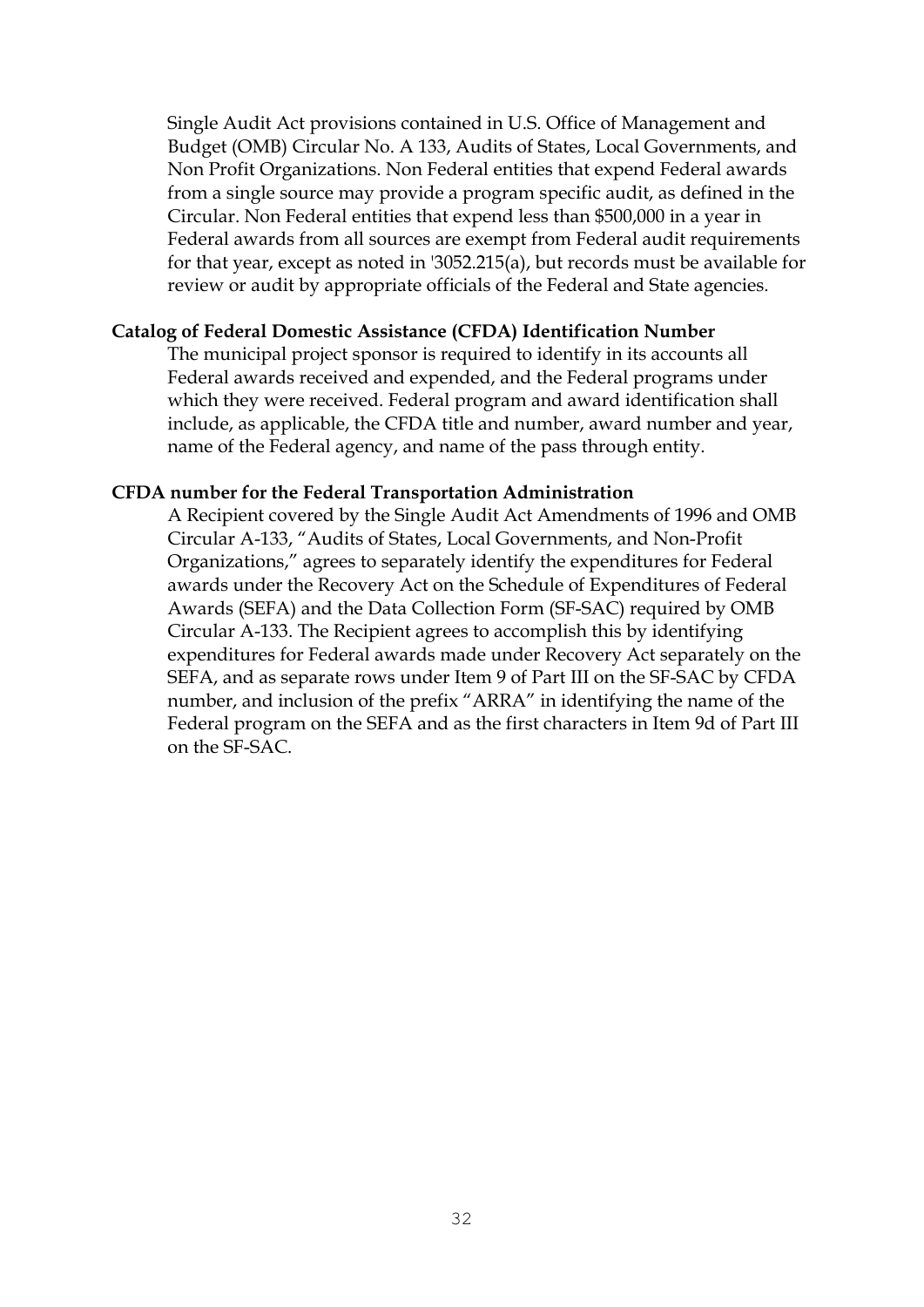Single Audit Act provisions contained in U.S. Office of Management and Budget (OMB) Circular No. A 133, Audits of States, Local Governments, and Non Profit Organizations. Non Federal entities that expend Federal awards from a single source may provide a program specific audit, as defined in the Circular. Non Federal entities that expend less than \$500,000 in a year in Federal awards from all sources are exempt from Federal audit requirements for that year, except as noted in '3052.215(a), but records must be available for review or audit by appropriate officials of the Federal and State agencies.

### **Catalog of Federal Domestic Assistance (CFDA) Identification Number**

The municipal project sponsor is required to identify in its accounts all Federal awards received and expended, and the Federal programs under which they were received. Federal program and award identification shall include, as applicable, the CFDA title and number, award number and year, name of the Federal agency, and name of the pass through entity.

#### **CFDA number for the Federal Transportation Administration**

A Recipient covered by the Single Audit Act Amendments of 1996 and OMB Circular A-133, "Audits of States, Local Governments, and Non-Profit Organizations," agrees to separately identify the expenditures for Federal awards under the Recovery Act on the Schedule of Expenditures of Federal Awards (SEFA) and the Data Collection Form (SF-SAC) required by OMB Circular A-133. The Recipient agrees to accomplish this by identifying expenditures for Federal awards made under Recovery Act separately on the SEFA, and as separate rows under Item 9 of Part III on the SF-SAC by CFDA number, and inclusion of the prefix "ARRA" in identifying the name of the Federal program on the SEFA and as the first characters in Item 9d of Part III on the SF-SAC.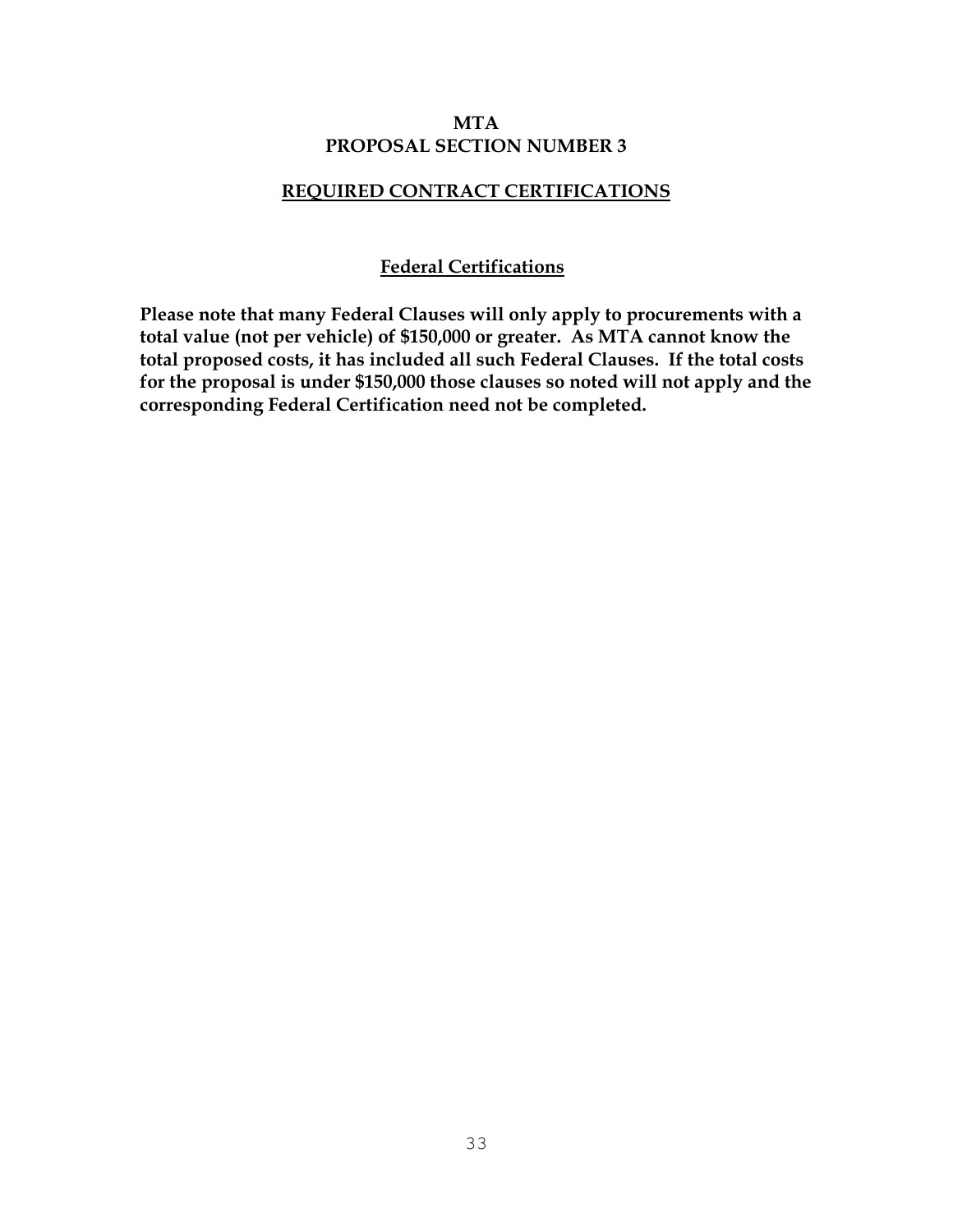### **MTA PROPOSAL SECTION NUMBER 3**

### **REQUIRED CONTRACT CERTIFICATIONS**

### **Federal Certifications**

**Please note that many Federal Clauses will only apply to procurements with a total value (not per vehicle) of \$150,000 or greater. As MTA cannot know the total proposed costs, it has included all such Federal Clauses. If the total costs for the proposal is under \$150,000 those clauses so noted will not apply and the corresponding Federal Certification need not be completed.**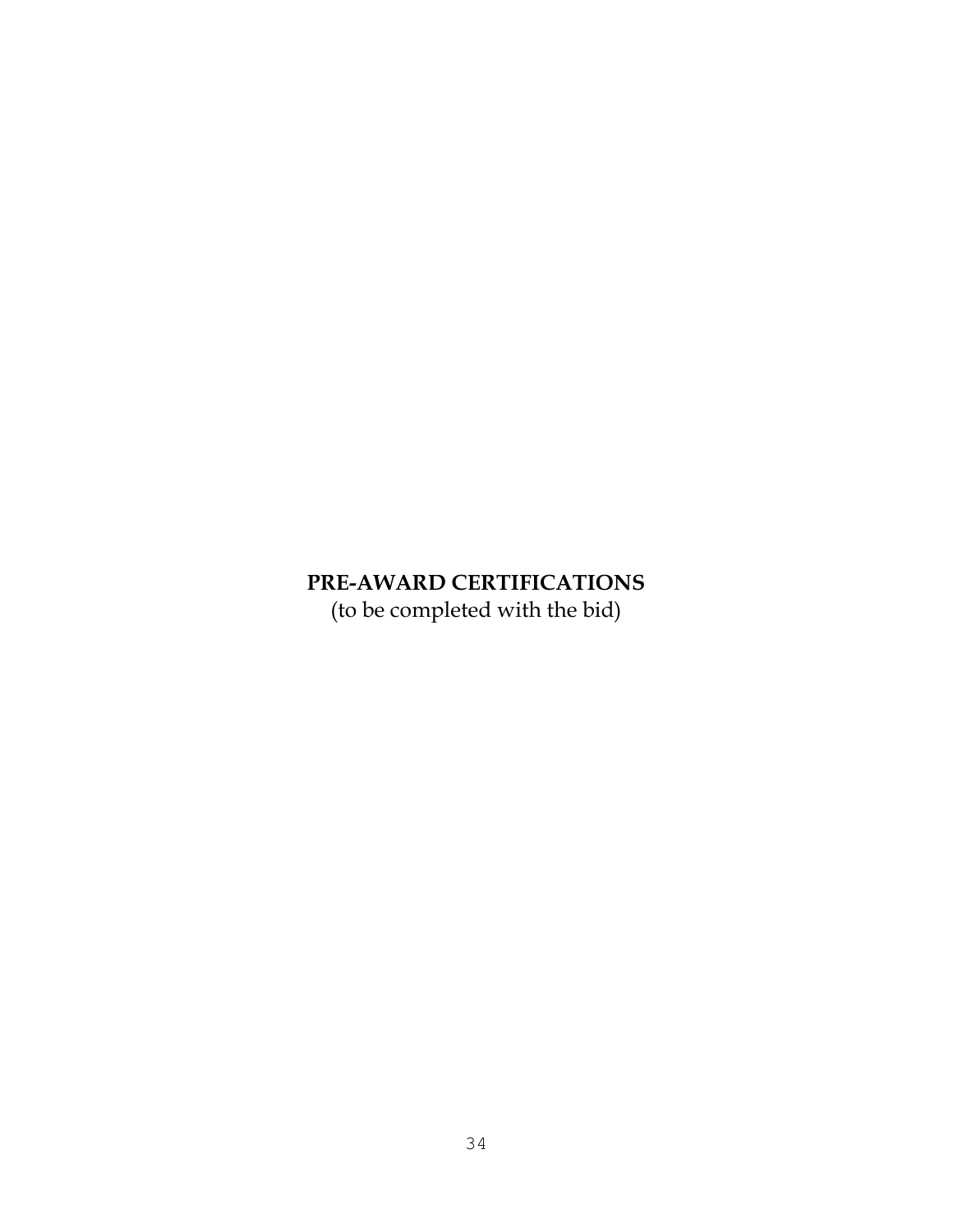# **PRE-AWARD CERTIFICATIONS**

(to be completed with the bid)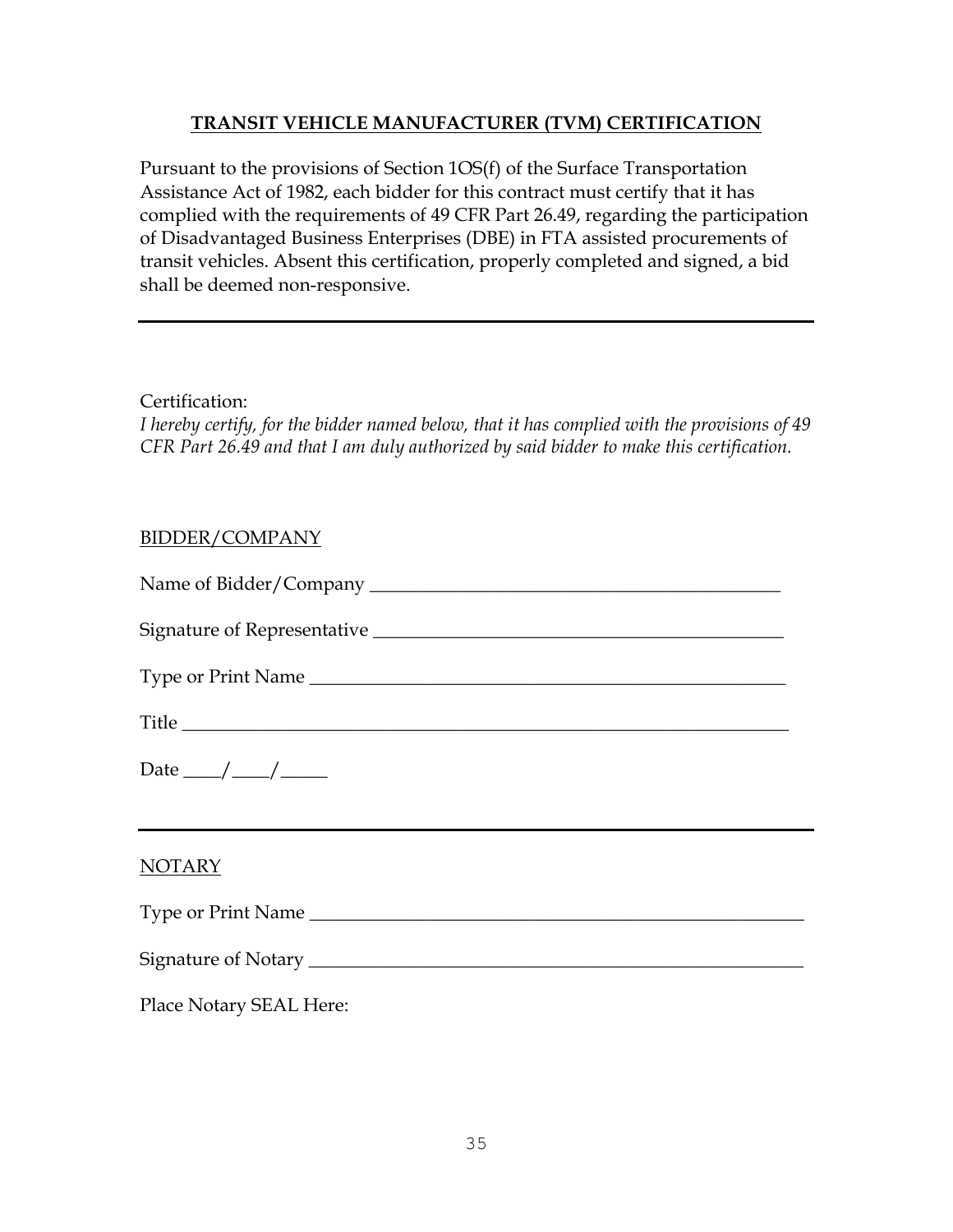### **TRANSIT VEHICLE MANUFACTURER (TVM) CERTIFICATION**

Pursuant to the provisions of Section 1OS(f) of the Surface Transportation Assistance Act of 1982, each bidder for this contract must certify that it has complied with the requirements of 49 CFR Part 26.49, regarding the participation of Disadvantaged Business Enterprises (DBE) in FTA assisted procurements of transit vehicles. Absent this certification, properly completed and signed, a bid shall be deemed non-responsive.

Certification:

*I hereby certify, for the bidder named below, that it has complied with the provisions of 49 CFR Part 26.49 and that I am duly authorized by said bidder to make this certification.*

### BIDDER/COMPANY

| Type or Print Name                                |  |  |
|---------------------------------------------------|--|--|
| Title                                             |  |  |
| Date $\_\_\_\_\_\_\_\_\_\_\_\_\_\_\_\_\_\_\_\_\_$ |  |  |
| NOTARY                                            |  |  |
| Type or Print Name                                |  |  |
|                                                   |  |  |
| Place Notary SEAL Here:                           |  |  |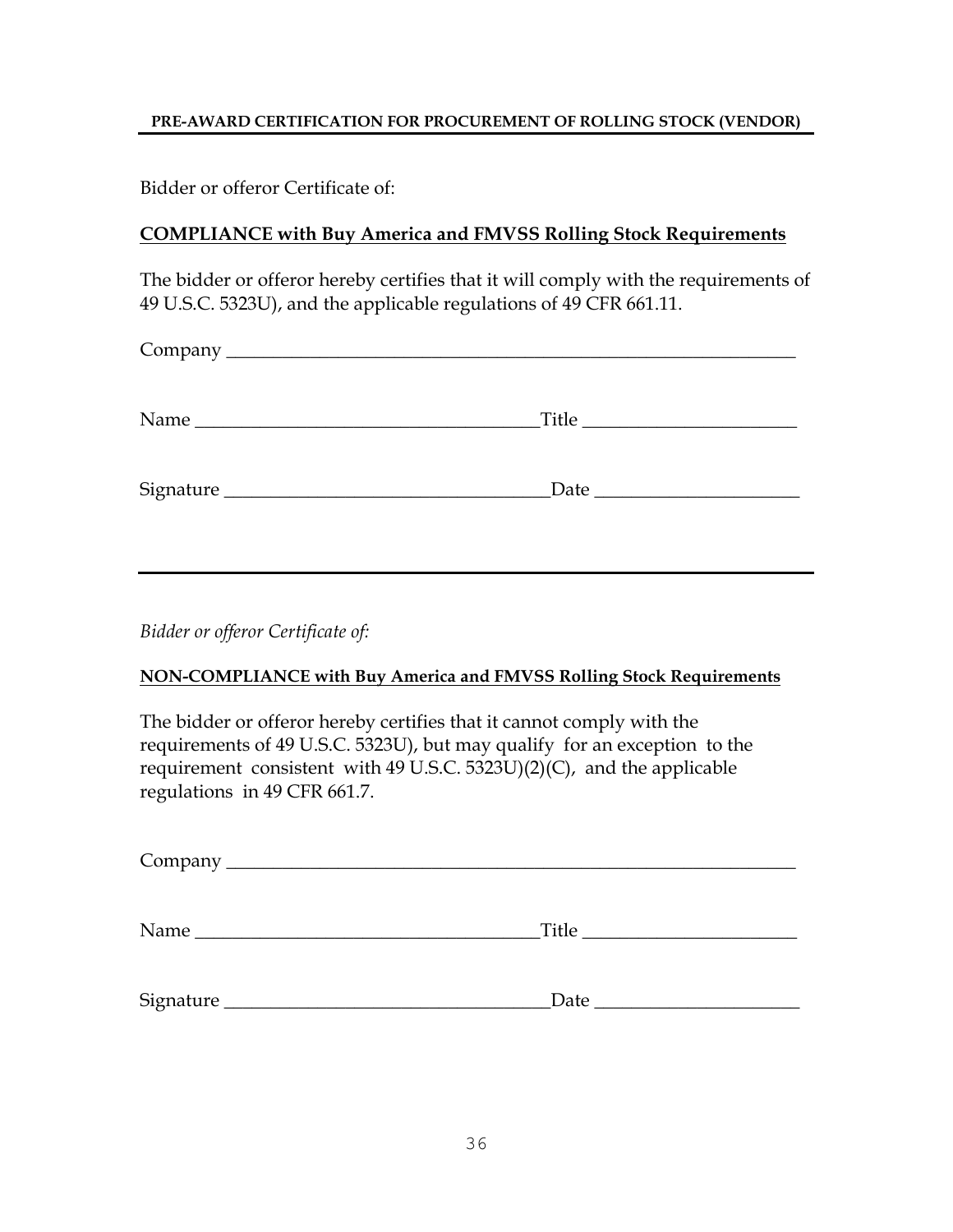### **PRE-AWARD CERTIFICATION FOR PROCUREMENT OF ROLLING STOCK (VENDOR)**

Bidder or offeror Certificate of:

### **COMPLIANCE with Buy America and FMVSS Rolling Stock Requirements**

The bidder or offeror hereby certifies that it will comply with the requirements of 49 U.S.C. 5323U), and the applicable regulations of 49 CFR 661.11.

| Title |  |
|-------|--|
|       |  |

*Bidder or offeror Certificate of:*

### **NON-COMPLIANCE with Buy America and FMVSS Rolling Stock Requirements**

The bidder or offeror hereby certifies that it cannot comply with the requirements of 49 U.S.C. 5323U), but may qualify for an exception to the requirement consistent with 49 U.S.C. 5323U)(2)(C), and the applicable regulations in 49 CFR 661.7.

| Signature | $\Delta$ Date $\Delta$ |
|-----------|------------------------|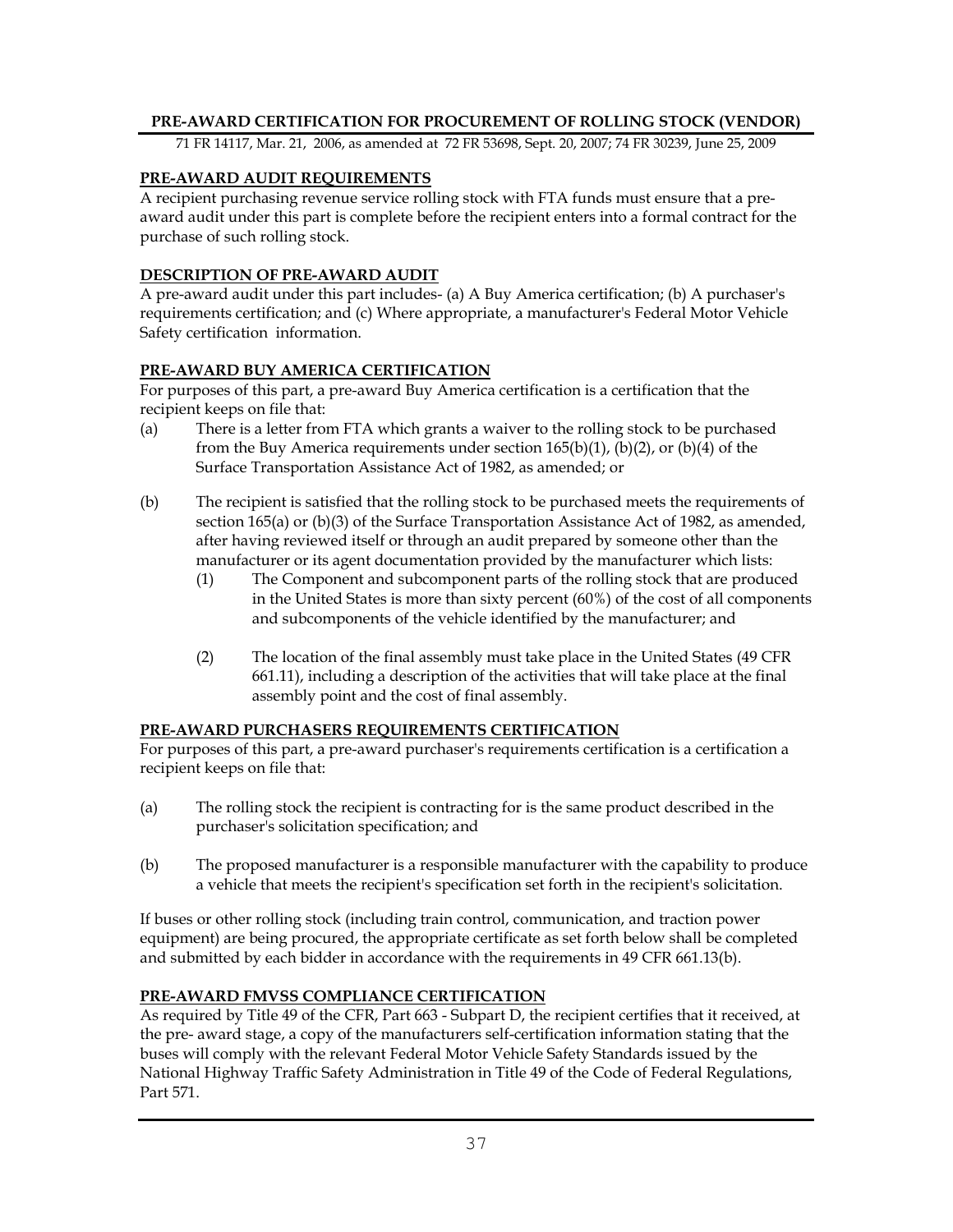#### **PRE-AWARD CERTIFICATION FOR PROCUREMENT OF ROLLING STOCK (VENDOR)**

71 FR 14117, Mar. 21, 2006, as amended at 72 FR 53698, Sept. 20, 2007; 74 FR 30239, June 25, 2009

#### **PRE-AWARD AUDIT REQUIREMENTS**

A recipient purchasing revenue service rolling stock with FTA funds must ensure that a preaward audit under this part is complete before the recipient enters into a formal contract for the purchase of such rolling stock.

#### **DESCRIPTION OF PRE-AWARD AUDIT**

A pre-award audit under this part includes- (a) A Buy America certification; (b) A purchaser's requirements certification; and (c) Where appropriate, a manufacturer's Federal Motor Vehicle Safety certification information.

#### **PRE-AWARD BUY AMERICA CERTIFICATION**

For purposes of this part, a pre-award Buy America certification is a certification that the recipient keeps on file that:

- (a) There is a letter from FTA which grants a waiver to the rolling stock to be purchased from the Buy America requirements under section  $165(b)(1)$ ,  $(b)(2)$ , or  $(b)(4)$  of the Surface Transportation Assistance Act of 1982, as amended; or
- (b) The recipient is satisfied that the rolling stock to be purchased meets the requirements of section 165(a) or (b)(3) of the Surface Transportation Assistance Act of 1982, as amended, after having reviewed itself or through an audit prepared by someone other than the manufacturer or its agent documentation provided by the manufacturer which lists:
	- (1) The Component and subcomponent parts of the rolling stock that are produced in the United States is more than sixty percent (60%) of the cost of all components and subcomponents of the vehicle identified by the manufacturer; and
	- (2) The location of the final assembly must take place in the United States (49 CFR 661.11), including a description of the activities that will take place at the final assembly point and the cost of final assembly.

#### **PRE-AWARD PURCHASERS REQUIREMENTS CERTIFICATION**

For purposes of this part, a pre-award purchaser's requirements certification is a certification a recipient keeps on file that:

- (a) The rolling stock the recipient is contracting for is the same product described in the purchaser's solicitation specification; and
- (b) The proposed manufacturer is a responsible manufacturer with the capability to produce a vehicle that meets the recipient's specification set forth in the recipient's solicitation.

If buses or other rolling stock (including train control, communication, and traction power equipment) are being procured, the appropriate certificate as set forth below shall be completed and submitted by each bidder in accordance with the requirements in 49 CFR 661.13(b).

### **PRE-AWARD FMVSS COMPLIANCE CERTIFICATION**

As required by Title 49 of the CFR, Part 663 - Subpart D, the recipient certifies that it received, at the pre- award stage, a copy of the manufacturers self-certification information stating that the buses will comply with the relevant Federal Motor Vehicle Safety Standards issued by the National Highway Traffic Safety Administration in Title 49 of the Code of Federal Regulations, Part 571.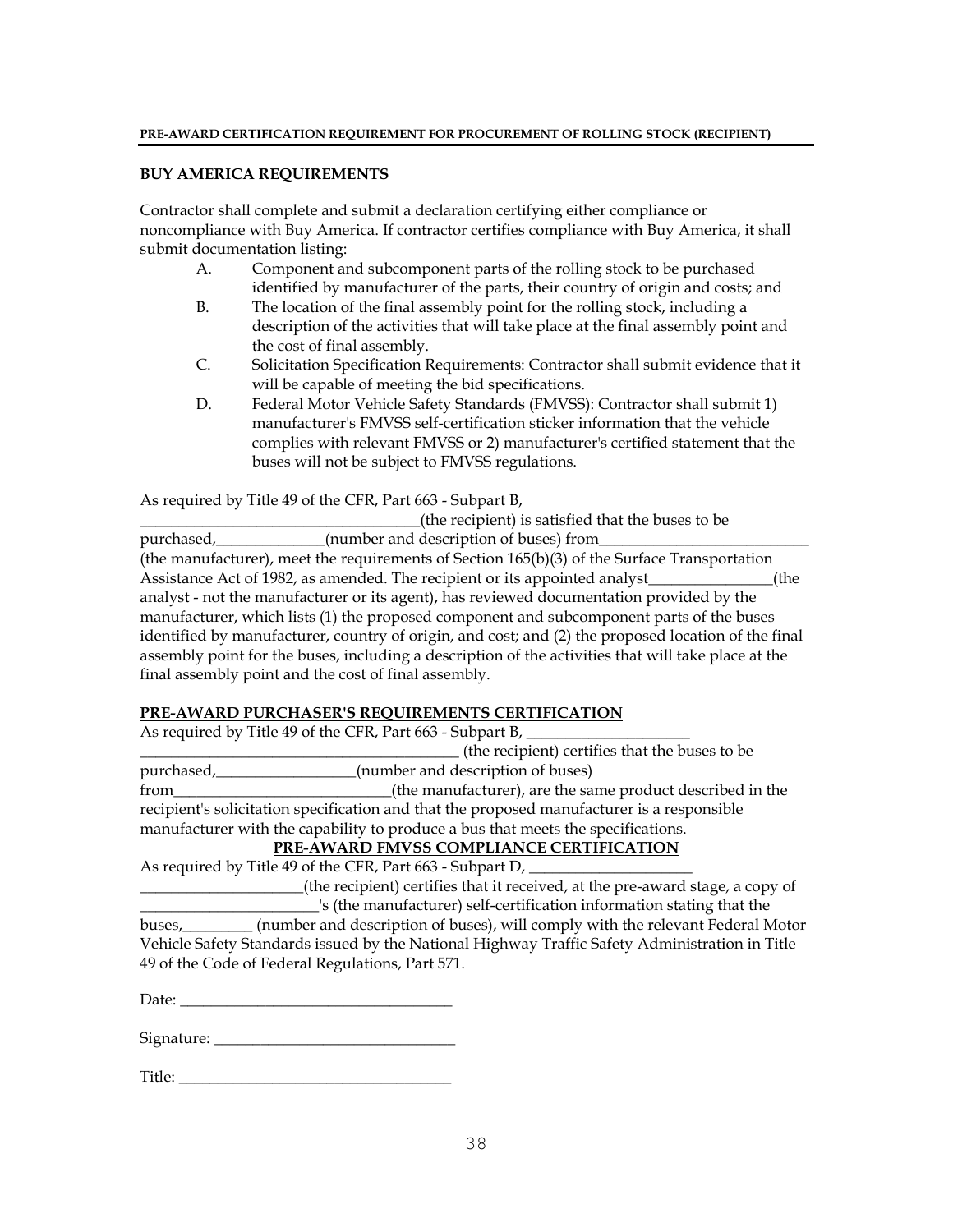#### **PRE-AWARD CERTIFICATION REQUIREMENT FOR PROCUREMENT OF ROLLING STOCK (RECIPIENT)**

#### **BUY AMERICA REQUIREMENTS**

Contractor shall complete and submit a declaration certifying either compliance or noncompliance with Buy America. If contractor certifies compliance with Buy America, it shall submit documentation listing:

- A. Component and subcomponent parts of the rolling stock to be purchased identified by manufacturer of the parts, their country of origin and costs; and
- B. The location of the final assembly point for the rolling stock, including a description of the activities that will take place at the final assembly point and the cost of final assembly.
- C. Solicitation Specification Requirements: Contractor shall submit evidence that it will be capable of meeting the bid specifications.
- D. Federal Motor Vehicle Safety Standards (FMVSS): Contractor shall submit 1) manufacturer's FMVSS self-certification sticker information that the vehicle complies with relevant FMVSS or 2) manufacturer's certified statement that the buses will not be subject to FMVSS regulations.

As required by Title 49 of the CFR, Part 663 - Subpart B,

\_\_\_\_\_\_\_\_\_\_\_\_\_\_\_\_\_\_\_\_\_\_\_\_\_\_\_\_\_\_\_\_\_\_\_\_(the recipient) is satisfied that the buses to be purchased,\_\_\_\_\_\_\_\_\_\_\_\_\_\_\_(number and description of buses) from\_ (the manufacturer), meet the requirements of Section 165(b)(3) of the Surface Transportation Assistance Act of 1982, as amended. The recipient or its appointed analyst (the analyst - not the manufacturer or its agent), has reviewed documentation provided by the manufacturer, which lists (1) the proposed component and subcomponent parts of the buses identified by manufacturer, country of origin, and cost; and (2) the proposed location of the final assembly point for the buses, including a description of the activities that will take place at the final assembly point and the cost of final assembly.

#### **PRE-AWARD PURCHASER'S REQUIREMENTS CERTIFICATION**

| As required by Title 49 of the CFR, Part 663 - Subpart B,                                  |                                                           |  |
|--------------------------------------------------------------------------------------------|-----------------------------------------------------------|--|
|                                                                                            | (the recipient) certifies that the buses to be            |  |
| purchased,                                                                                 | (number and description of buses)                         |  |
| from                                                                                       | (the manufacturer), are the same product described in the |  |
| recipient's solicitation specification and that the proposed manufacturer is a responsible |                                                           |  |
| manufacturer with the capability to produce a bus that meets the specifications.           |                                                           |  |
| PRE-AWARD FMVSS COMPLIANCE CERTIFICATION                                                   |                                                           |  |
|                                                                                            | As required by Title 49 of the CFR, Part 663 - Subpart D, |  |

\_\_\_\_\_\_\_\_\_\_\_\_\_\_\_\_\_\_\_\_\_(the recipient) certifies that it received, at the pre-award stage, a copy of  $\Box$ 's (the manufacturer) self-certification information stating that the buses,\_\_\_\_\_\_\_\_\_ (number and description of buses), will comply with the relevant Federal Motor Vehicle Safety Standards issued by the National Highway Traffic Safety Administration in Title 49 of the Code of Federal Regulations, Part 571.

Date: \_\_\_\_\_\_\_\_\_\_\_\_\_\_\_\_\_\_\_\_\_\_\_\_\_\_\_\_\_\_\_\_\_\_\_

Signature: \_\_\_\_\_\_\_\_\_\_\_\_\_\_\_\_\_\_\_\_\_\_\_\_\_\_\_\_\_\_\_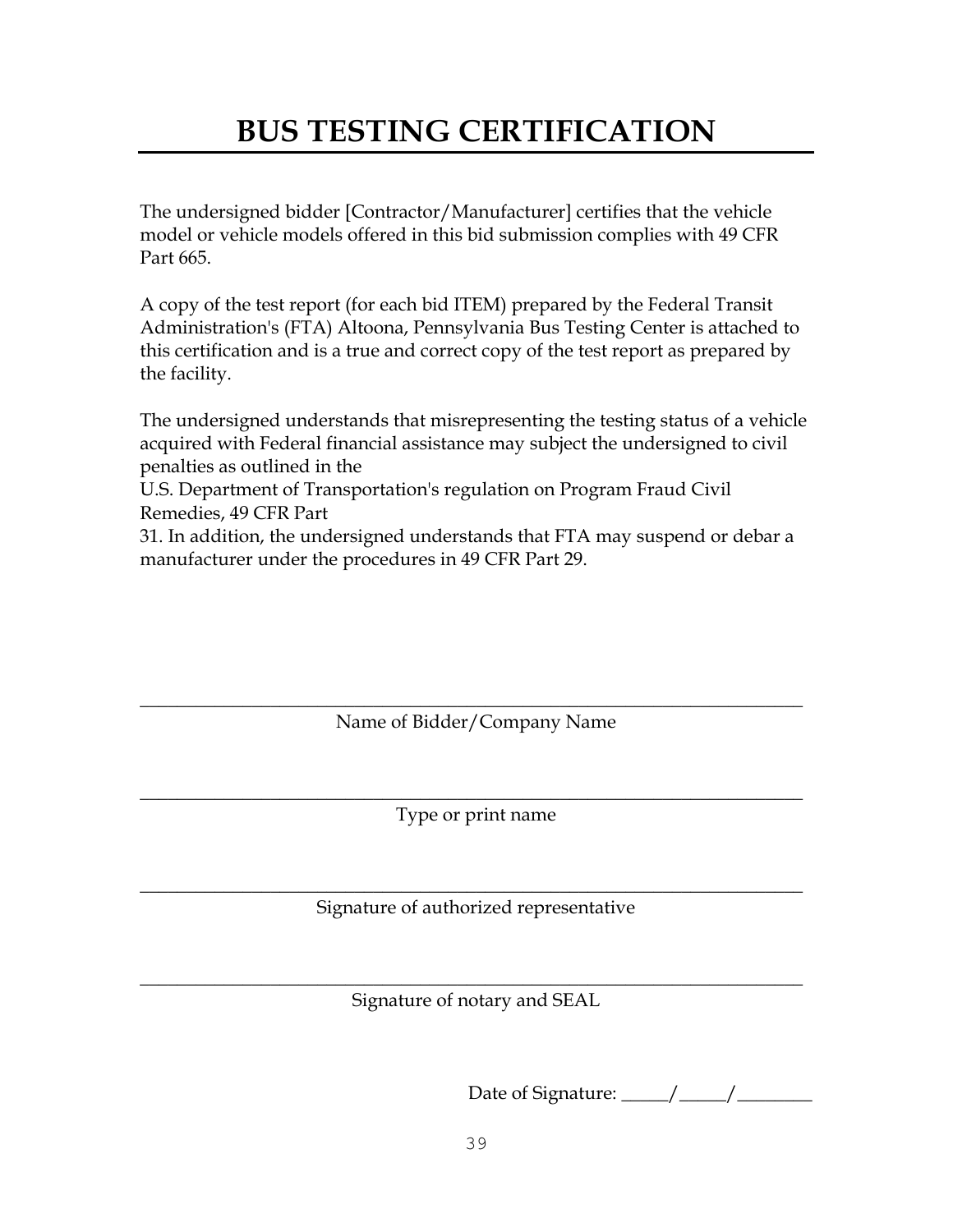# **BUS TESTING CERTIFICATION**

The undersigned bidder [Contractor/Manufacturer] certifies that the vehicle model or vehicle models offered in this bid submission complies with 49 CFR Part 665.

A copy of the test report (for each bid ITEM) prepared by the Federal Transit Administration's (FTA) Altoona, Pennsylvania Bus Testing Center is attached to this certification and is a true and correct copy of the test report as prepared by the facility.

The undersigned understands that misrepresenting the testing status of a vehicle acquired with Federal financial assistance may subject the undersigned to civil penalties as outlined in the

U.S. Department of Transportation's regulation on Program Fraud Civil Remedies, 49 CFR Part

31. In addition, the undersigned understands that FTA may suspend or debar a manufacturer under the procedures in 49 CFR Part 29.

 $\_$  , and the set of the set of the set of the set of the set of the set of the set of the set of the set of the set of the set of the set of the set of the set of the set of the set of the set of the set of the set of th Name of Bidder/Company Name

 $\_$  , and the set of the set of the set of the set of the set of the set of the set of the set of the set of the set of the set of the set of the set of the set of the set of the set of the set of the set of the set of th Type or print name

 $\_$  , and the set of the set of the set of the set of the set of the set of the set of the set of the set of the set of the set of the set of the set of the set of the set of the set of the set of the set of the set of th Signature of authorized representative

 $\_$  , and the set of the set of the set of the set of the set of the set of the set of the set of the set of the set of the set of the set of the set of the set of the set of the set of the set of the set of the set of th Signature of notary and SEAL

Date of Signature: \_\_\_\_\_\_/ \_\_\_\_\_/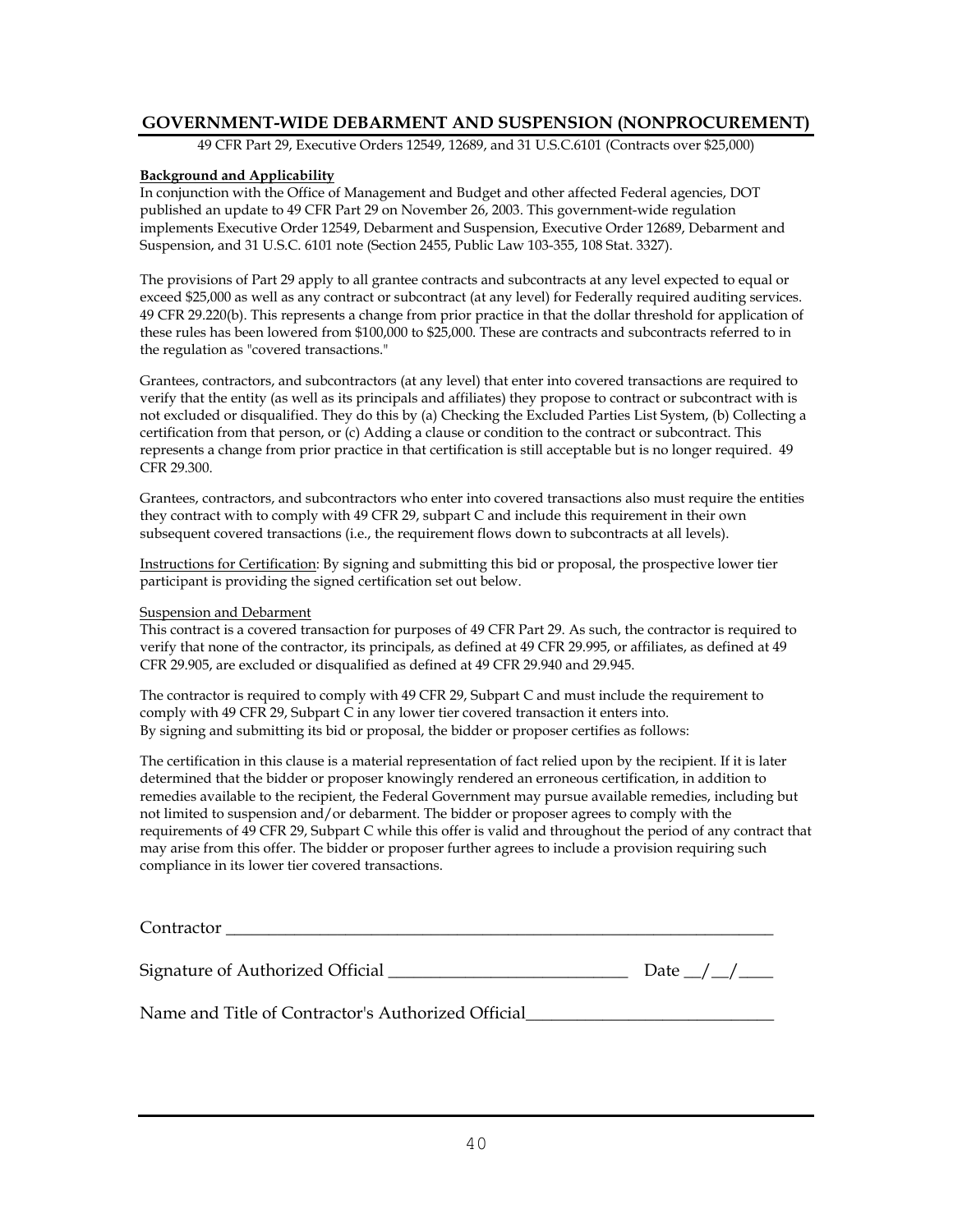#### **GOVERNMENT-WIDE DEBARMENT AND SUSPENSION (NONPROCUREMENT)**

49 CFR Part 29, Executive Orders 12549, 12689, and 31 U.S.C.6101 (Contracts over \$25,000)

#### **Background and Applicability**

In conjunction with the Office of Management and Budget and other affected Federal agencies, DOT published an update to 49 CFR Part 29 on November 26, 2003. This government-wide regulation implements Executive Order 12549, Debarment and Suspension, Executive Order 12689, Debarment and Suspension, and 31 U.S.C. 6101 note (Section 2455, Public Law 103-355, 108 Stat. 3327).

The provisions of Part 29 apply to all grantee contracts and subcontracts at any level expected to equal or exceed \$25,000 as well as any contract or subcontract (at any level) for Federally required auditing services. 49 CFR 29.220(b). This represents a change from prior practice in that the dollar threshold for application of these rules has been lowered from \$100,000 to \$25,000. These are contracts and subcontracts referred to in the regulation as "covered transactions."

Grantees, contractors, and subcontractors (at any level) that enter into covered transactions are required to verify that the entity (as well as its principals and affiliates) they propose to contract or subcontract with is not excluded or disqualified. They do this by (a) Checking the Excluded Parties List System, (b) Collecting a certification from that person, or (c) Adding a clause or condition to the contract or subcontract. This represents a change from prior practice in that certification is still acceptable but is no longer required. 49 CFR 29.300.

Grantees, contractors, and subcontractors who enter into covered transactions also must require the entities they contract with to comply with 49 CFR 29, subpart C and include this requirement in their own subsequent covered transactions (i.e., the requirement flows down to subcontracts at all levels).

Instructions for Certification: By signing and submitting this bid or proposal, the prospective lower tier participant is providing the signed certification set out below.

#### Suspension and Debarment

This contract is a covered transaction for purposes of 49 CFR Part 29. As such, the contractor is required to verify that none of the contractor, its principals, as defined at 49 CFR 29.995, or affiliates, as defined at 49 CFR 29.905, are excluded or disqualified as defined at 49 CFR 29.940 and 29.945.

The contractor is required to comply with 49 CFR 29, Subpart C and must include the requirement to comply with 49 CFR 29, Subpart C in any lower tier covered transaction it enters into. By signing and submitting its bid or proposal, the bidder or proposer certifies as follows:

The certification in this clause is a material representation of fact relied upon by the recipient. If it is later determined that the bidder or proposer knowingly rendered an erroneous certification, in addition to remedies available to the recipient, the Federal Government may pursue available remedies, including but not limited to suspension and/or debarment. The bidder or proposer agrees to comply with the requirements of 49 CFR 29, Subpart C while this offer is valid and throughout the period of any contract that may arise from this offer. The bidder or proposer further agrees to include a provision requiring such compliance in its lower tier covered transactions.

| Contractor                       |      |
|----------------------------------|------|
| Signature of Authorized Official | Date |

Name and Title of Contractor's Authorized Official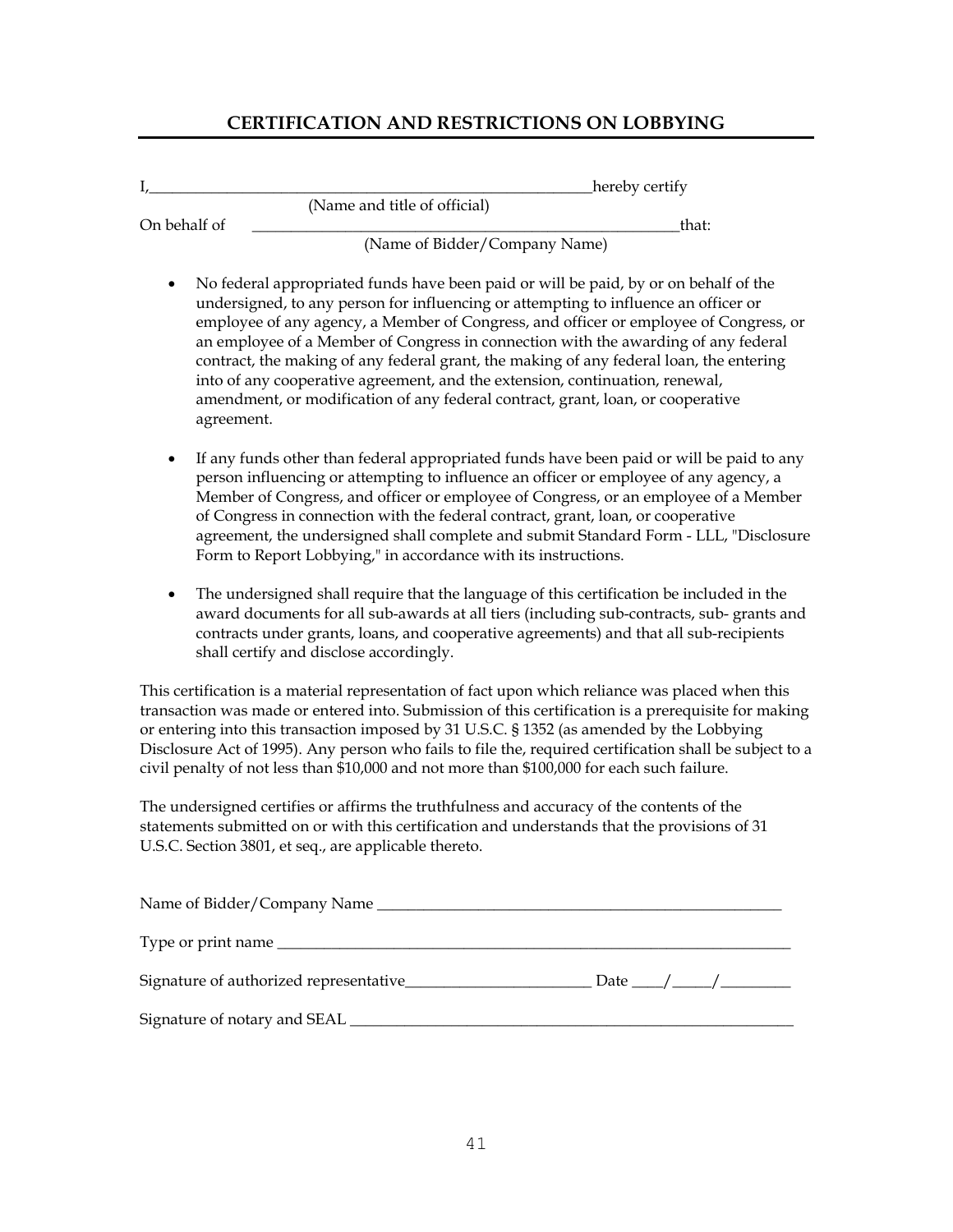# **CERTIFICATION AND RESTRICTIONS ON LOBBYING**

| L |              |                                                                                                                                                                                                                                                                                                                                                                                                                                                                                                                                                                                                                          | hereby certify |
|---|--------------|--------------------------------------------------------------------------------------------------------------------------------------------------------------------------------------------------------------------------------------------------------------------------------------------------------------------------------------------------------------------------------------------------------------------------------------------------------------------------------------------------------------------------------------------------------------------------------------------------------------------------|----------------|
|   |              | (Name and title of official)                                                                                                                                                                                                                                                                                                                                                                                                                                                                                                                                                                                             |                |
|   | On behalf of | (Name of Bidder/Company Name)                                                                                                                                                                                                                                                                                                                                                                                                                                                                                                                                                                                            | that:          |
|   | agreement.   | No federal appropriated funds have been paid or will be paid, by or on behalf of the<br>undersigned, to any person for influencing or attempting to influence an officer or<br>employee of any agency, a Member of Congress, and officer or employee of Congress, or<br>an employee of a Member of Congress in connection with the awarding of any federal<br>contract, the making of any federal grant, the making of any federal loan, the entering<br>into of any cooperative agreement, and the extension, continuation, renewal,<br>amendment, or modification of any federal contract, grant, loan, or cooperative |                |
| ٠ |              | If any funds other than federal appropriated funds have been paid or will be paid to any<br>person influencing or attempting to influence an officer or employee of any agency, a<br>Member of Congress, and officer or employee of Congress, or an employee of a Member<br>of Congress in connection with the federal contract, grant, loan, or cooperative<br>agreement, the undersigned shall complete and submit Standard Form - LLL, "Disclosure<br>Form to Report Lobbying," in accordance with its instructions.                                                                                                  |                |
|   |              | The undersigned shall require that the language of this certification be included in the<br>award documents for all sub-awards at all tiers (including sub-contracts, sub- grants and<br>contracts under grants, loans, and cooperative agreements) and that all sub-recipients<br>shall certify and disclose accordingly.                                                                                                                                                                                                                                                                                               |                |
|   |              | This certification is a material representation of fact upon which reliance was placed when this<br>transaction was made or entered into. Submission of this certification is a prerequisite for making<br>or entering into this transaction imposed by 31 U.S.C. § 1352 (as amended by the Lobbying<br>Disclosure Act of 1995). Any person who fails to file the, required certification shall be subject to a<br>civil penalty of not less than \$10,000 and not more than \$100,000 for each such failure.                                                                                                            |                |
|   |              | The undersigned certifies or affirms the truthfulness and accuracy of the contents of the<br>statements submitted on or with this certification and understands that the provisions of 31                                                                                                                                                                                                                                                                                                                                                                                                                                |                |

statements submitted on or with this certification and understands that the provisions of 31 U.S.C. Section 3801, et seq., are applicable thereto.

| Name of Bidder/Company Name            |  |               |
|----------------------------------------|--|---------------|
|                                        |  |               |
| Signature of authorized representative |  | Date $\angle$ |
|                                        |  |               |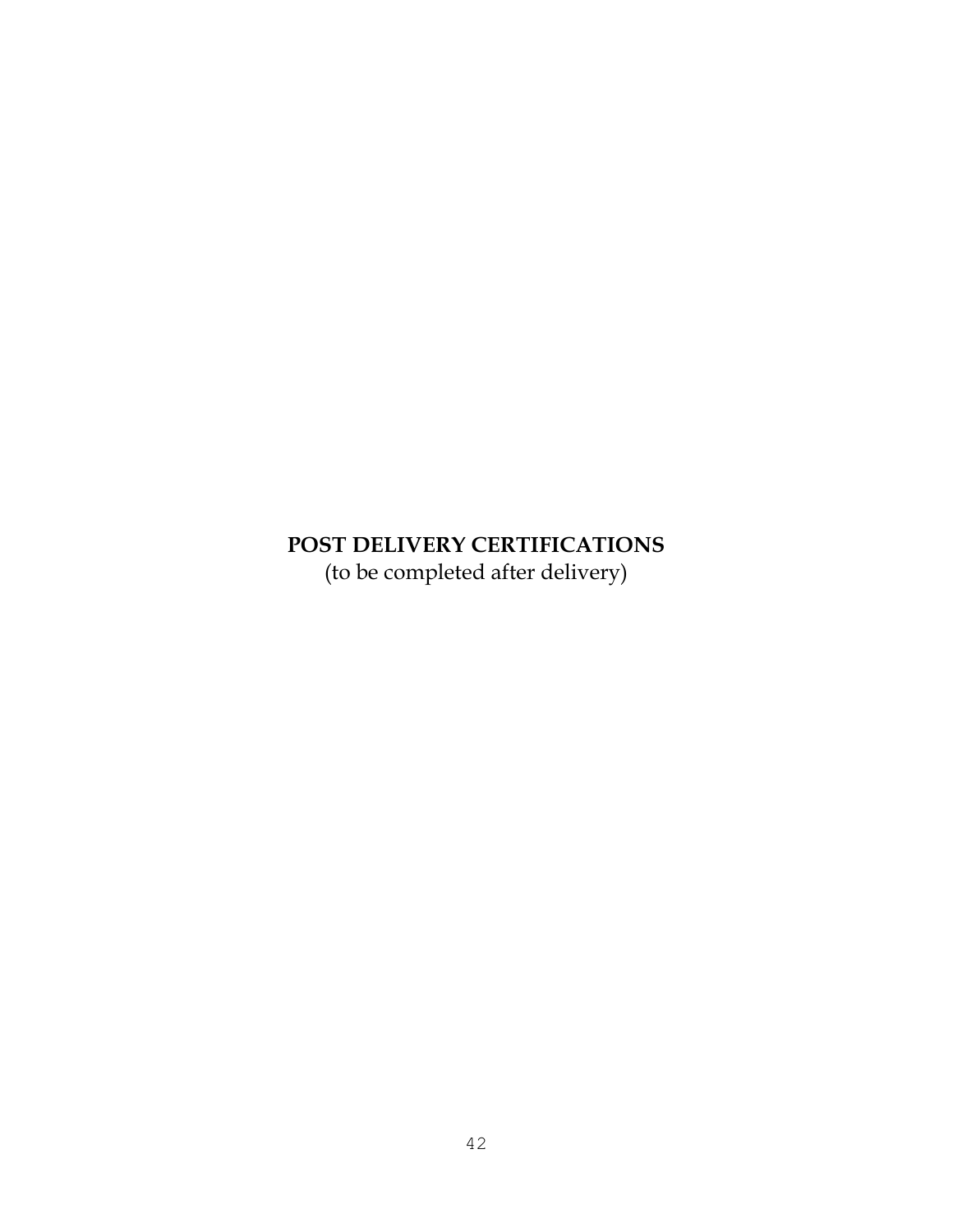# **POST DELIVERY CERTIFICATIONS** (to be completed after delivery)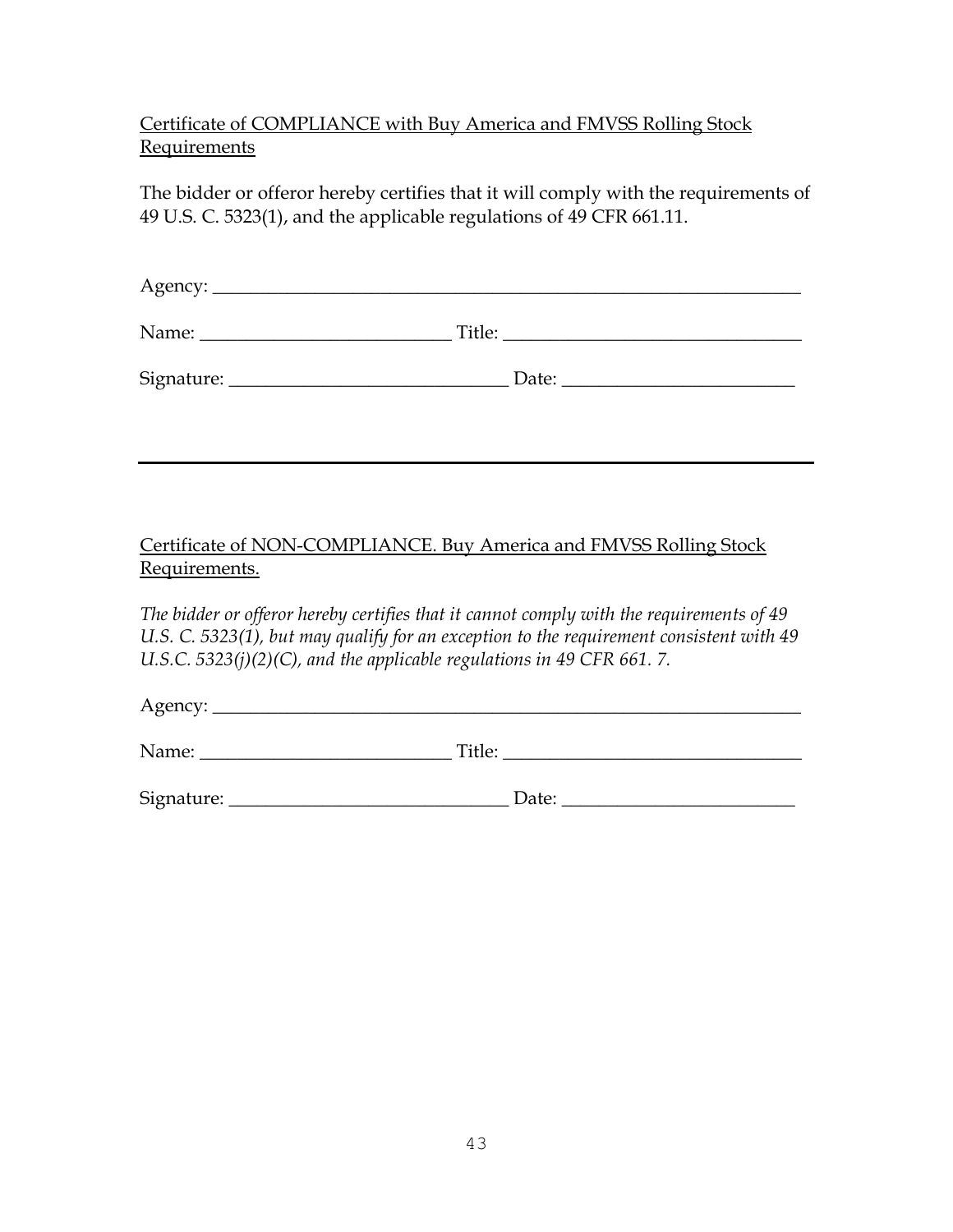# Certificate of COMPLIANCE with Buy America and FMVSS Rolling Stock Requirements

The bidder or offeror hereby certifies that it will comply with the requirements of 49 U.S. C. 5323(1), and the applicable regulations of 49 CFR 661.11.

| Name:      | Title: |
|------------|--------|
| Signature: | Date:  |

### Certificate of NON-COMPLIANCE. Buy America and FMVSS Rolling Stock Requirements.

*The bidder or offeror hereby certifies that it cannot comply with the requirements of 49 U.S. C. 5323(1), but may qualify for an exception to the requirement consistent with 49 U.S.C. 5323(j)(2)(C), and the applicable regulations in 49 CFR 661. 7.*

Agency: \_\_\_\_\_\_\_\_\_\_\_\_\_\_\_\_\_\_\_\_\_\_\_\_\_\_\_\_\_\_\_\_\_\_\_\_\_\_\_\_\_\_\_\_\_\_\_\_\_\_\_\_\_\_\_\_\_\_\_\_\_\_\_

Name: \_\_\_\_\_\_\_\_\_\_\_\_\_\_\_\_\_\_\_\_\_\_\_\_\_\_\_ Title: \_\_\_\_\_\_\_\_\_\_\_\_\_\_\_\_\_\_\_\_\_\_\_\_\_\_\_\_\_\_\_\_

Signature: \_\_\_\_\_\_\_\_\_\_\_\_\_\_\_\_\_\_\_\_\_\_\_\_\_\_\_\_\_\_ Date: \_\_\_\_\_\_\_\_\_\_\_\_\_\_\_\_\_\_\_\_\_\_\_\_\_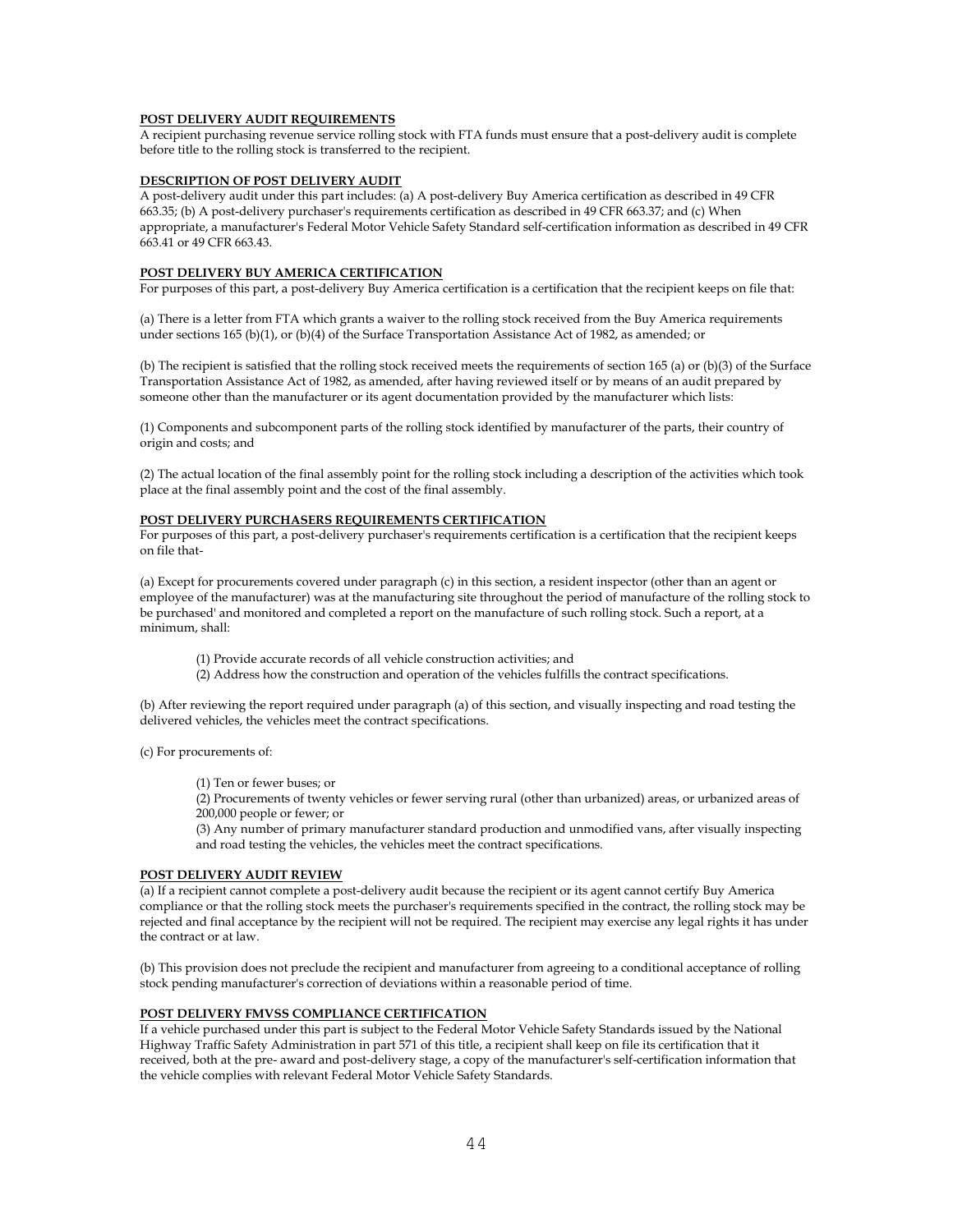#### **POST DELIVERY AUDIT REQUIREMENTS**

A recipient purchasing revenue service rolling stock with FTA funds must ensure that a post-delivery audit is complete before title to the rolling stock is transferred to the recipient.

#### **DESCRIPTION OF POST DELIVERY AUDIT**

A post-delivery audit under this part includes: (a) A post-delivery Buy America certification as described in 49 CFR 663.35; (b) A post-delivery purchaser's requirements certification as described in 49 CFR 663.37; and (c) When appropriate, a manufacturer's Federal Motor Vehicle Safety Standard self-certification information as described in 49 CFR 663.41 or 49 CFR 663.43.

#### **POST DELIVERY BUY AMERICA CERTIFICATION**

For purposes of this part, a post-delivery Buy America certification is a certification that the recipient keeps on file that:

(a) There is a letter from FTA which grants a waiver to the rolling stock received from the Buy America requirements under sections 165 (b)(1), or (b)(4) of the Surface Transportation Assistance Act of 1982, as amended; or

(b) The recipient is satisfied that the rolling stock received meets the requirements of section 165 (a) or (b)(3) of the Surface Transportation Assistance Act of 1982, as amended, after having reviewed itself or by means of an audit prepared by someone other than the manufacturer or its agent documentation provided by the manufacturer which lists:

(1) Components and subcomponent parts of the rolling stock identified by manufacturer of the parts, their country of origin and costs; and

(2) The actual location of the final assembly point for the rolling stock including a description of the activities which took place at the final assembly point and the cost of the final assembly.

#### **POST DELIVERY PURCHASERS REQUIREMENTS CERTIFICATION**

For purposes of this part, a post-delivery purchaser's requirements certification is a certification that the recipient keeps on file that-

(a) Except for procurements covered under paragraph (c) in this section, a resident inspector (other than an agent or employee of the manufacturer) was at the manufacturing site throughout the period of manufacture of the rolling stock to be purchased' and monitored and completed a report on the manufacture of such rolling stock. Such a report, at a minimum, shall:

(1) Provide accurate records of all vehicle construction activities; and

(2) Address how the construction and operation of the vehicles fulfills the contract specifications.

(b) After reviewing the report required under paragraph (a) of this section, and visually inspecting and road testing the delivered vehicles, the vehicles meet the contract specifications.

(c) For procurements of:

(1) Ten or fewer buses; or

(2) Procurements of twenty vehicles or fewer serving rural (other than urbanized) areas, or urbanized areas of 200,000 people or fewer; or

(3) Any number of primary manufacturer standard production and unmodified vans, after visually inspecting and road testing the vehicles, the vehicles meet the contract specifications.

#### **POST DELIVERY AUDIT REVIEW**

(a) If a recipient cannot complete a post-delivery audit because the recipient or its agent cannot certify Buy America compliance or that the rolling stock meets the purchaser's requirements specified in the contract, the rolling stock may be rejected and final acceptance by the recipient will not be required. The recipient may exercise any legal rights it has under the contract or at law.

(b) This provision does not preclude the recipient and manufacturer from agreeing to a conditional acceptance of rolling stock pending manufacturer's correction of deviations within a reasonable period of time.

#### **POST DELIVERY FMVSS COMPLIANCE CERTIFICATION**

If a vehicle purchased under this part is subject to the Federal Motor Vehicle Safety Standards issued by the National Highway Traffic Safety Administration in part 571 of this title, a recipient shall keep on file its certification that it received, both at the pre- award and post-delivery stage, a copy of the manufacturer's self-certification information that the vehicle complies with relevant Federal Motor Vehicle Safety Standards.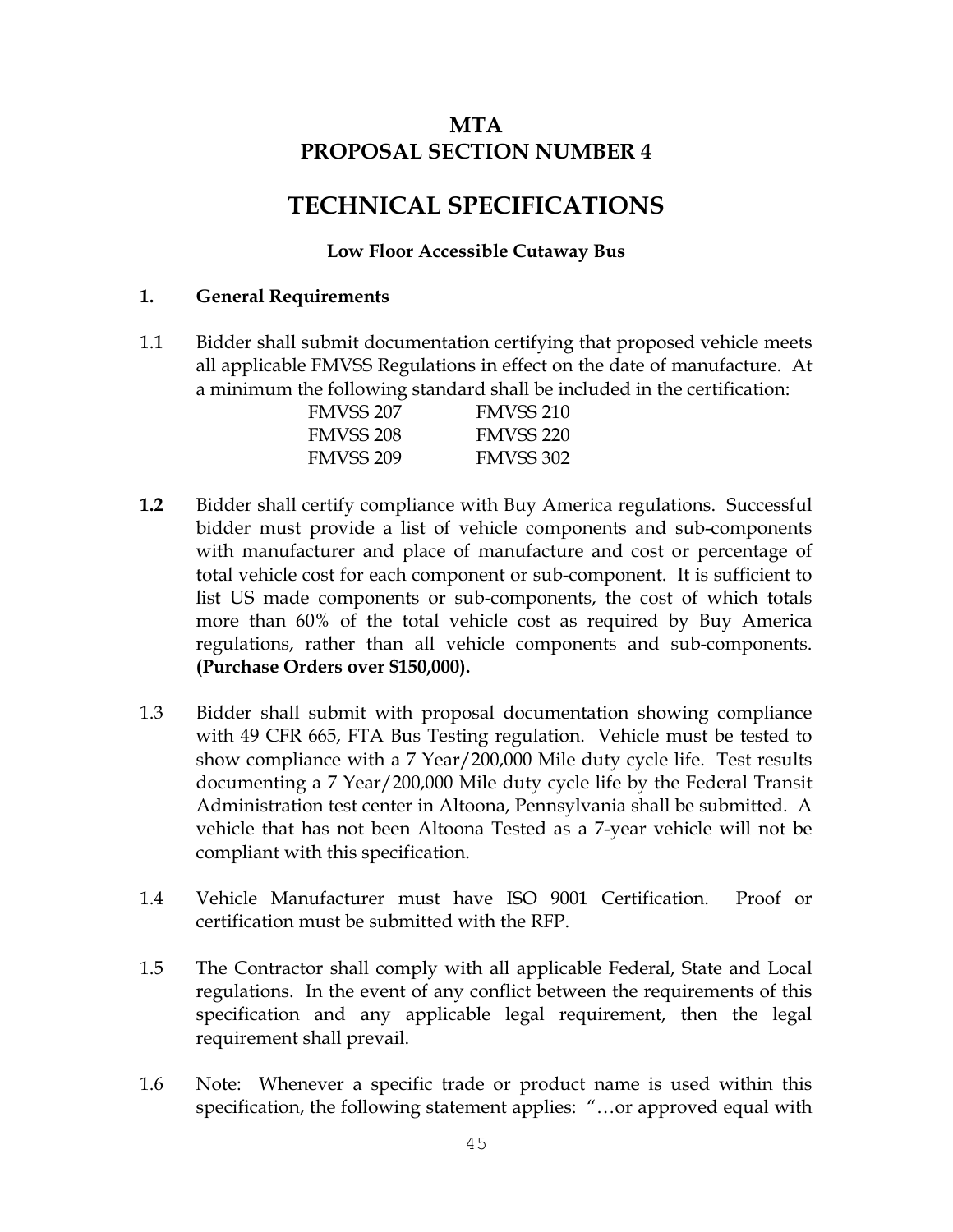# **MTA PROPOSAL SECTION NUMBER 4**

# **TECHNICAL SPECIFICATIONS**

### **Low Floor Accessible Cutaway Bus**

### **1. General Requirements**

1.1 Bidder shall submit documentation certifying that proposed vehicle meets all applicable FMVSS Regulations in effect on the date of manufacture. At a minimum the following standard shall be included in the certification:

| FMVSS 207        | FMVSS 210        |
|------------------|------------------|
| <b>FMVSS 208</b> | <b>FMVSS 220</b> |
| <b>FMVSS 209</b> | <b>FMVSS 302</b> |

- **1.2** Bidder shall certify compliance with Buy America regulations. Successful bidder must provide a list of vehicle components and sub-components with manufacturer and place of manufacture and cost or percentage of total vehicle cost for each component or sub-component. It is sufficient to list US made components or sub-components, the cost of which totals more than 60% of the total vehicle cost as required by Buy America regulations, rather than all vehicle components and sub-components. **(Purchase Orders over \$150,000).**
- 1.3 Bidder shall submit with proposal documentation showing compliance with 49 CFR 665, FTA Bus Testing regulation. Vehicle must be tested to show compliance with a 7 Year/200,000 Mile duty cycle life. Test results documenting a 7 Year/200,000 Mile duty cycle life by the Federal Transit Administration test center in Altoona, Pennsylvania shall be submitted. A vehicle that has not been Altoona Tested as a 7-year vehicle will not be compliant with this specification.
- 1.4 Vehicle Manufacturer must have ISO 9001 Certification. Proof or certification must be submitted with the RFP.
- 1.5 The Contractor shall comply with all applicable Federal, State and Local regulations. In the event of any conflict between the requirements of this specification and any applicable legal requirement, then the legal requirement shall prevail.
- 1.6 Note: Whenever a specific trade or product name is used within this specification, the following statement applies: "…or approved equal with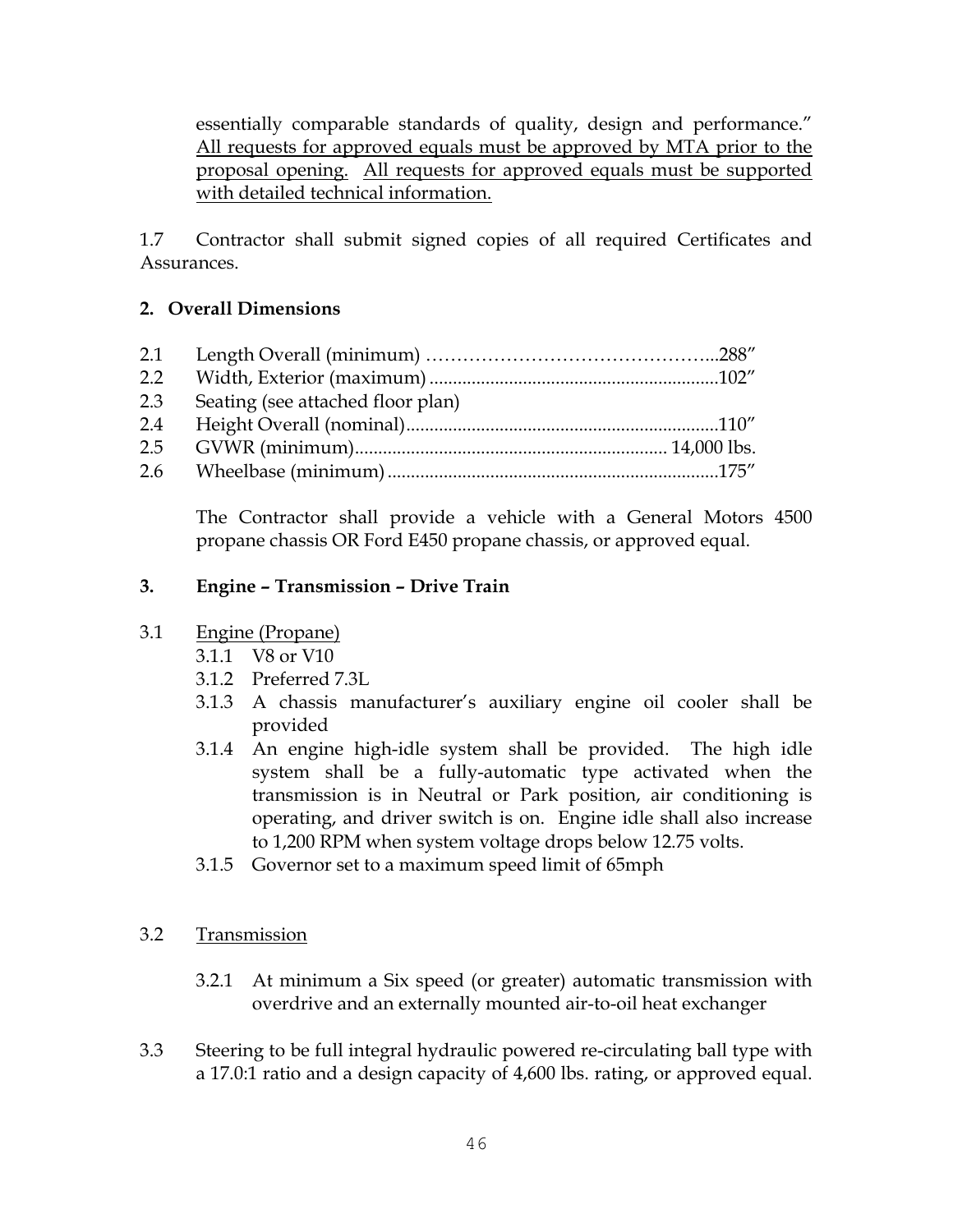essentially comparable standards of quality, design and performance." All requests for approved equals must be approved by MTA prior to the proposal opening. All requests for approved equals must be supported with detailed technical information.

1.7 Contractor shall submit signed copies of all required Certificates and Assurances.

### **2. Overall Dimensions**

| 2.1           |                                   |  |
|---------------|-----------------------------------|--|
| $2.2^{\circ}$ |                                   |  |
| 2.3           | Seating (see attached floor plan) |  |
| 2.4           |                                   |  |
| 2.5           |                                   |  |
|               |                                   |  |

The Contractor shall provide a vehicle with a General Motors 4500 propane chassis OR Ford E450 propane chassis, or approved equal.

### **3. Engine – Transmission – Drive Train**

### 3.1 Engine (Propane)

- 3.1.1 V8 or V10
- 3.1.2 Preferred 7.3L
- 3.1.3 A chassis manufacturer's auxiliary engine oil cooler shall be provided
- 3.1.4 An engine high-idle system shall be provided. The high idle system shall be a fully-automatic type activated when the transmission is in Neutral or Park position, air conditioning is operating, and driver switch is on. Engine idle shall also increase to 1,200 RPM when system voltage drops below 12.75 volts.
- 3.1.5 Governor set to a maximum speed limit of 65mph

### 3.2 Transmission

- 3.2.1 At minimum a Six speed (or greater) automatic transmission with overdrive and an externally mounted air-to-oil heat exchanger
- 3.3 Steering to be full integral hydraulic powered re-circulating ball type with a 17.0:1 ratio and a design capacity of 4,600 lbs. rating, or approved equal.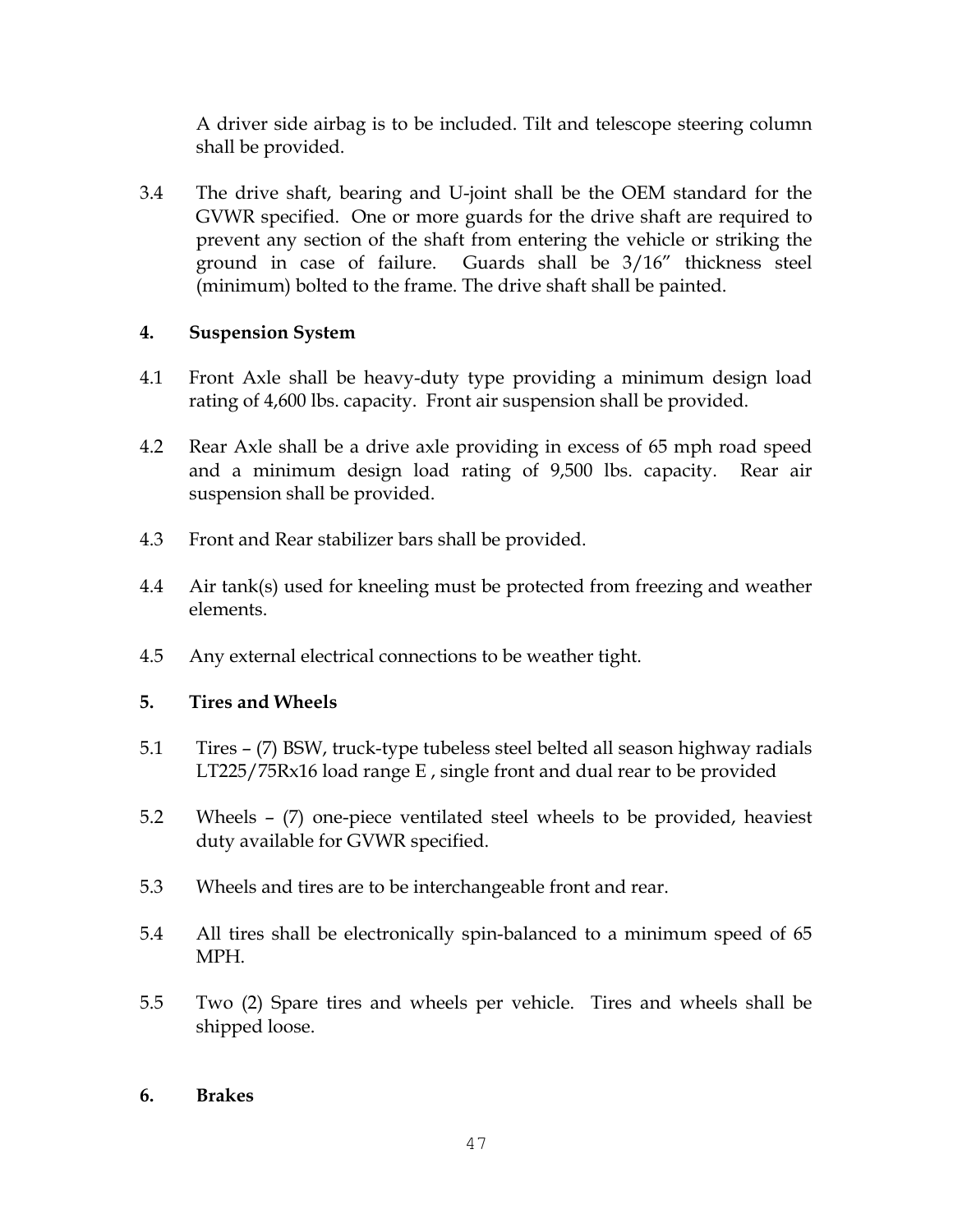A driver side airbag is to be included. Tilt and telescope steering column shall be provided.

3.4 The drive shaft, bearing and U-joint shall be the OEM standard for the GVWR specified. One or more guards for the drive shaft are required to prevent any section of the shaft from entering the vehicle or striking the ground in case of failure. Guards shall be 3/16" thickness steel (minimum) bolted to the frame. The drive shaft shall be painted.

### **4. Suspension System**

- 4.1 Front Axle shall be heavy-duty type providing a minimum design load rating of 4,600 lbs. capacity. Front air suspension shall be provided.
- 4.2 Rear Axle shall be a drive axle providing in excess of 65 mph road speed and a minimum design load rating of 9,500 lbs. capacity. Rear air suspension shall be provided.
- 4.3 Front and Rear stabilizer bars shall be provided.
- 4.4 Air tank(s) used for kneeling must be protected from freezing and weather elements.
- 4.5 Any external electrical connections to be weather tight.

### **5. Tires and Wheels**

- 5.1 Tires (7) BSW, truck-type tubeless steel belted all season highway radials LT225/75Rx16 load range E , single front and dual rear to be provided
- 5.2 Wheels (7) one-piece ventilated steel wheels to be provided, heaviest duty available for GVWR specified.
- 5.3 Wheels and tires are to be interchangeable front and rear.
- 5.4 All tires shall be electronically spin-balanced to a minimum speed of 65 MPH.
- 5.5 Two (2) Spare tires and wheels per vehicle. Tires and wheels shall be shipped loose.

### **6. Brakes**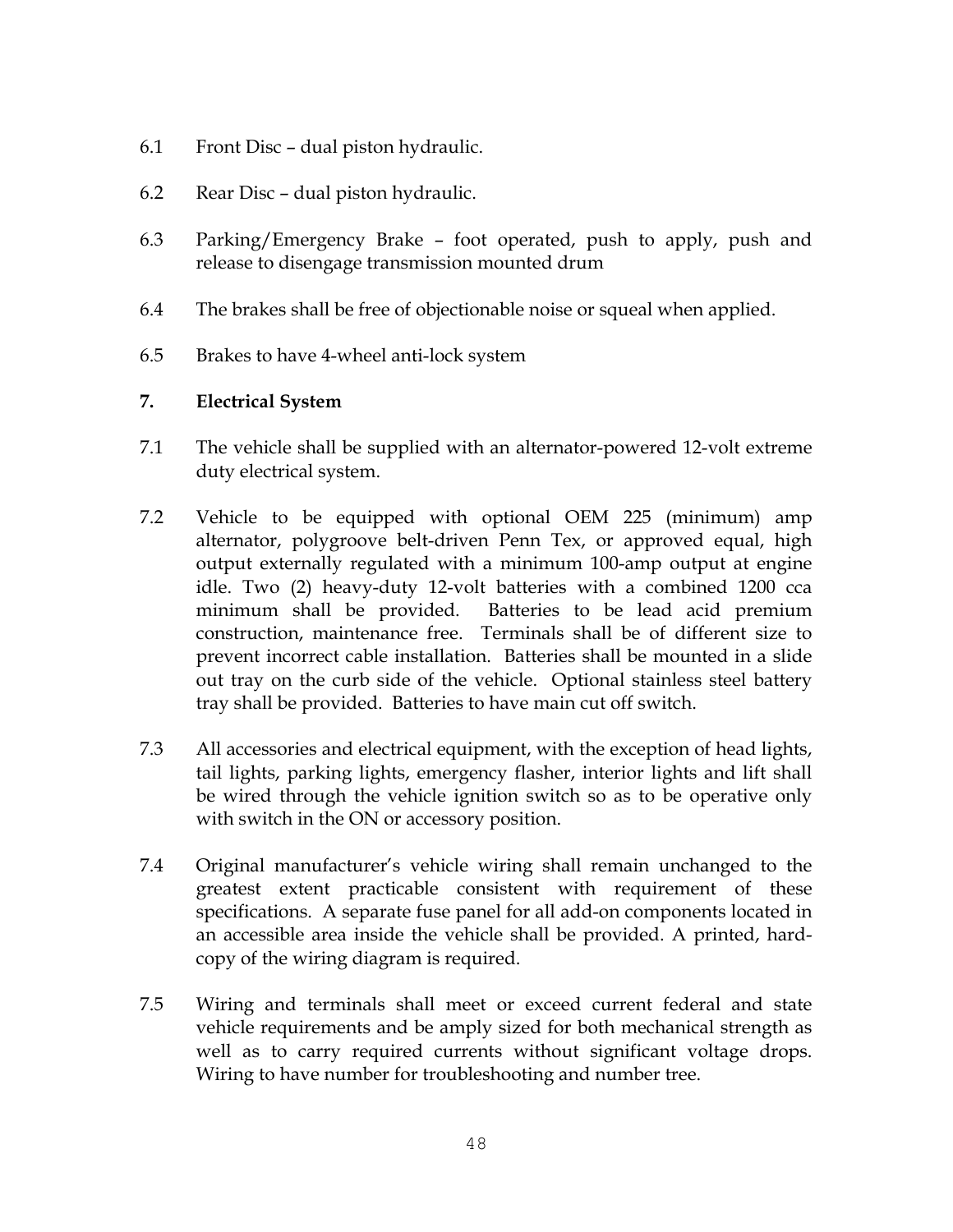- 6.1 Front Disc dual piston hydraulic.
- 6.2 Rear Disc dual piston hydraulic.
- 6.3 Parking/Emergency Brake foot operated, push to apply, push and release to disengage transmission mounted drum
- 6.4 The brakes shall be free of objectionable noise or squeal when applied.
- 6.5 Brakes to have 4-wheel anti-lock system

### **7. Electrical System**

- 7.1 The vehicle shall be supplied with an alternator-powered 12-volt extreme duty electrical system.
- 7.2 Vehicle to be equipped with optional OEM 225 (minimum) amp alternator, polygroove belt-driven Penn Tex, or approved equal, high output externally regulated with a minimum 100-amp output at engine idle. Two (2) heavy-duty 12-volt batteries with a combined 1200 cca minimum shall be provided. Batteries to be lead acid premium construction, maintenance free. Terminals shall be of different size to prevent incorrect cable installation. Batteries shall be mounted in a slide out tray on the curb side of the vehicle. Optional stainless steel battery tray shall be provided. Batteries to have main cut off switch.
- 7.3 All accessories and electrical equipment, with the exception of head lights, tail lights, parking lights, emergency flasher, interior lights and lift shall be wired through the vehicle ignition switch so as to be operative only with switch in the ON or accessory position.
- 7.4 Original manufacturer's vehicle wiring shall remain unchanged to the greatest extent practicable consistent with requirement of these specifications. A separate fuse panel for all add-on components located in an accessible area inside the vehicle shall be provided. A printed, hardcopy of the wiring diagram is required.
- 7.5 Wiring and terminals shall meet or exceed current federal and state vehicle requirements and be amply sized for both mechanical strength as well as to carry required currents without significant voltage drops. Wiring to have number for troubleshooting and number tree.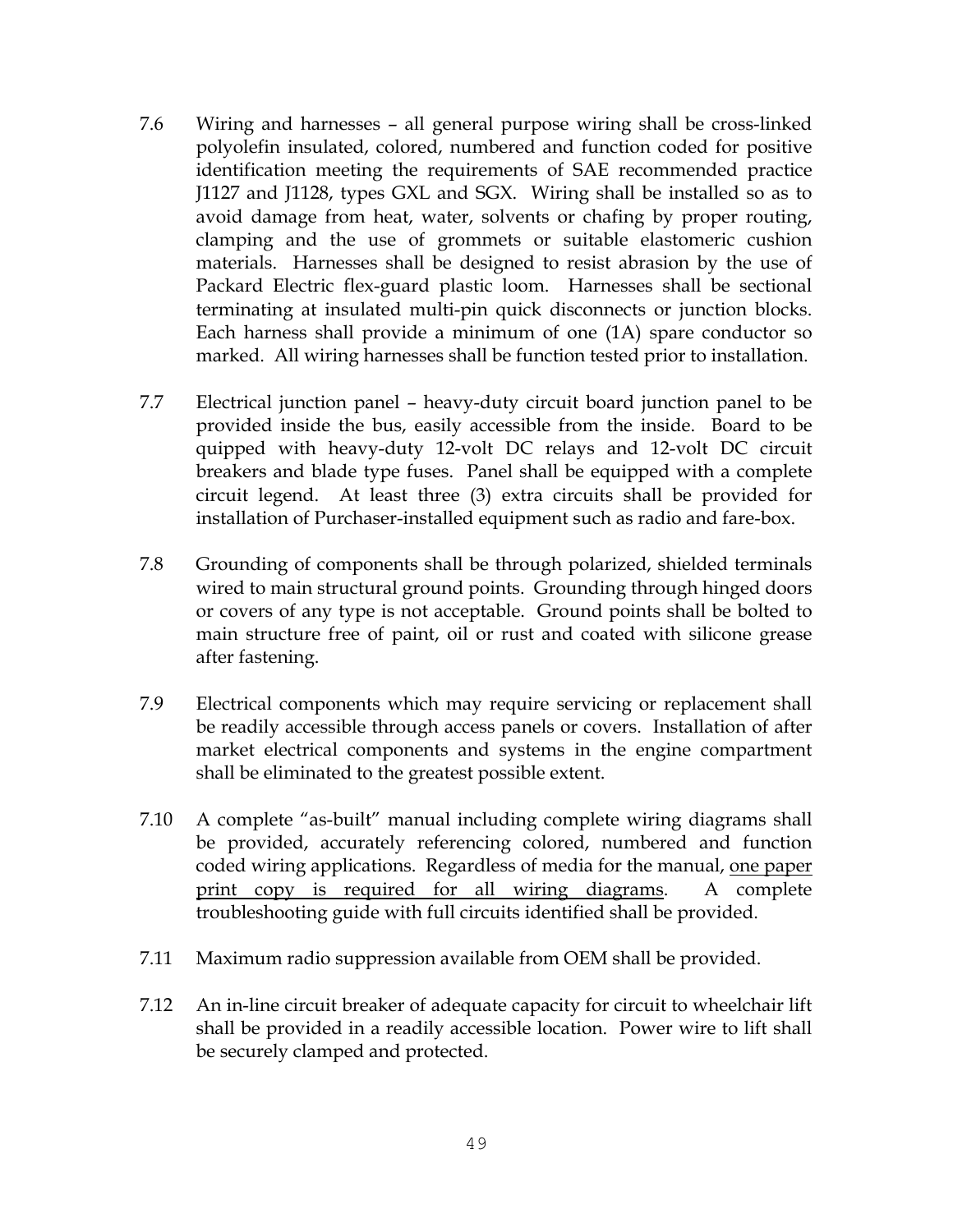- 7.6 Wiring and harnesses all general purpose wiring shall be cross-linked polyolefin insulated, colored, numbered and function coded for positive identification meeting the requirements of SAE recommended practice J1127 and J1128, types GXL and SGX. Wiring shall be installed so as to avoid damage from heat, water, solvents or chafing by proper routing, clamping and the use of grommets or suitable elastomeric cushion materials. Harnesses shall be designed to resist abrasion by the use of Packard Electric flex-guard plastic loom. Harnesses shall be sectional terminating at insulated multi-pin quick disconnects or junction blocks. Each harness shall provide a minimum of one (1A) spare conductor so marked. All wiring harnesses shall be function tested prior to installation.
- 7.7 Electrical junction panel heavy-duty circuit board junction panel to be provided inside the bus, easily accessible from the inside. Board to be quipped with heavy-duty 12-volt DC relays and 12-volt DC circuit breakers and blade type fuses. Panel shall be equipped with a complete circuit legend. At least three (3) extra circuits shall be provided for installation of Purchaser-installed equipment such as radio and fare-box.
- 7.8 Grounding of components shall be through polarized, shielded terminals wired to main structural ground points. Grounding through hinged doors or covers of any type is not acceptable. Ground points shall be bolted to main structure free of paint, oil or rust and coated with silicone grease after fastening.
- 7.9 Electrical components which may require servicing or replacement shall be readily accessible through access panels or covers. Installation of after market electrical components and systems in the engine compartment shall be eliminated to the greatest possible extent.
- 7.10 A complete "as-built" manual including complete wiring diagrams shall be provided, accurately referencing colored, numbered and function coded wiring applications. Regardless of media for the manual, one paper print copy is required for all wiring diagrams. A complete troubleshooting guide with full circuits identified shall be provided.
- 7.11 Maximum radio suppression available from OEM shall be provided.
- 7.12 An in-line circuit breaker of adequate capacity for circuit to wheelchair lift shall be provided in a readily accessible location. Power wire to lift shall be securely clamped and protected.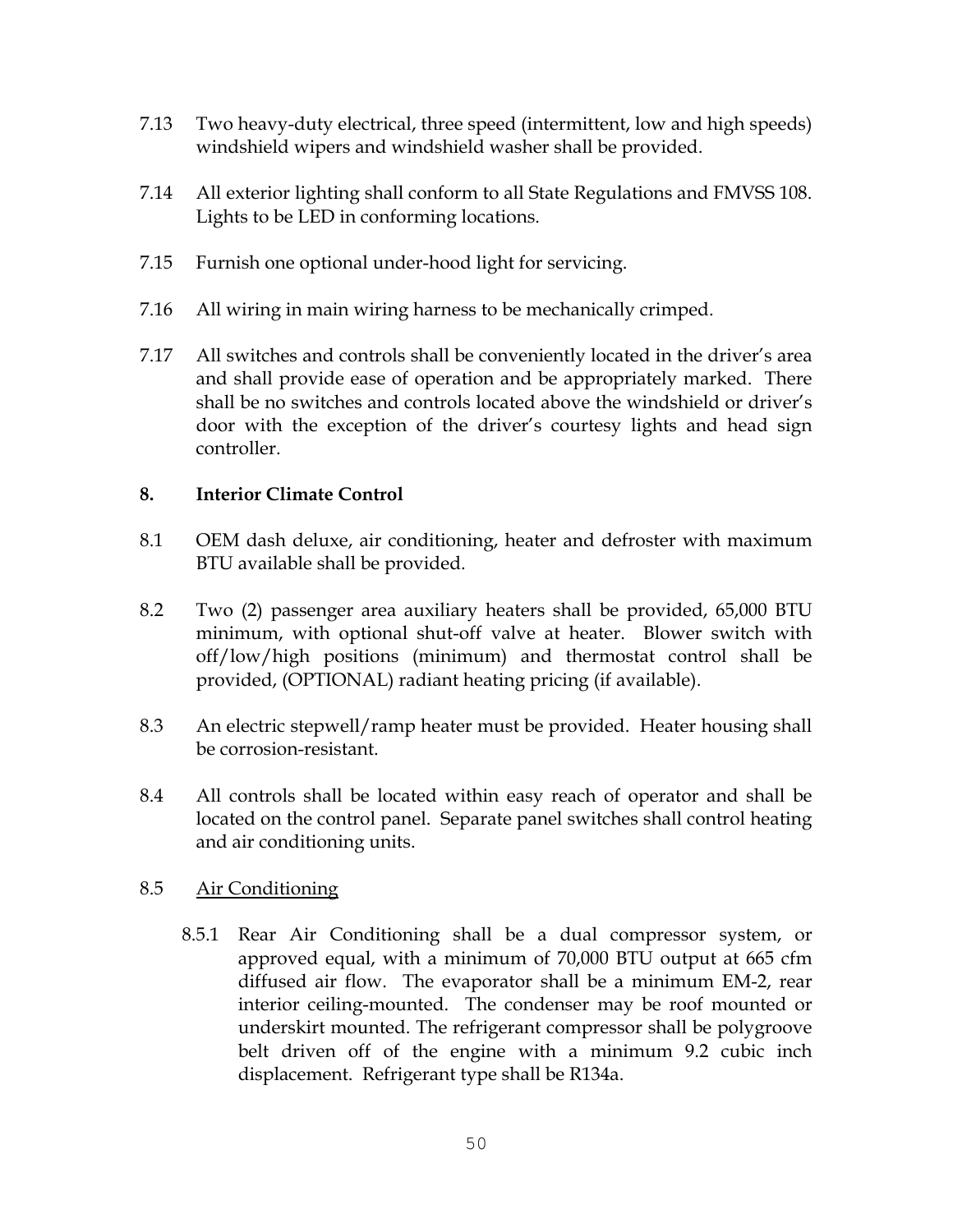- 7.13 Two heavy-duty electrical, three speed (intermittent, low and high speeds) windshield wipers and windshield washer shall be provided.
- 7.14 All exterior lighting shall conform to all State Regulations and FMVSS 108. Lights to be LED in conforming locations.
- 7.15 Furnish one optional under-hood light for servicing.
- 7.16 All wiring in main wiring harness to be mechanically crimped.
- 7.17 All switches and controls shall be conveniently located in the driver's area and shall provide ease of operation and be appropriately marked. There shall be no switches and controls located above the windshield or driver's door with the exception of the driver's courtesy lights and head sign controller.

### **8. Interior Climate Control**

- 8.1 OEM dash deluxe, air conditioning, heater and defroster with maximum BTU available shall be provided.
- 8.2 Two (2) passenger area auxiliary heaters shall be provided, 65,000 BTU minimum, with optional shut-off valve at heater. Blower switch with off/low/high positions (minimum) and thermostat control shall be provided, (OPTIONAL) radiant heating pricing (if available).
- 8.3 An electric stepwell/ramp heater must be provided. Heater housing shall be corrosion-resistant.
- 8.4 All controls shall be located within easy reach of operator and shall be located on the control panel. Separate panel switches shall control heating and air conditioning units.

### 8.5 Air Conditioning

8.5.1 Rear Air Conditioning shall be a dual compressor system, or approved equal, with a minimum of 70,000 BTU output at 665 cfm diffused air flow. The evaporator shall be a minimum EM-2, rear interior ceiling-mounted. The condenser may be roof mounted or underskirt mounted. The refrigerant compressor shall be polygroove belt driven off of the engine with a minimum 9.2 cubic inch displacement. Refrigerant type shall be R134a.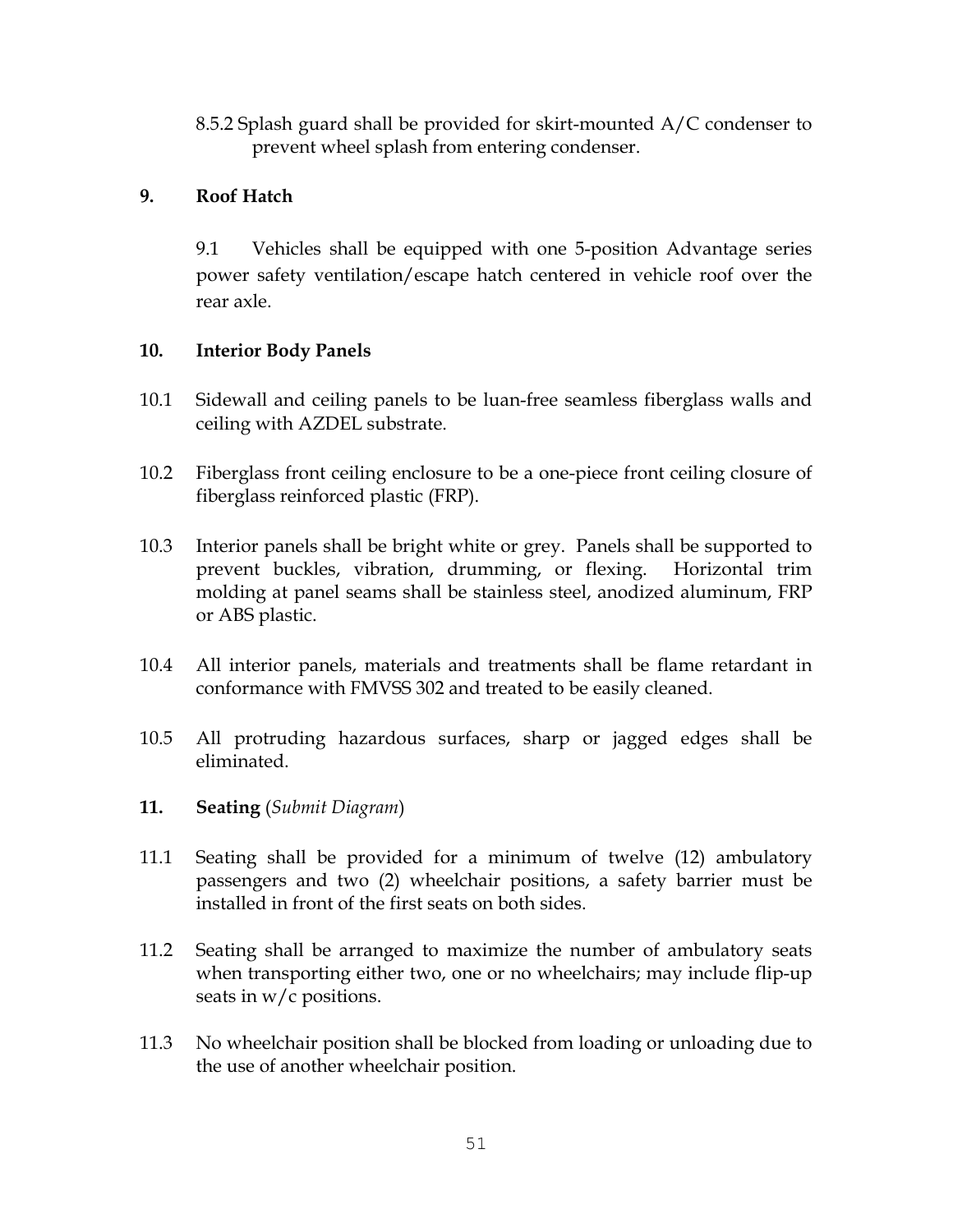8.5.2 Splash guard shall be provided for skirt-mounted A/C condenser to prevent wheel splash from entering condenser.

### **9. Roof Hatch**

9.1 Vehicles shall be equipped with one 5-position Advantage series power safety ventilation/escape hatch centered in vehicle roof over the rear axle.

### **10. Interior Body Panels**

- 10.1 Sidewall and ceiling panels to be luan-free seamless fiberglass walls and ceiling with AZDEL substrate.
- 10.2 Fiberglass front ceiling enclosure to be a one-piece front ceiling closure of fiberglass reinforced plastic (FRP).
- 10.3 Interior panels shall be bright white or grey. Panels shall be supported to prevent buckles, vibration, drumming, or flexing. Horizontal trim molding at panel seams shall be stainless steel, anodized aluminum, FRP or ABS plastic.
- 10.4 All interior panels, materials and treatments shall be flame retardant in conformance with FMVSS 302 and treated to be easily cleaned.
- 10.5 All protruding hazardous surfaces, sharp or jagged edges shall be eliminated.
- **11. Seating** (*Submit Diagram*)
- 11.1 Seating shall be provided for a minimum of twelve (12) ambulatory passengers and two (2) wheelchair positions, a safety barrier must be installed in front of the first seats on both sides.
- 11.2 Seating shall be arranged to maximize the number of ambulatory seats when transporting either two, one or no wheelchairs; may include flip-up seats in w/c positions.
- 11.3 No wheelchair position shall be blocked from loading or unloading due to the use of another wheelchair position.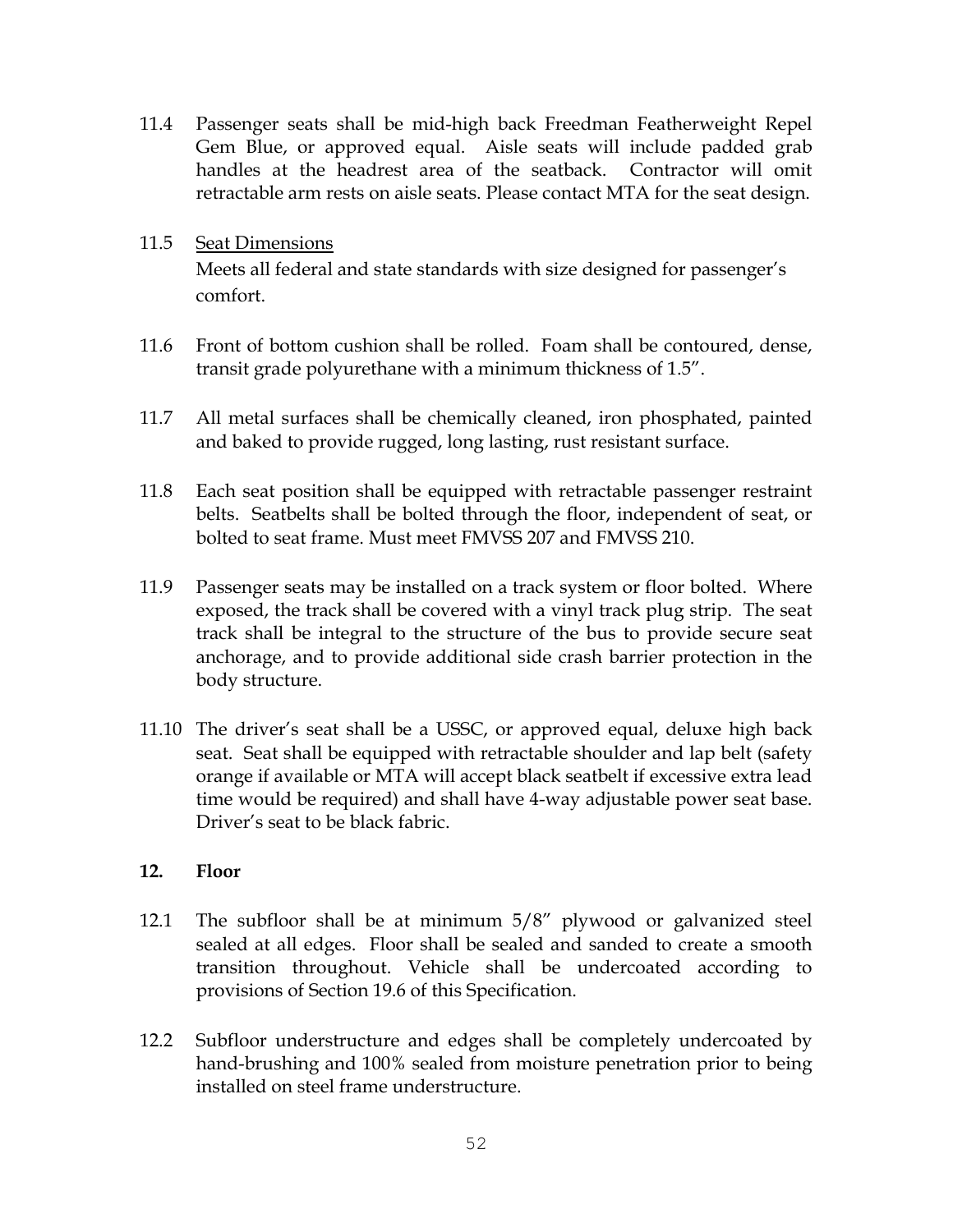11.4 Passenger seats shall be mid-high back Freedman Featherweight Repel Gem Blue, or approved equal. Aisle seats will include padded grab handles at the headrest area of the seatback. Contractor will omit retractable arm rests on aisle seats. Please contact MTA for the seat design.

### 11.5 Seat Dimensions Meets all federal and state standards with size designed for passenger's comfort.

- 11.6 Front of bottom cushion shall be rolled. Foam shall be contoured, dense, transit grade polyurethane with a minimum thickness of 1.5".
- 11.7 All metal surfaces shall be chemically cleaned, iron phosphated, painted and baked to provide rugged, long lasting, rust resistant surface.
- 11.8 Each seat position shall be equipped with retractable passenger restraint belts. Seatbelts shall be bolted through the floor, independent of seat, or bolted to seat frame. Must meet FMVSS 207 and FMVSS 210.
- 11.9 Passenger seats may be installed on a track system or floor bolted. Where exposed, the track shall be covered with a vinyl track plug strip. The seat track shall be integral to the structure of the bus to provide secure seat anchorage, and to provide additional side crash barrier protection in the body structure.
- 11.10 The driver's seat shall be a USSC, or approved equal, deluxe high back seat. Seat shall be equipped with retractable shoulder and lap belt (safety orange if available or MTA will accept black seatbelt if excessive extra lead time would be required) and shall have 4-way adjustable power seat base. Driver's seat to be black fabric.

### **12. Floor**

- 12.1 The subfloor shall be at minimum 5/8" plywood or galvanized steel sealed at all edges. Floor shall be sealed and sanded to create a smooth transition throughout. Vehicle shall be undercoated according to provisions of Section 19.6 of this Specification.
- 12.2 Subfloor understructure and edges shall be completely undercoated by hand-brushing and 100% sealed from moisture penetration prior to being installed on steel frame understructure.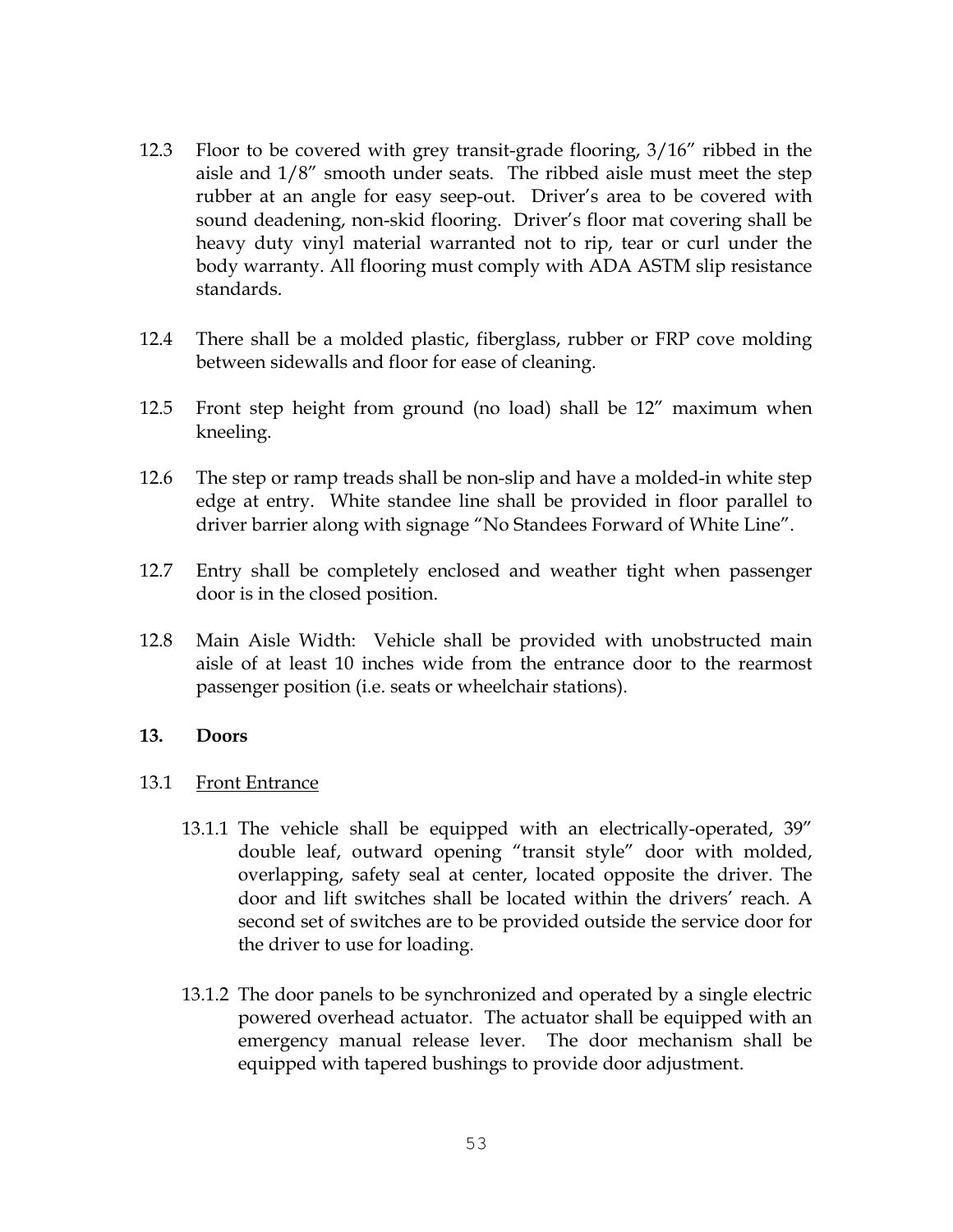- 12.3 Floor to be covered with grey transit-grade flooring, 3/16" ribbed in the aisle and 1/8" smooth under seats. The ribbed aisle must meet the step rubber at an angle for easy seep-out. Driver's area to be covered with sound deadening, non-skid flooring. Driver's floor mat covering shall be heavy duty vinyl material warranted not to rip, tear or curl under the body warranty. All flooring must comply with ADA ASTM slip resistance standards.
- 12.4 There shall be a molded plastic, fiberglass, rubber or FRP cove molding between sidewalls and floor for ease of cleaning.
- 12.5 Front step height from ground (no load) shall be 12" maximum when kneeling.
- 12.6 The step or ramp treads shall be non-slip and have a molded-in white step edge at entry. White standee line shall be provided in floor parallel to driver barrier along with signage "No Standees Forward of White Line".
- 12.7 Entry shall be completely enclosed and weather tight when passenger door is in the closed position.
- 12.8 Main Aisle Width: Vehicle shall be provided with unobstructed main aisle of at least 10 inches wide from the entrance door to the rearmost passenger position (i.e. seats or wheelchair stations).

### **13. Doors**

### 13.1 Front Entrance

- 13.1.1 The vehicle shall be equipped with an electrically-operated, 39" double leaf, outward opening "transit style" door with molded, overlapping, safety seal at center, located opposite the driver. The door and lift switches shall be located within the drivers' reach. A second set of switches are to be provided outside the service door for the driver to use for loading.
- 13.1.2 The door panels to be synchronized and operated by a single electric powered overhead actuator. The actuator shall be equipped with an emergency manual release lever. The door mechanism shall be equipped with tapered bushings to provide door adjustment.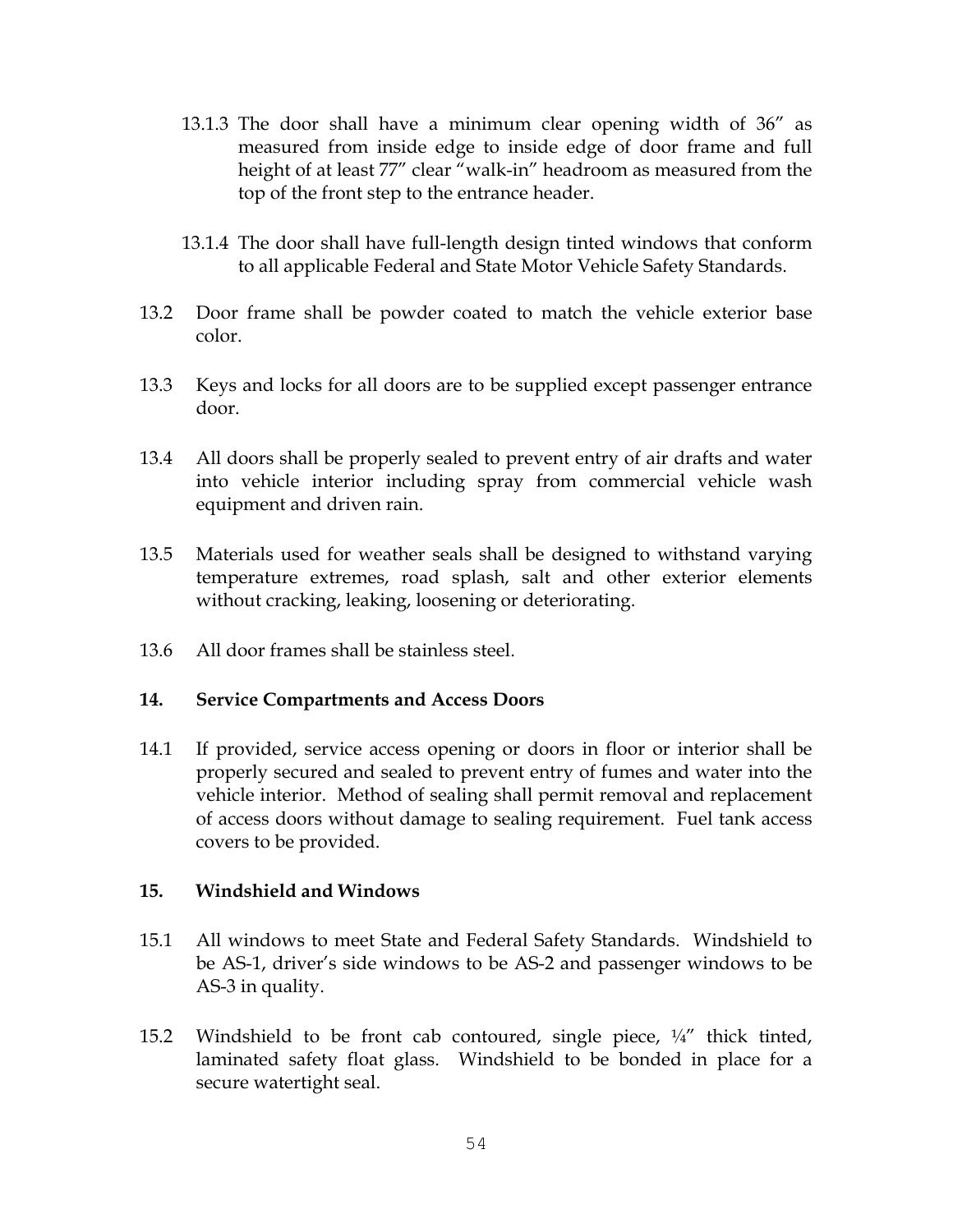- 13.1.3 The door shall have a minimum clear opening width of 36" as measured from inside edge to inside edge of door frame and full height of at least 77" clear "walk-in" headroom as measured from the top of the front step to the entrance header.
- 13.1.4 The door shall have full-length design tinted windows that conform to all applicable Federal and State Motor Vehicle Safety Standards.
- 13.2 Door frame shall be powder coated to match the vehicle exterior base color.
- 13.3 Keys and locks for all doors are to be supplied except passenger entrance door.
- 13.4 All doors shall be properly sealed to prevent entry of air drafts and water into vehicle interior including spray from commercial vehicle wash equipment and driven rain.
- 13.5 Materials used for weather seals shall be designed to withstand varying temperature extremes, road splash, salt and other exterior elements without cracking, leaking, loosening or deteriorating.
- 13.6 All door frames shall be stainless steel.

### **14. Service Compartments and Access Doors**

14.1 If provided, service access opening or doors in floor or interior shall be properly secured and sealed to prevent entry of fumes and water into the vehicle interior. Method of sealing shall permit removal and replacement of access doors without damage to sealing requirement. Fuel tank access covers to be provided.

### **15. Windshield and Windows**

- 15.1 All windows to meet State and Federal Safety Standards. Windshield to be AS-1, driver's side windows to be AS-2 and passenger windows to be AS-3 in quality.
- 15.2 Windshield to be front cab contoured, single piece,  $\frac{1}{4}$  thick tinted, laminated safety float glass. Windshield to be bonded in place for a secure watertight seal.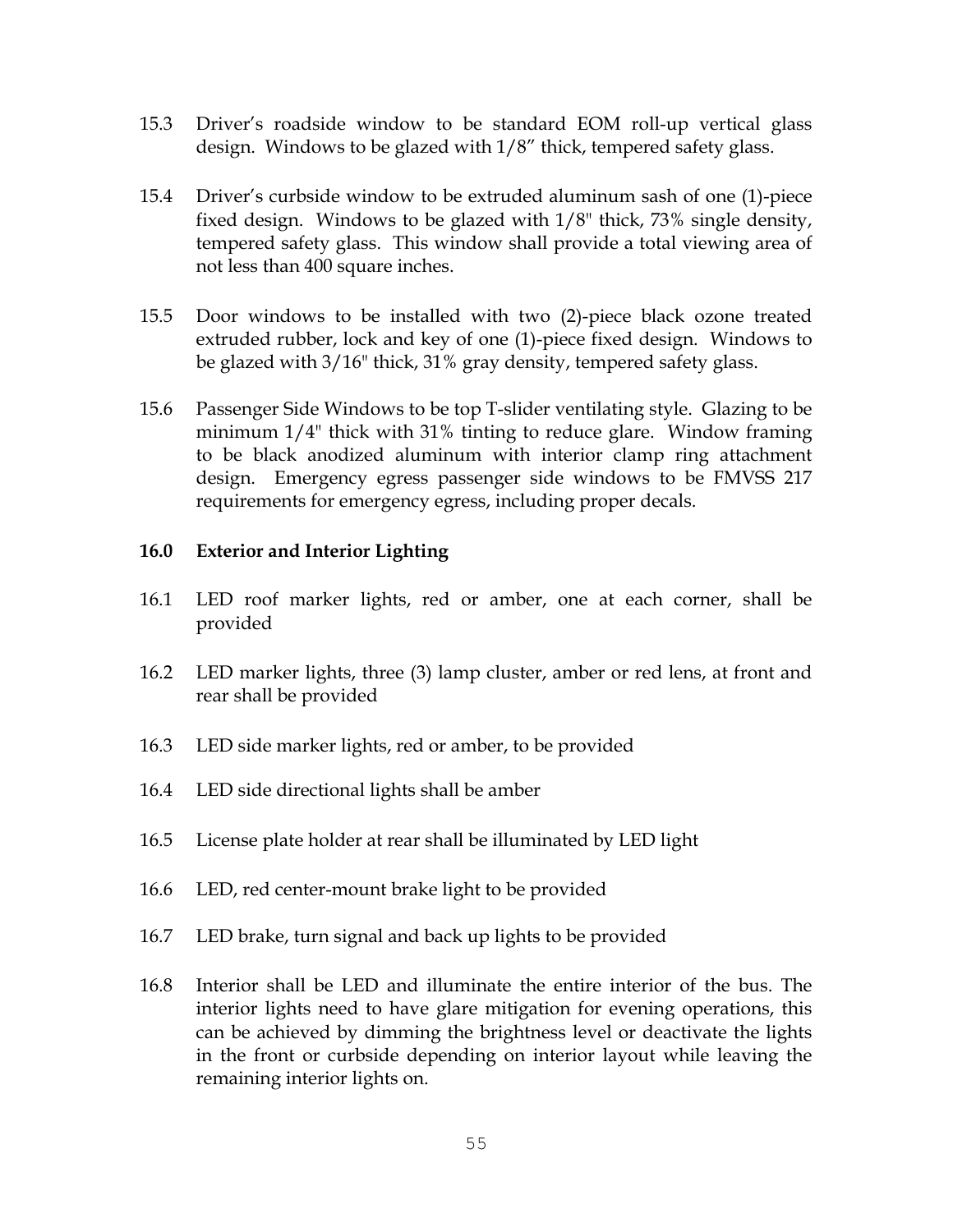- 15.3 Driver's roadside window to be standard EOM roll-up vertical glass design. Windows to be glazed with 1/8" thick, tempered safety glass.
- 15.4 Driver's curbside window to be extruded aluminum sash of one (1)-piece fixed design. Windows to be glazed with 1/8" thick, 73% single density, tempered safety glass. This window shall provide a total viewing area of not less than 400 square inches.
- 15.5 Door windows to be installed with two (2)-piece black ozone treated extruded rubber, lock and key of one (1)-piece fixed design. Windows to be glazed with 3/16" thick, 31% gray density, tempered safety glass.
- 15.6 Passenger Side Windows to be top T-slider ventilating style. Glazing to be minimum 1/4" thick with 31% tinting to reduce glare. Window framing to be black anodized aluminum with interior clamp ring attachment design. Emergency egress passenger side windows to be FMVSS 217 requirements for emergency egress, including proper decals.

### **16.0 Exterior and Interior Lighting**

- 16.1 LED roof marker lights, red or amber, one at each corner, shall be provided
- 16.2 LED marker lights, three (3) lamp cluster, amber or red lens, at front and rear shall be provided
- 16.3 LED side marker lights, red or amber, to be provided
- 16.4 LED side directional lights shall be amber
- 16.5 License plate holder at rear shall be illuminated by LED light
- 16.6 LED, red center-mount brake light to be provided
- 16.7 LED brake, turn signal and back up lights to be provided
- 16.8 Interior shall be LED and illuminate the entire interior of the bus. The interior lights need to have glare mitigation for evening operations, this can be achieved by dimming the brightness level or deactivate the lights in the front or curbside depending on interior layout while leaving the remaining interior lights on.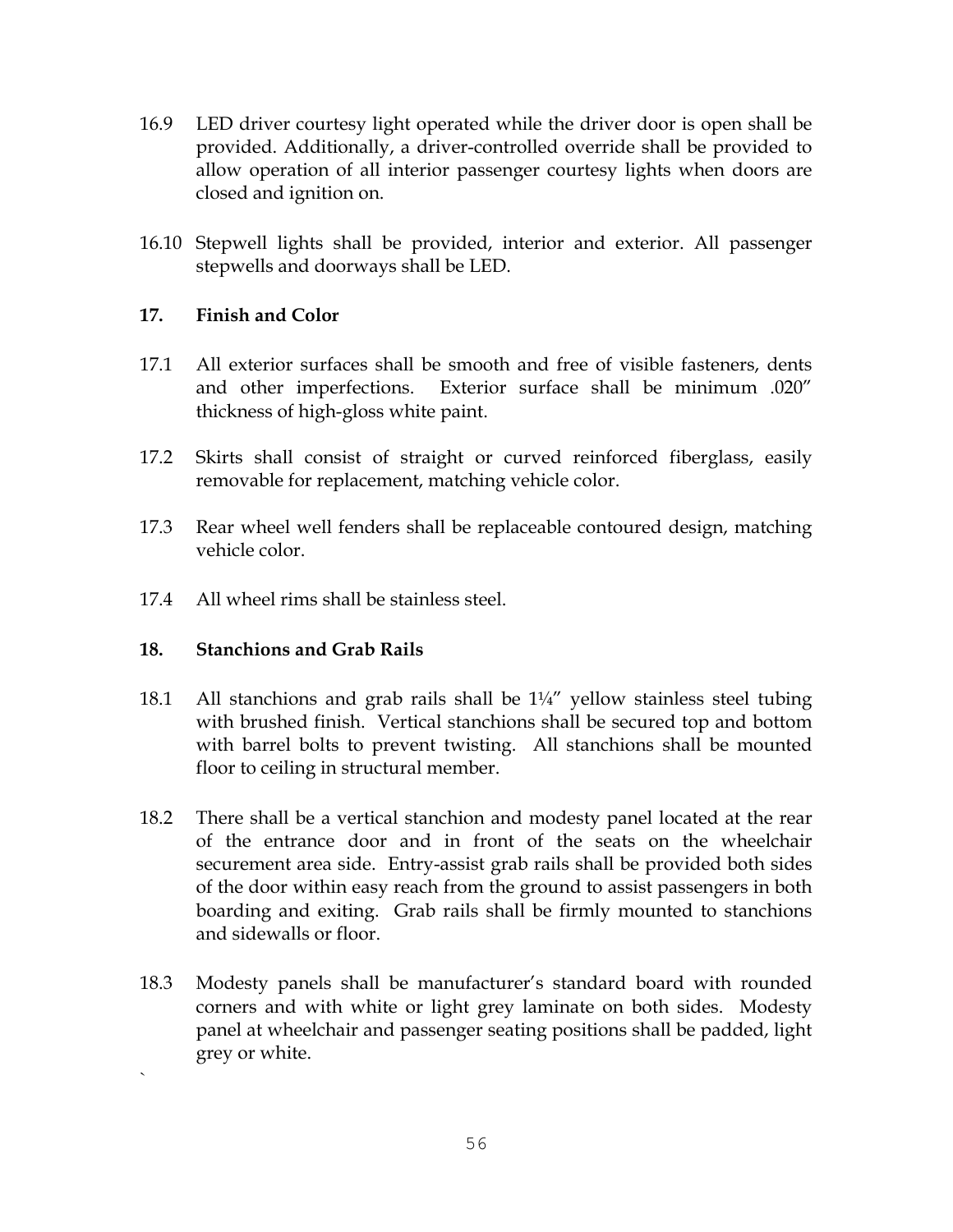- 16.9 LED driver courtesy light operated while the driver door is open shall be provided. Additionally, a driver-controlled override shall be provided to allow operation of all interior passenger courtesy lights when doors are closed and ignition on.
- 16.10 Stepwell lights shall be provided, interior and exterior. All passenger stepwells and doorways shall be LED.

### **17. Finish and Color**

- 17.1 All exterior surfaces shall be smooth and free of visible fasteners, dents and other imperfections. Exterior surface shall be minimum .020" thickness of high-gloss white paint.
- 17.2 Skirts shall consist of straight or curved reinforced fiberglass, easily removable for replacement, matching vehicle color.
- 17.3 Rear wheel well fenders shall be replaceable contoured design, matching vehicle color.
- 17.4 All wheel rims shall be stainless steel.

### **18. Stanchions and Grab Rails**

`

- 18.1 All stanchions and grab rails shall be  $1\frac{1}{4}$  yellow stainless steel tubing with brushed finish. Vertical stanchions shall be secured top and bottom with barrel bolts to prevent twisting. All stanchions shall be mounted floor to ceiling in structural member.
- 18.2 There shall be a vertical stanchion and modesty panel located at the rear of the entrance door and in front of the seats on the wheelchair securement area side. Entry-assist grab rails shall be provided both sides of the door within easy reach from the ground to assist passengers in both boarding and exiting. Grab rails shall be firmly mounted to stanchions and sidewalls or floor.
- 18.3 Modesty panels shall be manufacturer's standard board with rounded corners and with white or light grey laminate on both sides. Modesty panel at wheelchair and passenger seating positions shall be padded, light grey or white.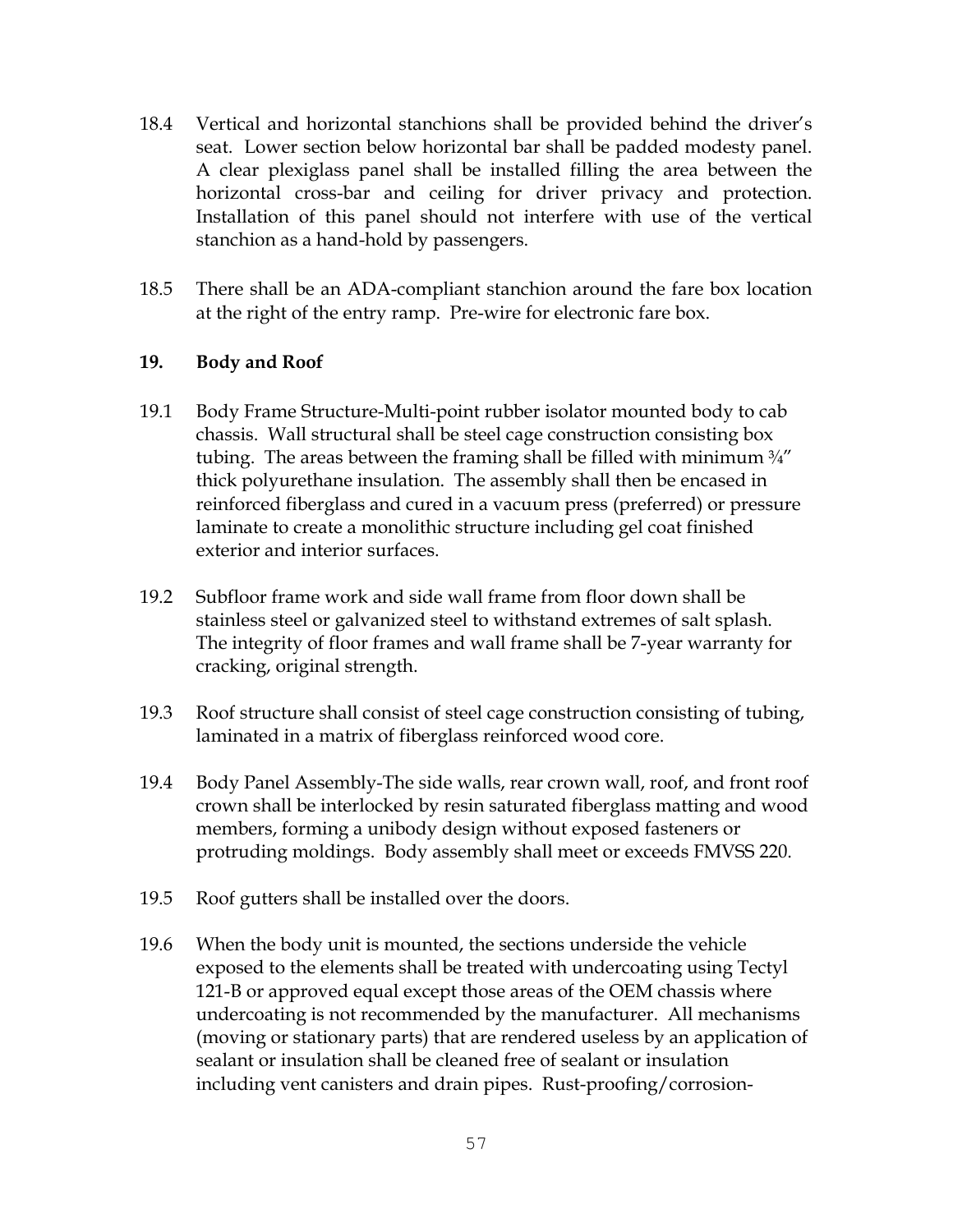- 18.4 Vertical and horizontal stanchions shall be provided behind the driver's seat. Lower section below horizontal bar shall be padded modesty panel. A clear plexiglass panel shall be installed filling the area between the horizontal cross-bar and ceiling for driver privacy and protection. Installation of this panel should not interfere with use of the vertical stanchion as a hand-hold by passengers.
- 18.5 There shall be an ADA-compliant stanchion around the fare box location at the right of the entry ramp. Pre-wire for electronic fare box.

### **19. Body and Roof**

- 19.1 Body Frame Structure-Multi-point rubber isolator mounted body to cab chassis. Wall structural shall be steel cage construction consisting box tubing. The areas between the framing shall be filled with minimum 3/4" thick polyurethane insulation. The assembly shall then be encased in reinforced fiberglass and cured in a vacuum press (preferred) or pressure laminate to create a monolithic structure including gel coat finished exterior and interior surfaces.
- 19.2 Subfloor frame work and side wall frame from floor down shall be stainless steel or galvanized steel to withstand extremes of salt splash. The integrity of floor frames and wall frame shall be 7-year warranty for cracking, original strength.
- 19.3 Roof structure shall consist of steel cage construction consisting of tubing, laminated in a matrix of fiberglass reinforced wood core.
- 19.4 Body Panel Assembly-The side walls, rear crown wall, roof, and front roof crown shall be interlocked by resin saturated fiberglass matting and wood members, forming a unibody design without exposed fasteners or protruding moldings. Body assembly shall meet or exceeds FMVSS 220.
- 19.5 Roof gutters shall be installed over the doors.
- 19.6 When the body unit is mounted, the sections underside the vehicle exposed to the elements shall be treated with undercoating using Tectyl 121-B or approved equal except those areas of the OEM chassis where undercoating is not recommended by the manufacturer. All mechanisms (moving or stationary parts) that are rendered useless by an application of sealant or insulation shall be cleaned free of sealant or insulation including vent canisters and drain pipes. Rust-proofing/corrosion-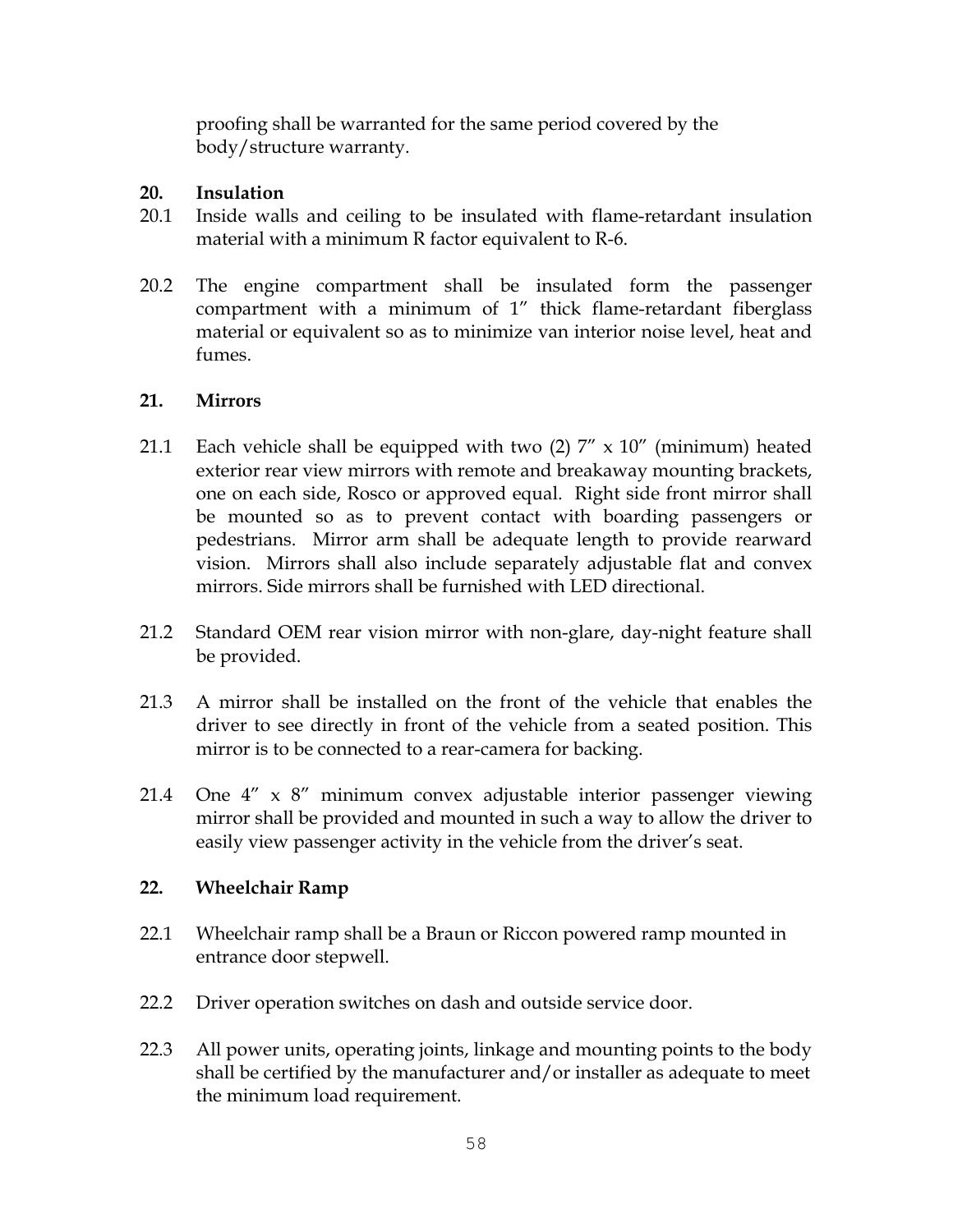proofing shall be warranted for the same period covered by the body/structure warranty.

### **20. Insulation**

- 20.1 Inside walls and ceiling to be insulated with flame-retardant insulation material with a minimum R factor equivalent to R-6.
- 20.2 The engine compartment shall be insulated form the passenger compartment with a minimum of 1" thick flame-retardant fiberglass material or equivalent so as to minimize van interior noise level, heat and fumes.

### **21. Mirrors**

- 21.1 Each vehicle shall be equipped with two  $(2)$  7" x 10" (minimum) heated exterior rear view mirrors with remote and breakaway mounting brackets, one on each side, Rosco or approved equal. Right side front mirror shall be mounted so as to prevent contact with boarding passengers or pedestrians. Mirror arm shall be adequate length to provide rearward vision. Mirrors shall also include separately adjustable flat and convex mirrors. Side mirrors shall be furnished with LED directional.
- 21.2 Standard OEM rear vision mirror with non-glare, day-night feature shall be provided.
- 21.3 A mirror shall be installed on the front of the vehicle that enables the driver to see directly in front of the vehicle from a seated position. This mirror is to be connected to a rear-camera for backing.
- 21.4 One 4" x 8" minimum convex adjustable interior passenger viewing mirror shall be provided and mounted in such a way to allow the driver to easily view passenger activity in the vehicle from the driver's seat.

### **22. Wheelchair Ramp**

- 22.1 Wheelchair ramp shall be a Braun or Riccon powered ramp mounted in entrance door stepwell.
- 22.2 Driver operation switches on dash and outside service door.
- 22.3 All power units, operating joints, linkage and mounting points to the body shall be certified by the manufacturer and/or installer as adequate to meet the minimum load requirement.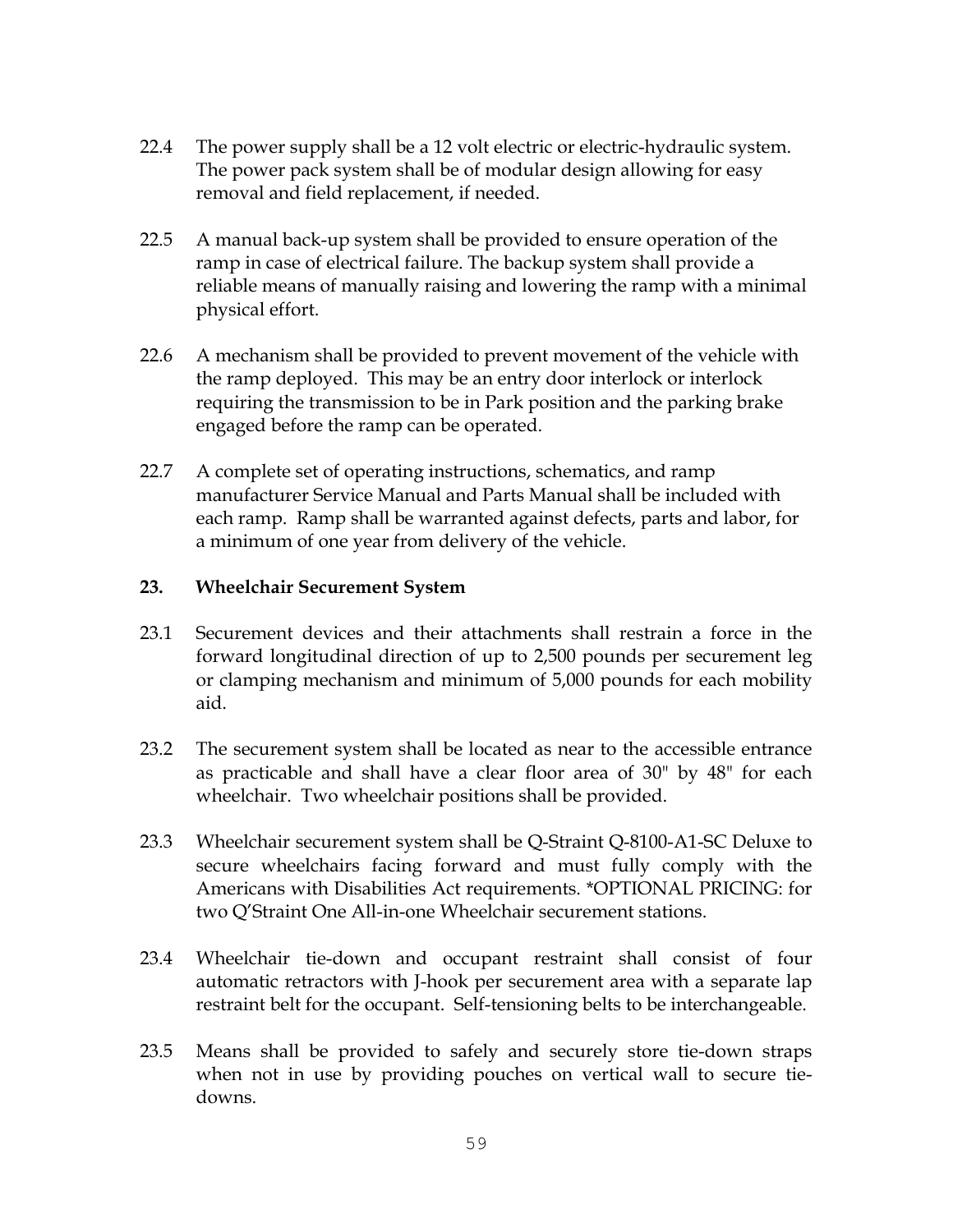- 22.4 The power supply shall be a 12 volt electric or electric-hydraulic system. The power pack system shall be of modular design allowing for easy removal and field replacement, if needed.
- 22.5 A manual back-up system shall be provided to ensure operation of the ramp in case of electrical failure. The backup system shall provide a reliable means of manually raising and lowering the ramp with a minimal physical effort.
- 22.6 A mechanism shall be provided to prevent movement of the vehicle with the ramp deployed. This may be an entry door interlock or interlock requiring the transmission to be in Park position and the parking brake engaged before the ramp can be operated.
- 22.7 A complete set of operating instructions, schematics, and ramp manufacturer Service Manual and Parts Manual shall be included with each ramp. Ramp shall be warranted against defects, parts and labor, for a minimum of one year from delivery of the vehicle.

### **23. Wheelchair Securement System**

- 23.1 Securement devices and their attachments shall restrain a force in the forward longitudinal direction of up to 2,500 pounds per securement leg or clamping mechanism and minimum of 5,000 pounds for each mobility aid.
- 23.2 The securement system shall be located as near to the accessible entrance as practicable and shall have a clear floor area of 30" by 48" for each wheelchair. Two wheelchair positions shall be provided.
- 23.3 Wheelchair securement system shall be Q-Straint Q-8100-A1-SC Deluxe to secure wheelchairs facing forward and must fully comply with the Americans with Disabilities Act requirements. \*OPTIONAL PRICING: for two Q'Straint One All-in-one Wheelchair securement stations.
- 23.4 Wheelchair tie-down and occupant restraint shall consist of four automatic retractors with J-hook per securement area with a separate lap restraint belt for the occupant. Self-tensioning belts to be interchangeable.
- 23.5 Means shall be provided to safely and securely store tie-down straps when not in use by providing pouches on vertical wall to secure tiedowns.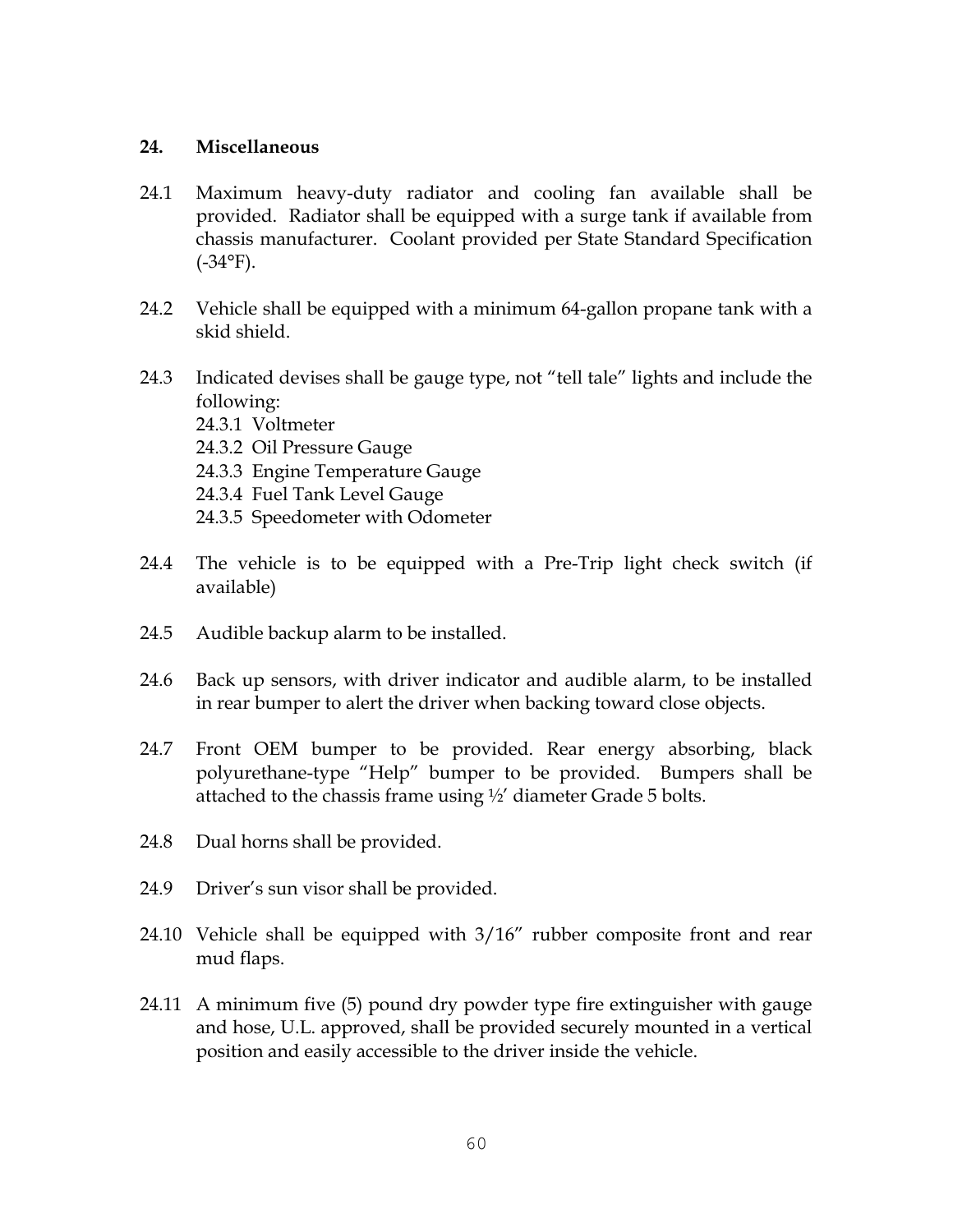### **24. Miscellaneous**

- 24.1 Maximum heavy-duty radiator and cooling fan available shall be provided. Radiator shall be equipped with a surge tank if available from chassis manufacturer. Coolant provided per State Standard Specification  $(-34^{\circ}F)$ .
- 24.2 Vehicle shall be equipped with a minimum 64-gallon propane tank with a skid shield.
- 24.3 Indicated devises shall be gauge type, not "tell tale" lights and include the following: 24.3.1 Voltmeter 24.3.2 Oil Pressure Gauge 24.3.3 Engine Temperature Gauge 24.3.4 Fuel Tank Level Gauge 24.3.5 Speedometer with Odometer
- 24.4 The vehicle is to be equipped with a Pre-Trip light check switch (if available)
- 24.5 Audible backup alarm to be installed.
- 24.6 Back up sensors, with driver indicator and audible alarm, to be installed in rear bumper to alert the driver when backing toward close objects.
- 24.7 Front OEM bumper to be provided. Rear energy absorbing, black polyurethane-type "Help" bumper to be provided. Bumpers shall be attached to the chassis frame using ½' diameter Grade 5 bolts.
- 24.8 Dual horns shall be provided.
- 24.9 Driver's sun visor shall be provided.
- 24.10 Vehicle shall be equipped with 3/16" rubber composite front and rear mud flaps.
- 24.11 A minimum five (5) pound dry powder type fire extinguisher with gauge and hose, U.L. approved, shall be provided securely mounted in a vertical position and easily accessible to the driver inside the vehicle.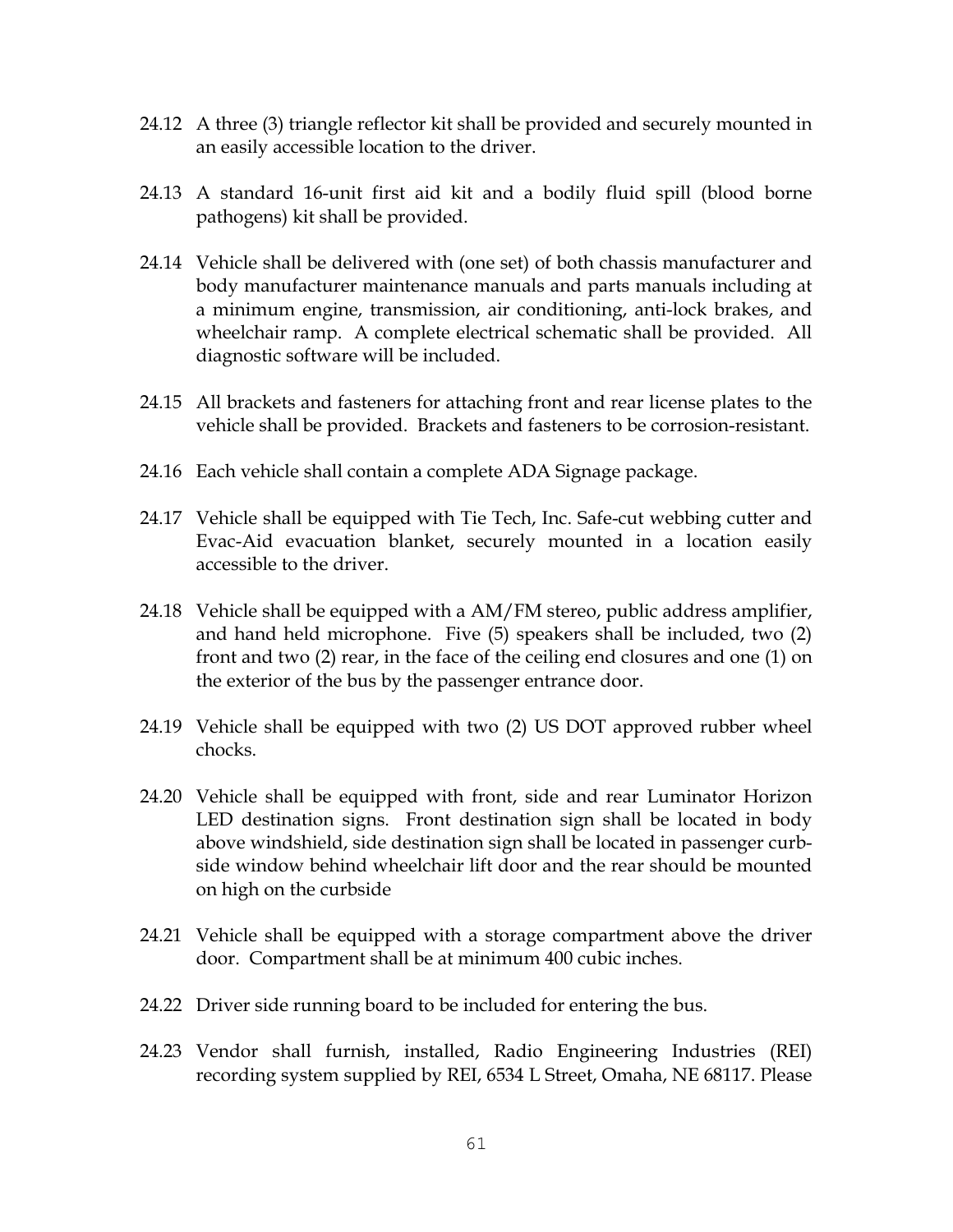- 24.12 A three (3) triangle reflector kit shall be provided and securely mounted in an easily accessible location to the driver.
- 24.13 A standard 16-unit first aid kit and a bodily fluid spill (blood borne pathogens) kit shall be provided.
- 24.14 Vehicle shall be delivered with (one set) of both chassis manufacturer and body manufacturer maintenance manuals and parts manuals including at a minimum engine, transmission, air conditioning, anti-lock brakes, and wheelchair ramp. A complete electrical schematic shall be provided. All diagnostic software will be included.
- 24.15 All brackets and fasteners for attaching front and rear license plates to the vehicle shall be provided. Brackets and fasteners to be corrosion-resistant.
- 24.16 Each vehicle shall contain a complete ADA Signage package.
- 24.17 Vehicle shall be equipped with Tie Tech, Inc. Safe-cut webbing cutter and Evac-Aid evacuation blanket, securely mounted in a location easily accessible to the driver.
- 24.18 Vehicle shall be equipped with a AM/FM stereo, public address amplifier, and hand held microphone. Five (5) speakers shall be included, two (2) front and two (2) rear, in the face of the ceiling end closures and one (1) on the exterior of the bus by the passenger entrance door.
- 24.19 Vehicle shall be equipped with two (2) US DOT approved rubber wheel chocks.
- 24.20 Vehicle shall be equipped with front, side and rear Luminator Horizon LED destination signs. Front destination sign shall be located in body above windshield, side destination sign shall be located in passenger curbside window behind wheelchair lift door and the rear should be mounted on high on the curbside
- 24.21 Vehicle shall be equipped with a storage compartment above the driver door. Compartment shall be at minimum 400 cubic inches.
- 24.22 Driver side running board to be included for entering the bus.
- 24.23 Vendor shall furnish, installed, Radio Engineering Industries (REI) recording system supplied by REI, 6534 L Street, Omaha, NE 68117. Please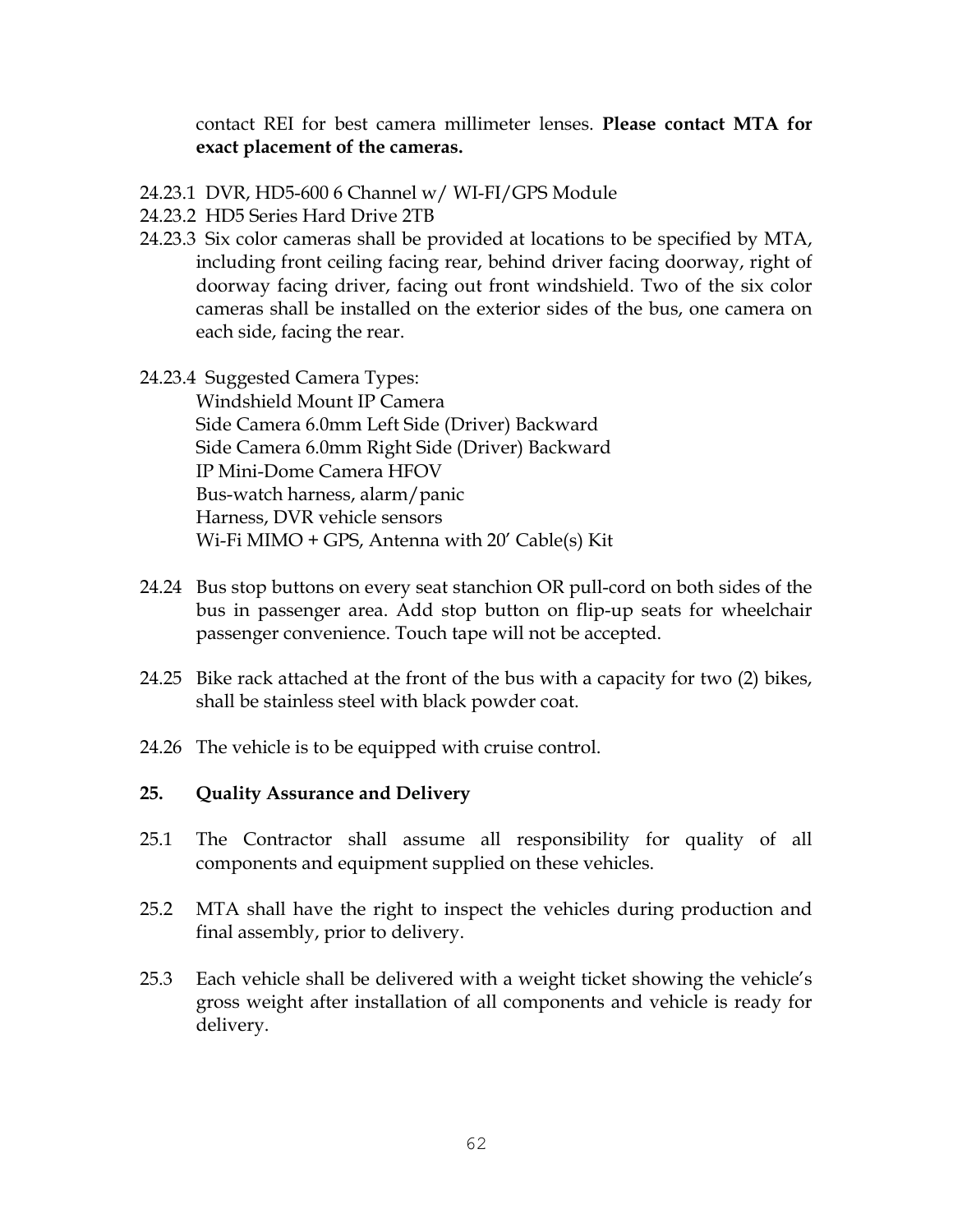contact REI for best camera millimeter lenses. **Please contact MTA for exact placement of the cameras.**

- 24.23.1 DVR, HD5-600 6 Channel w/ WI-FI/GPS Module
- 24.23.2 HD5 Series Hard Drive 2TB
- 24.23.3 Six color cameras shall be provided at locations to be specified by MTA, including front ceiling facing rear, behind driver facing doorway, right of doorway facing driver, facing out front windshield. Two of the six color cameras shall be installed on the exterior sides of the bus, one camera on each side, facing the rear.
- 24.23.4 Suggested Camera Types: Windshield Mount IP Camera Side Camera 6.0mm Left Side (Driver) Backward Side Camera 6.0mm Right Side (Driver) Backward IP Mini-Dome Camera HFOV Bus-watch harness, alarm/panic Harness, DVR vehicle sensors Wi-Fi MIMO + GPS, Antenna with 20' Cable(s) Kit
- 24.24 Bus stop buttons on every seat stanchion OR pull-cord on both sides of the bus in passenger area. Add stop button on flip-up seats for wheelchair passenger convenience. Touch tape will not be accepted.
- 24.25 Bike rack attached at the front of the bus with a capacity for two (2) bikes, shall be stainless steel with black powder coat.
- 24.26 The vehicle is to be equipped with cruise control.

### **25. Quality Assurance and Delivery**

- 25.1 The Contractor shall assume all responsibility for quality of all components and equipment supplied on these vehicles.
- 25.2 MTA shall have the right to inspect the vehicles during production and final assembly, prior to delivery.
- 25.3 Each vehicle shall be delivered with a weight ticket showing the vehicle's gross weight after installation of all components and vehicle is ready for delivery.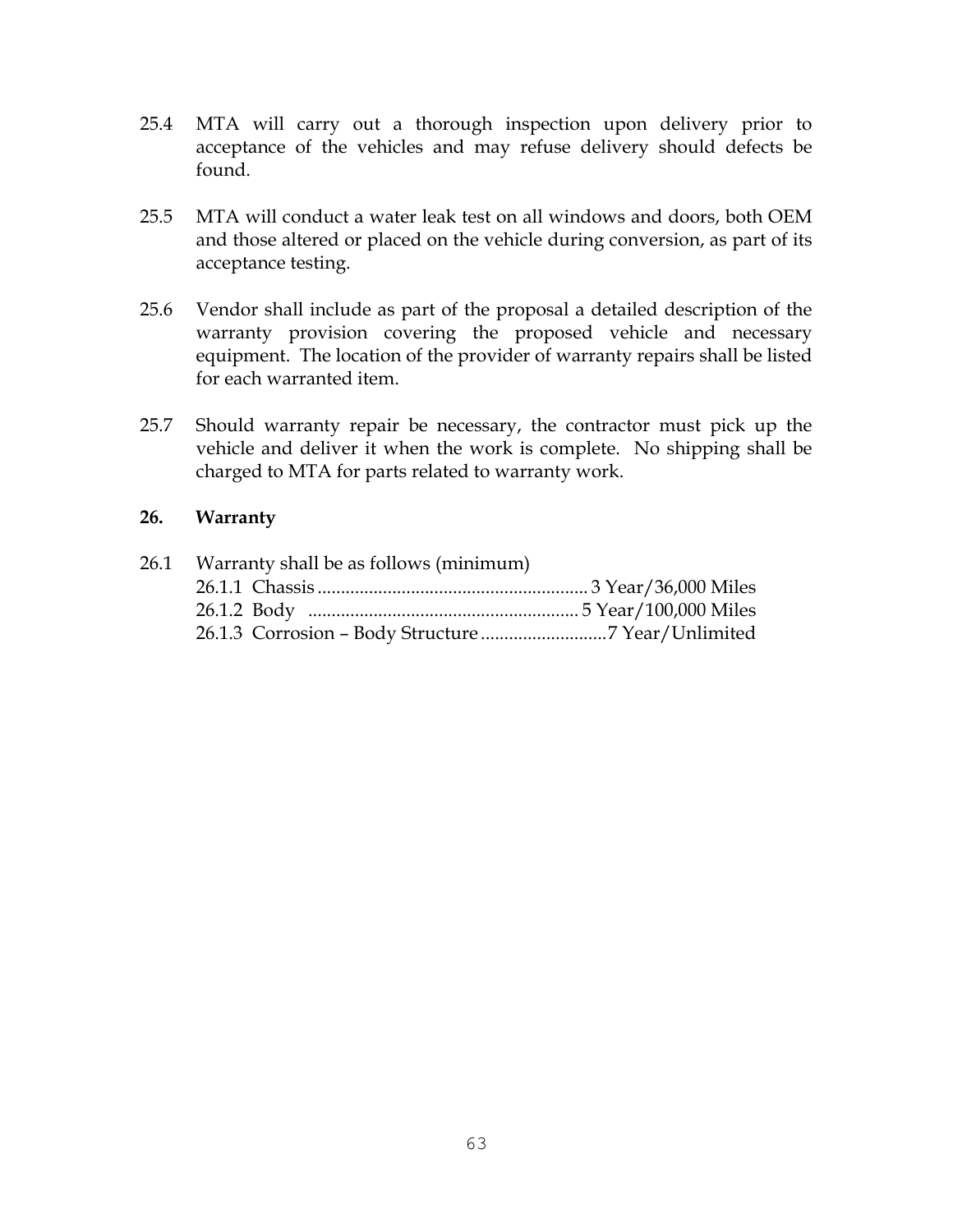- 25.4 MTA will carry out a thorough inspection upon delivery prior to acceptance of the vehicles and may refuse delivery should defects be found.
- 25.5 MTA will conduct a water leak test on all windows and doors, both OEM and those altered or placed on the vehicle during conversion, as part of its acceptance testing.
- 25.6 Vendor shall include as part of the proposal a detailed description of the warranty provision covering the proposed vehicle and necessary equipment. The location of the provider of warranty repairs shall be listed for each warranted item.
- 25.7 Should warranty repair be necessary, the contractor must pick up the vehicle and deliver it when the work is complete. No shipping shall be charged to MTA for parts related to warranty work.

### **26. Warranty**

| 26.1 Warranty shall be as follows (minimum) |  |
|---------------------------------------------|--|
|                                             |  |
|                                             |  |
|                                             |  |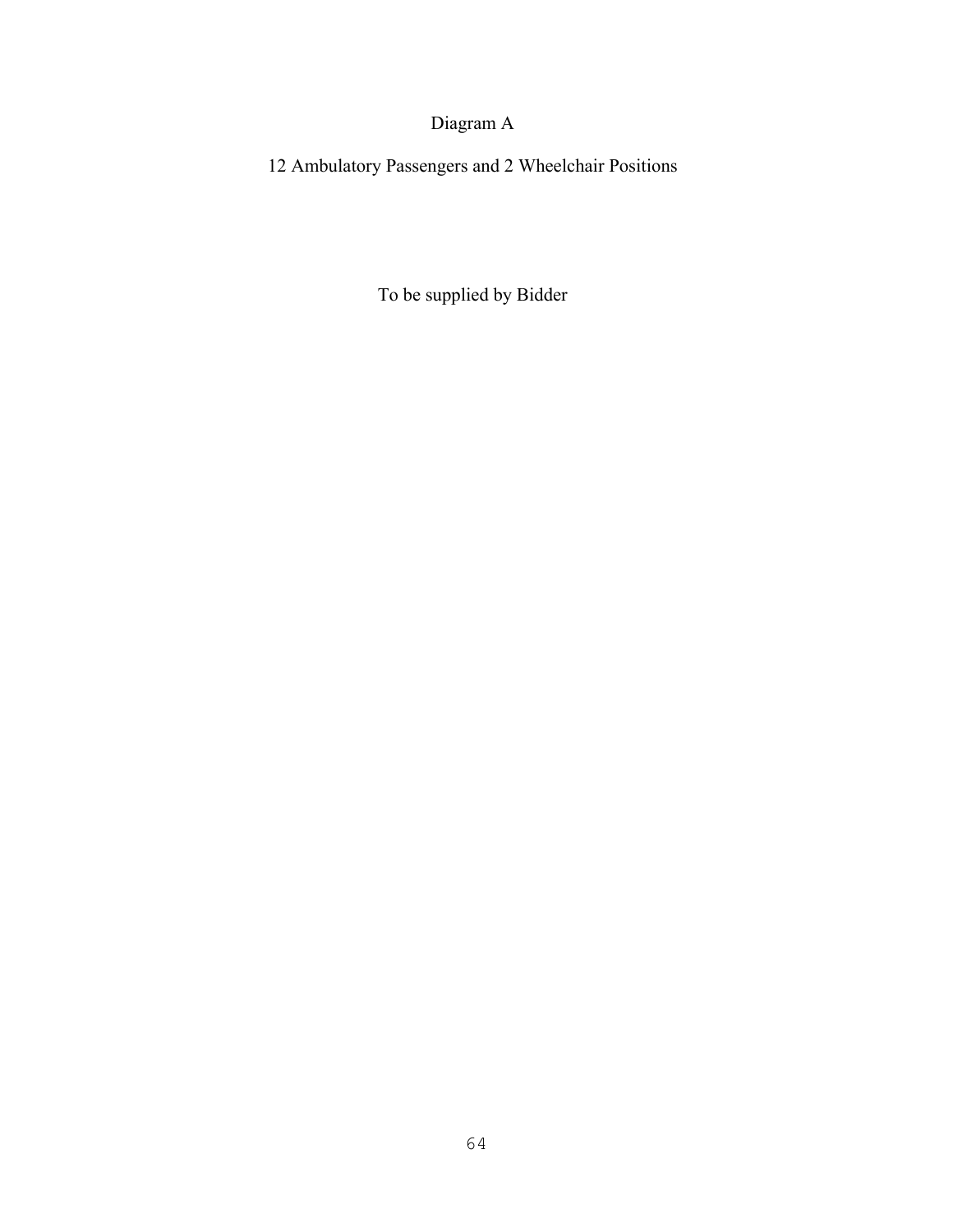# Diagram A

12 Ambulatory Passengers and 2 Wheelchair Positions

To be supplied by Bidder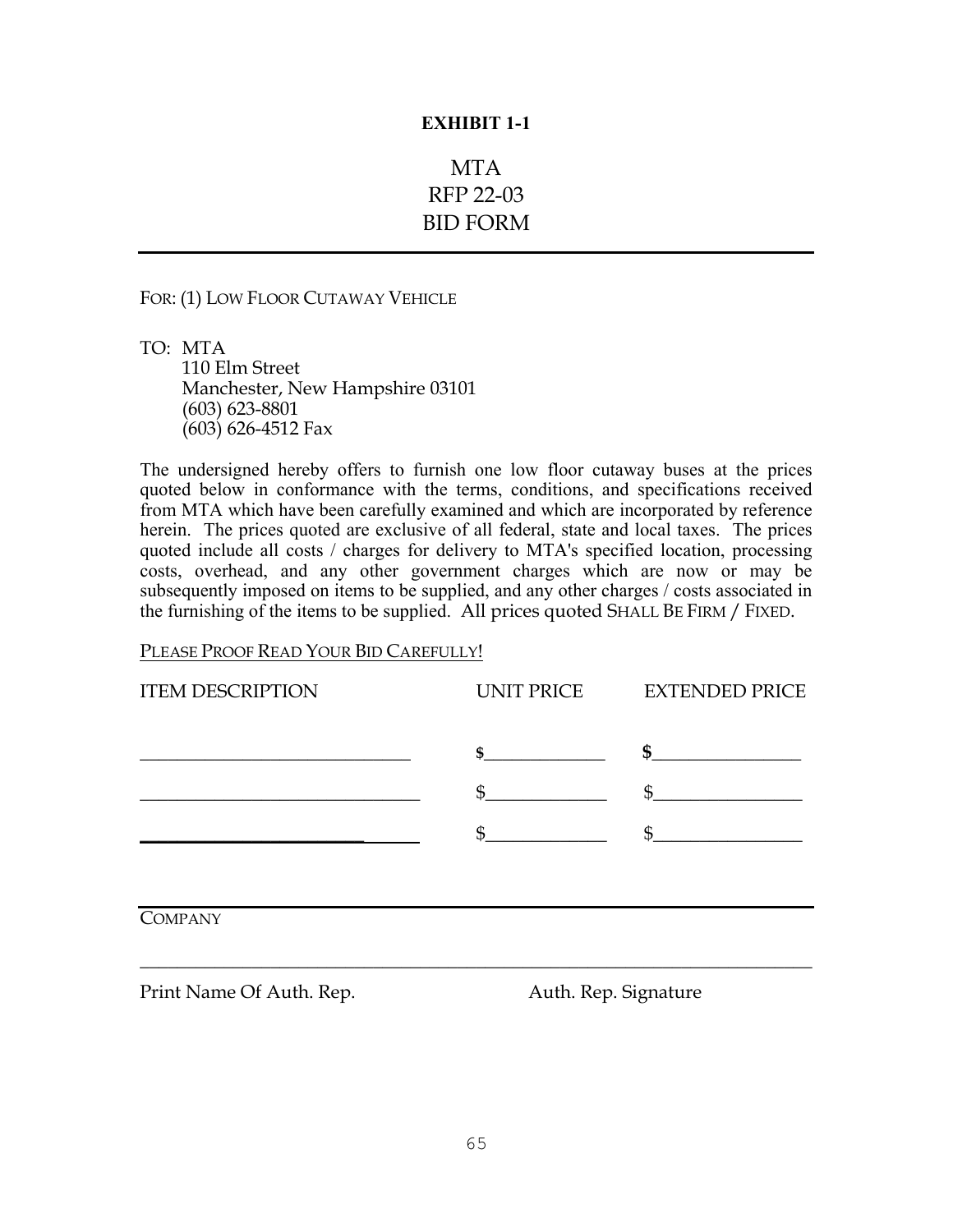# MTA RFP 22-03 BID FORM

#### FOR: (1) LOW FLOOR CUTAWAY VEHICLE

TO: MTA 110 Elm Street Manchester, New Hampshire 03101 (603) 623-8801 (603) 626-4512 Fax

The undersigned hereby offers to furnish one low floor cutaway buses at the prices quoted below in conformance with the terms, conditions, and specifications received from MTA which have been carefully examined and which are incorporated by reference herein. The prices quoted are exclusive of all federal, state and local taxes. The prices quoted include all costs / charges for delivery to MTA's specified location, processing costs, overhead, and any other government charges which are now or may be subsequently imposed on items to be supplied, and any other charges / costs associated in the furnishing of the items to be supplied. All prices quoted SHALL BE FIRM / FIXED.

#### PLEASE PROOF READ YOUR BID CAREFULLY!

| <b>ITEM DESCRIPTION</b> | UNIT PRICE | <b>EXTENDED PRICE</b> |
|-------------------------|------------|-----------------------|
|                         |            |                       |
|                         |            |                       |
|                         |            |                       |
|                         |            |                       |

**COMPANY** 

Print Name Of Auth. Rep.  $\qquad \qquad$  Auth. Rep. Signature

**\_\_\_\_\_\_\_\_\_\_\_\_\_\_\_\_\_\_\_\_\_\_\_\_\_\_\_\_\_\_\_\_\_\_\_\_\_\_\_\_\_\_\_\_\_\_\_\_\_\_\_\_\_\_\_\_\_\_\_\_\_\_\_\_\_\_\_\_\_\_\_\_**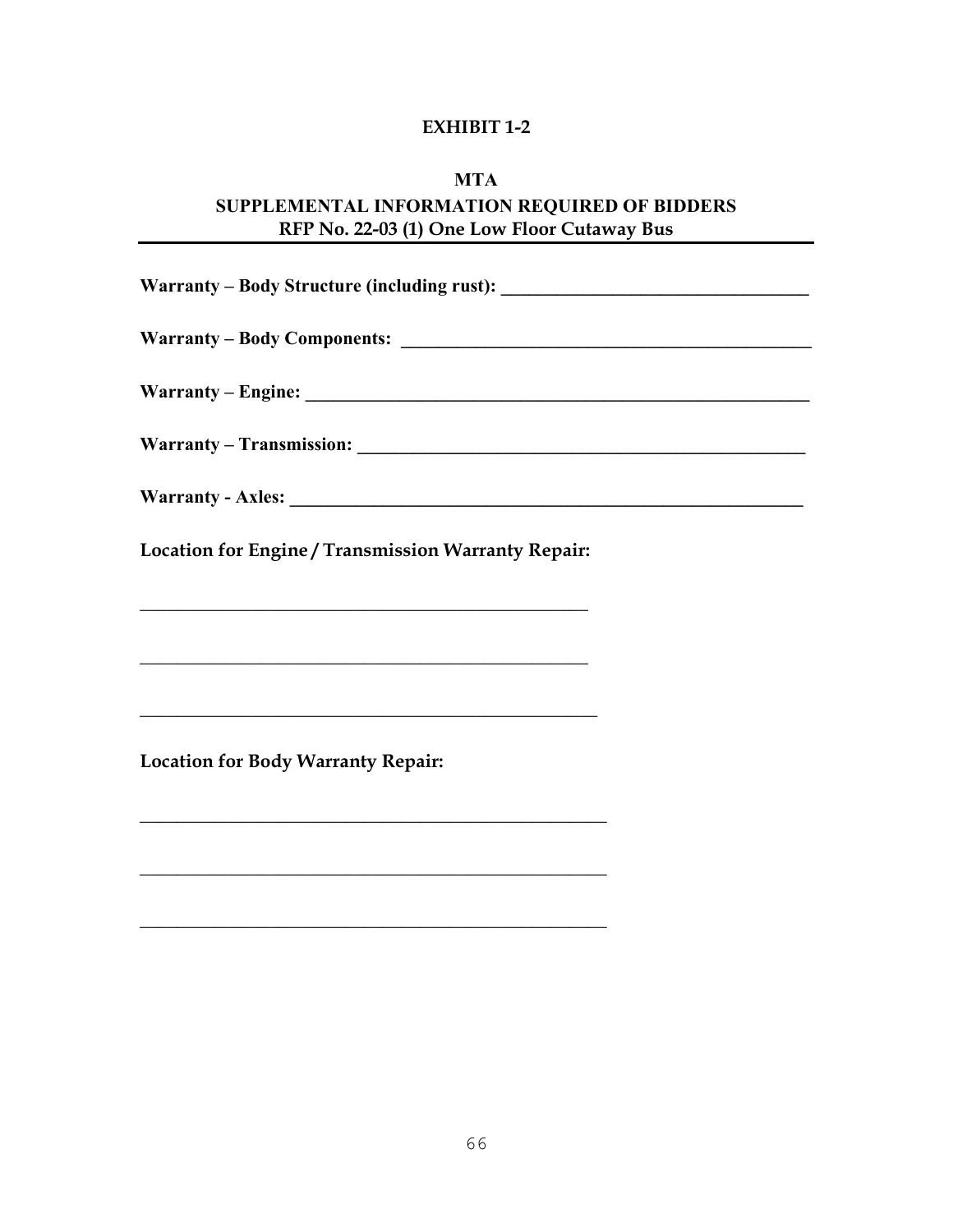### **MTA**

# **SUPPLEMENTAL INFORMATION REQUIRED OF BIDDERS RFP No. 22-03 (1) One Low Floor Cutaway Bus**

| Location for Engine / Transmission Warranty Repair:                                                                      |  |
|--------------------------------------------------------------------------------------------------------------------------|--|
| <u> 1989 - Andrea Santa Alemania, amerikana amerikana amerikana amerikana amerikana amerikana amerikana amerikana</u>    |  |
| <u> 1989 - Johann Stoff, die besteht aus der Stoffen und der Stoffen und der Stoffen und der Stoffen und der Stoffen</u> |  |
| <u> 1989 - Johann Barbert, mars and de Brasilian (b. 1989)</u>                                                           |  |
| <b>Location for Body Warranty Repair:</b>                                                                                |  |
|                                                                                                                          |  |
|                                                                                                                          |  |
|                                                                                                                          |  |

**\_\_\_\_\_\_\_\_\_\_\_\_\_\_\_\_\_\_\_\_\_\_\_\_\_\_\_\_\_\_\_\_\_\_\_\_\_\_\_\_\_\_\_\_\_\_\_\_\_\_**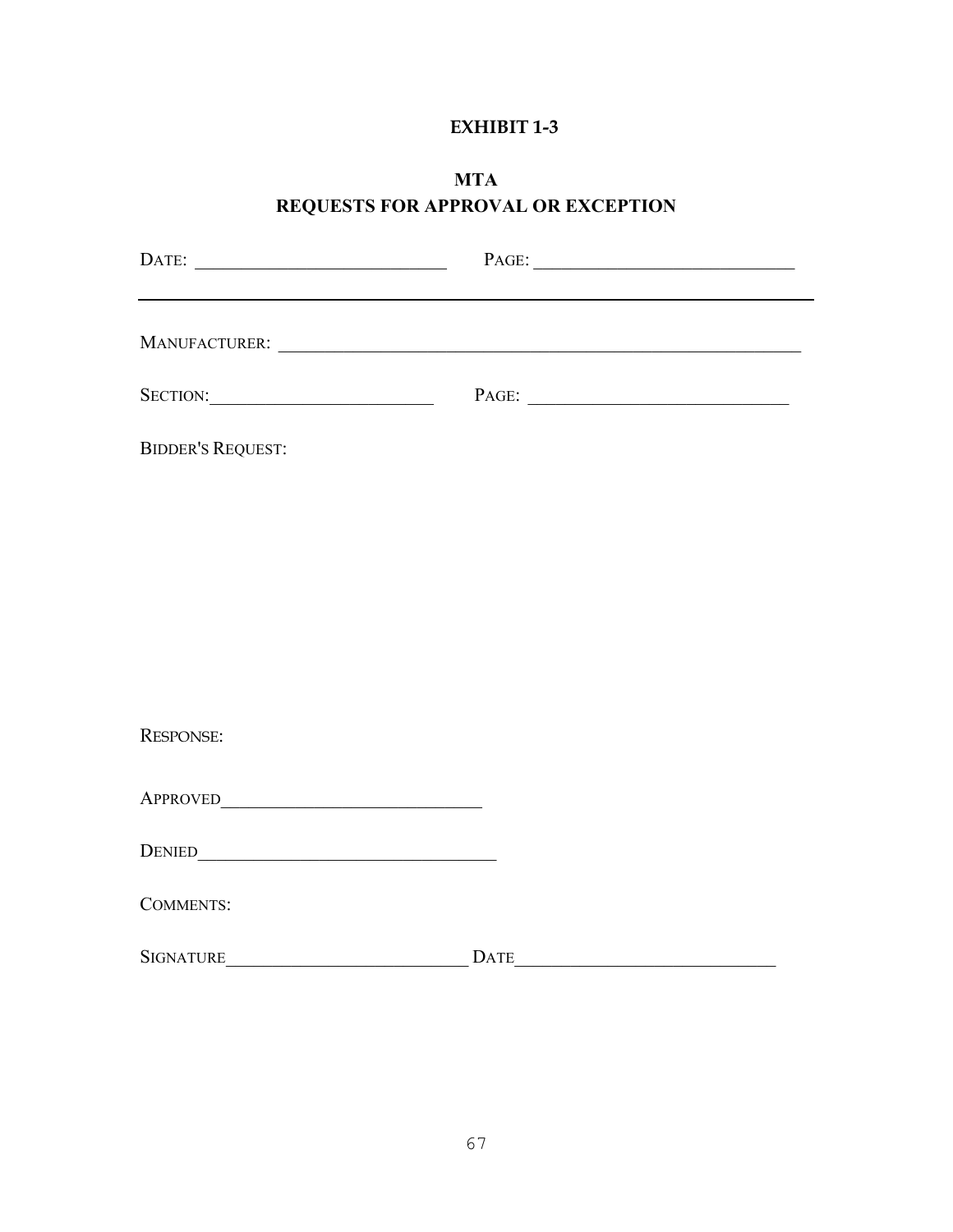### **MTA REQUESTS FOR APPROVAL OR EXCEPTION**

|                                                                                                                                                                                                                                | $\textbf{PAGE:}\underline{\hspace{1cm}}\underline{\hspace{1cm}}\underline{\hspace{1cm}}\underline{\hspace{1cm}}\underline{\hspace{1cm}}\underline{\hspace{1cm}}\underline{\hspace{1cm}}\underline{\hspace{1cm}}\underline{\hspace{1cm}}\underline{\hspace{1cm}}\underline{\hspace{1cm}}\underline{\hspace{1cm}}\underline{\hspace{1cm}}\underline{\hspace{1cm}}\underline{\hspace{1cm}}\underline{\hspace{1cm}}\underline{\hspace{1cm}}\underline{\hspace{1cm}}\underline{\hspace{1cm}}\underline{\hspace{1cm}}\underline{\hspace{1cm}}\underline{\hspace{1cm}}\underline{\hspace{1cm}}\underline{\hspace{$ |  |
|--------------------------------------------------------------------------------------------------------------------------------------------------------------------------------------------------------------------------------|-------------------------------------------------------------------------------------------------------------------------------------------------------------------------------------------------------------------------------------------------------------------------------------------------------------------------------------------------------------------------------------------------------------------------------------------------------------------------------------------------------------------------------------------------------------------------------------------------------------|--|
|                                                                                                                                                                                                                                |                                                                                                                                                                                                                                                                                                                                                                                                                                                                                                                                                                                                             |  |
|                                                                                                                                                                                                                                | PAGE:                                                                                                                                                                                                                                                                                                                                                                                                                                                                                                                                                                                                       |  |
| <b>BIDDER'S REQUEST:</b>                                                                                                                                                                                                       |                                                                                                                                                                                                                                                                                                                                                                                                                                                                                                                                                                                                             |  |
|                                                                                                                                                                                                                                |                                                                                                                                                                                                                                                                                                                                                                                                                                                                                                                                                                                                             |  |
|                                                                                                                                                                                                                                |                                                                                                                                                                                                                                                                                                                                                                                                                                                                                                                                                                                                             |  |
|                                                                                                                                                                                                                                |                                                                                                                                                                                                                                                                                                                                                                                                                                                                                                                                                                                                             |  |
|                                                                                                                                                                                                                                |                                                                                                                                                                                                                                                                                                                                                                                                                                                                                                                                                                                                             |  |
| <b>RESPONSE:</b>                                                                                                                                                                                                               |                                                                                                                                                                                                                                                                                                                                                                                                                                                                                                                                                                                                             |  |
|                                                                                                                                                                                                                                |                                                                                                                                                                                                                                                                                                                                                                                                                                                                                                                                                                                                             |  |
| DENIED CONTROL CONTROL CONTROL CONTROL CONTROL CONTROL CONTROL CONTROL CONTROL CONTROL CONTROL CONTROL CONTROL CONTROL CONTROL CONTROL CONTROL CONTROL CONTROL CONTROL CONTROL CONTROL CONTROL CONTROL CONTROL CONTROL CONTROL |                                                                                                                                                                                                                                                                                                                                                                                                                                                                                                                                                                                                             |  |
| <b>COMMENTS:</b>                                                                                                                                                                                                               |                                                                                                                                                                                                                                                                                                                                                                                                                                                                                                                                                                                                             |  |
| <b>SIGNATURE</b>                                                                                                                                                                                                               | <b>DATE</b>                                                                                                                                                                                                                                                                                                                                                                                                                                                                                                                                                                                                 |  |